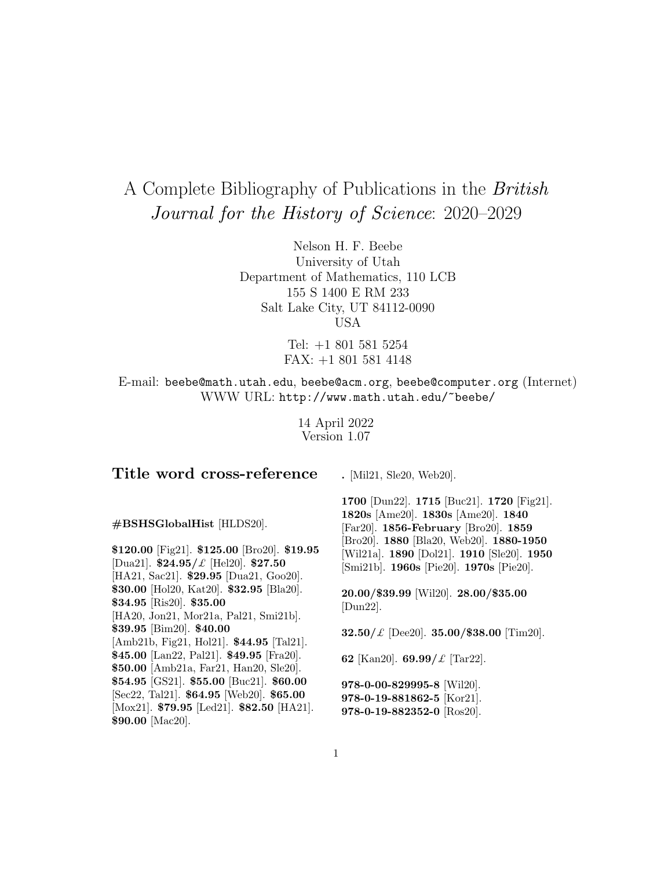# A Complete Bibliography of Publications in the British Journal for the History of Science: 2020–2029

Nelson H. F. Beebe University of Utah Department of Mathematics, 110 LCB 155 S 1400 E RM 233 Salt Lake City, UT 84112-0090 USA

> Tel: +1 801 581 5254 FAX: +1 801 581 4148

E-mail: beebe@math.utah.edu, beebe@acm.org, beebe@computer.org (Internet) WWW URL: http://www.math.utah.edu/~beebe/

> 14 April 2022 Version 1.07

# **Title word cross-reference**

**.** [Mil21, Sle20, Web20].

**#BSHSGlobalHist** [HLDS20].

**\$120.00** [Fig21]. **\$125.00** [Bro20]. **\$19.95** [Dua21]. **\$24.95/**£ [Hel20]. **\$27.50** [HA21, Sac21]. **\$29.95** [Dua21, Goo20]. **\$30.00** [Hol20, Kat20]. **\$32.95** [Bla20]. **\$34.95** [Ris20]. **\$35.00** [HA20, Jon21, Mor21a, Pal21, Smi21b]. **\$39.95** [Bim20]. **\$40.00** [Amb21b, Fig21, Hol21]. **\$44.95** [Tal21]. **\$45.00** [Lan22, Pal21]. **\$49.95** [Fra20]. **\$50.00** [Amb21a, Far21, Han20, Sle20]. **\$54.95** [GS21]. **\$55.00** [Buc21]. **\$60.00** [Sec22, Tal21]. **\$64.95** [Web20]. **\$65.00** [Mox21]. **\$79.95** [Led21]. **\$82.50** [HA21]. **\$90.00** [Mac20].

**1700** [Dun22]. **1715** [Buc21]. **1720** [Fig21]. **1820s** [Ame20]. **1830s** [Ame20]. **1840** [Far20]. **1856-February** [Bro20]. **1859** [Bro20]. **1880** [Bla20, Web20]. **1880-1950** [Wil21a]. **1890** [Dol21]. **1910** [Sle20]. **1950** [Smi21b]. **1960s** [Pie20]. **1970s** [Pie20].

**20.00/\$39.99** [Wil20]. **28.00/\$35.00** [Dun22].

**32.50/**£ [Dee20]. **35.00/\$38.00** [Tim20].

**62** [Kan20]. **69.99/**£ [Tar22].

**978-0-00-829995-8** [Wil20]. **978-0-19-881862-5** [Kor21]. **978-0-19-882352-0** [Ros20].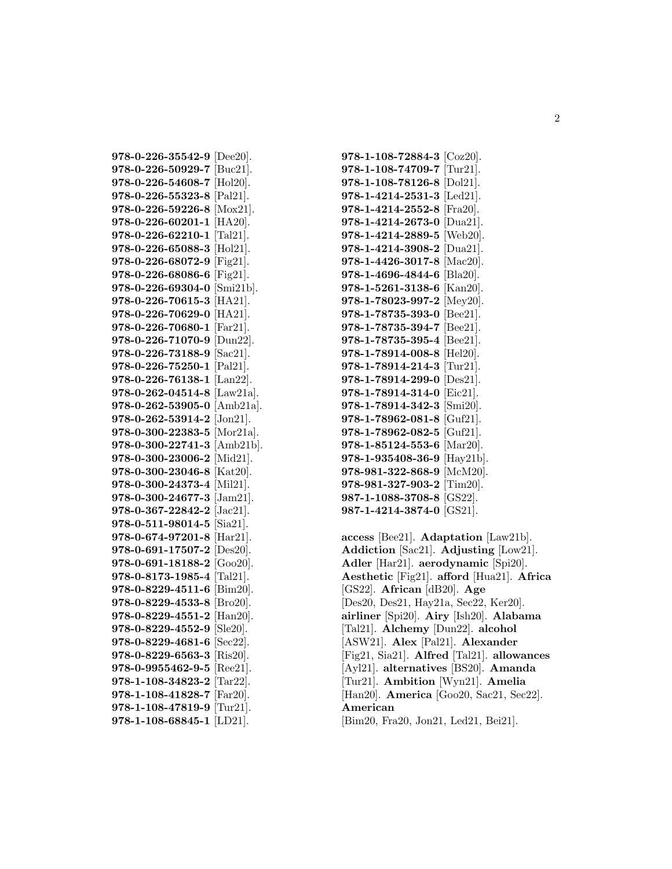**978-0-226-35542-9** [Dee20]. **978-0-226-50929-7** [Buc21]. **978-0-226-54608-7** [Hol20]. **978-0-226-55323-8** [Pal21]. **978-0-226-59226-8** [Mox21]. **978-0-226-60201-1** [HA20]. **978-0-226-62210-1** [Tal21]. **978-0-226-65088-3** [Hol21]. **978-0-226-68072-9** [Fig21]. **978-0-226-68086-6** [Fig21]. **978-0-226-69304-0** [Smi21b]. **978-0-226-70615-3** [HA21]. **978-0-226-70629-0** [HA21]. **978-0-226-70680-1** [Far21]. **978-0-226-71070-9** [Dun22]. **978-0-226-73188-9** [Sac21]. **978-0-226-75250-1** [Pal21]. **978-0-226-76138-1** [Lan22]. **978-0-262-04514-8** [Law21a]. **978-0-262-53905-0** [Amb21a]. **978-0-262-53914-2** [Jon21]. **978-0-300-22383-5** [Mor21a]. **978-0-300-22741-3** [Amb21b]. **978-0-300-23006-2** [Mid21]. **978-0-300-23046-8** [Kat20]. **978-0-300-24373-4** [Mil21]. **978-0-300-24677-3** [Jam21]. **978-0-367-22842-2** [Jac21]. **978-0-511-98014-5** [Sia21]. **978-0-674-97201-8** [Har21]. **978-0-691-17507-2** [Des20]. **978-0-691-18188-2** [Goo20]. **978-0-8173-1985-4** [Tal21]. **978-0-8229-4511-6** [Bim20]. **978-0-8229-4533-8** [Bro20]. **978-0-8229-4551-2** [Han20]. **978-0-8229-4552-9** [Sle20]. **978-0-8229-4681-6** [Sec22]. **978-0-8229-6563-3** [Ris20]. **978-0-9955462-9-5** [Ree21]. **978-1-108-34823-2** [Tar22]. **978-1-108-41828-7** [Far20]. **978-1-108-47819-9** [Tur21]. **978-1-108-68845-1** [LD21].

**978-1-108-72884-3** [Coz20]. **978-1-108-74709-7** [Tur21]. **978-1-108-78126-8** [Dol21]. **978-1-4214-2531-3** [Led21]. **978-1-4214-2552-8** [Fra20]. **978-1-4214-2673-0** [Dua21]. **978-1-4214-2889-5** [Web20]. **978-1-4214-3908-2** [Dua21]. **978-1-4426-3017-8** [Mac20]. **978-1-4696-4844-6** [Bla20]. **978-1-5261-3138-6** [Kan20]. **978-1-78023-997-2** [Mey20]. **978-1-78735-393-0** [Bee21]. **978-1-78735-394-7** [Bee21]. **978-1-78735-395-4** [Bee21]. **978-1-78914-008-8** [Hel20]. **978-1-78914-214-3** [Tur21]. **978-1-78914-299-0** [Des21]. **978-1-78914-314-0** [Eic21]. **978-1-78914-342-3** [Smi20]. **978-1-78962-081-8** [Guf21]. **978-1-78962-082-5** [Guf21]. **978-1-85124-553-6** [Mar20]. **978-1-935408-36-9** [Hay21b]. **978-981-322-868-9** [McM20]. **978-981-327-903-2** [Tim20]. **987-1-1088-3708-8** [GS22]. **987-1-4214-3874-0** [GS21].

**access** [Bee21]. **Adaptation** [Law21b]. **Addiction** [Sac21]. **Adjusting** [Low21]. **Adler** [Har21]. **aerodynamic** [Spi20]. **Aesthetic** [Fig21]. **afford** [Hua21]. **Africa** [GS22]. **African** [dB20]. **Age** [Des20, Des21, Hay21a, Sec22, Ker20]. **airliner** [Spi20]. **Airy** [Ish20]. **Alabama** [Tal21]. **Alchemy** [Dun22]. **alcohol** [ASW21]. **Alex** [Pal21]. **Alexander** [Fig21, Sia21]. **Alfred** [Tal21]. **allowances** [Ayl21]. **alternatives** [BS20]. **Amanda** [Tur21]. **Ambition** [Wyn21]. **Amelia** [Han20]. **America** [Goo20, Sac21, Sec22]. **American** [Bim20, Fra20, Jon21, Led21, Bei21].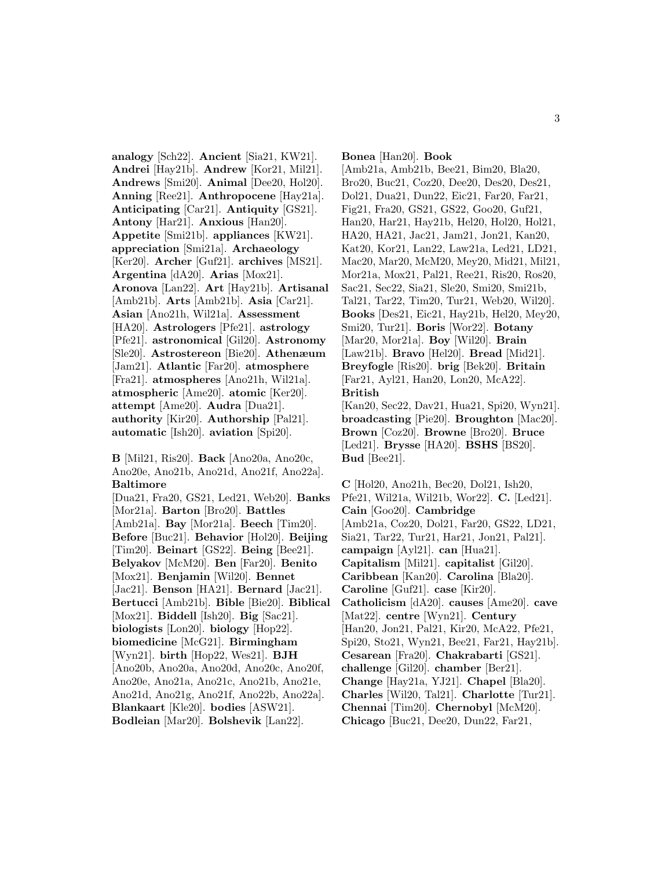**analogy** [Sch22]. **Ancient** [Sia21, KW21]. **Andrei** [Hay21b]. **Andrew** [Kor21, Mil21]. **Andrews** [Smi20]. **Animal** [Dee20, Hol20]. **Anning** [Ree21]. **Anthropocene** [Hay21a]. **Anticipating** [Car21]. **Antiquity** [GS21]. **Antony** [Har21]. **Anxious** [Han20]. **Appetite** [Smi21b]. **appliances** [KW21]. **appreciation** [Smi21a]. **Archaeology** [Ker20]. **Archer** [Guf21]. **archives** [MS21]. **Argentina** [dA20]. **Arias** [Mox21]. **Aronova** [Lan22]. **Art** [Hay21b]. **Artisanal** [Amb21b]. **Arts** [Amb21b]. **Asia** [Car21]. **Asian** [Ano21h, Wil21a]. **Assessment** [HA20]. **Astrologers** [Pfe21]. **astrology** [Pfe21]. **astronomical** [Gil20]. **Astronomy** [Sle20]. **Astrostereon** [Bie20]. **Athenæum** [Jam21]. **Atlantic** [Far20]. **atmosphere** [Fra21]. **atmospheres** [Ano21h, Wil21a]. **atmospheric** [Ame20]. **atomic** [Ker20]. **attempt** [Ame20]. **Audra** [Dua21]. **authority** [Kir20]. **Authorship** [Pal21]. **automatic** [Ish20]. **aviation** [Spi20].

Ano20e, Ano21b, Ano21d, Ano21f, Ano22a]. **Baltimore** [Dua21, Fra20, GS21, Led21, Web20]. **Banks** [Mor21a]. **Barton** [Bro20]. **Battles** [Amb21a]. **Bay** [Mor21a]. **Beech** [Tim20]. **Before** [Buc21]. **Behavior** [Hol20]. **Beijing** [Tim20]. **Beinart** [GS22]. **Being** [Bee21]. **Belyakov** [McM20]. **Ben** [Far20]. **Benito** [Mox21]. **Benjamin** [Wil20]. **Bennet** [Jac21]. **Benson** [HA21]. **Bernard** [Jac21]. **Bertucci** [Amb21b]. **Bible** [Bie20]. **Biblical** [Mox21]. **Biddell** [Ish20]. **Big** [Sac21]. **biologists** [Lon20]. **biology** [Hop22]. **biomedicine** [McG21]. **Birmingham** [Wyn21]. **birth** [Hop22, Wes21]. **BJH** [Ano20b, Ano20a, Ano20d, Ano20c, Ano20f, Ano20e, Ano21a, Ano21c, Ano21b, Ano21e, Ano21d, Ano21g, Ano21f, Ano22b, Ano22a]. **Blankaart** [Kle20]. **bodies** [ASW21]. **Bodleian** [Mar20]. **Bolshevik** [Lan22].

**B** [Mil21, Ris20]. **Back** [Ano20a, Ano20c,

**Bonea** [Han20]. **Book** [Amb21a, Amb21b, Bee21, Bim20, Bla20, Bro20, Buc21, Coz20, Dee20, Des20, Des21, Dol21, Dua21, Dun22, Eic21, Far20, Far21, Fig21, Fra20, GS21, GS22, Goo20, Guf21, Han20, Har21, Hay21b, Hel20, Hol20, Hol21, HA20, HA21, Jac21, Jam21, Jon21, Kan20, Kat20, Kor21, Lan22, Law21a, Led21, LD21, Mac20, Mar20, McM20, Mey20, Mid21, Mil21, Mor21a, Mox21, Pal21, Ree21, Ris20, Ros20, Sac21, Sec22, Sia21, Sle20, Smi20, Smi21b, Tal21, Tar22, Tim20, Tur21, Web20, Wil20]. **Books** [Des21, Eic21, Hay21b, Hel20, Mey20, Smi20, Tur21]. **Boris** [Wor22]. **Botany** [Mar20, Mor21a]. **Boy** [Wil20]. **Brain** [Law21b]. **Bravo** [Hel20]. **Bread** [Mid21]. **Breyfogle** [Ris20]. **brig** [Bek20]. **Britain** [Far21, Ayl21, Han20, Lon20, McA22]. **British** [Kan20, Sec22, Dav21, Hua21, Spi20, Wyn21]. **broadcasting** [Pie20]. **Broughton** [Mac20]. **Brown** [Coz20]. **Browne** [Bro20]. **Bruce**

[Led21]. **Brysse** [HA20]. **BSHS** [BS20].

**Bud** [Bee21].

**C** [Hol20, Ano21h, Bec20, Dol21, Ish20, Pfe21, Wil21a, Wil21b, Wor22]. **C.** [Led21]. **Cain** [Goo20]. **Cambridge** [Amb21a, Coz20, Dol21, Far20, GS22, LD21, Sia21, Tar22, Tur21, Har21, Jon21, Pal21]. **campaign** [Ayl21]. **can** [Hua21]. **Capitalism** [Mil21]. **capitalist** [Gil20]. **Caribbean** [Kan20]. **Carolina** [Bla20]. **Caroline** [Guf21]. **case** [Kir20]. **Catholicism** [dA20]. **causes** [Ame20]. **cave** [Mat22]. **centre** [Wyn21]. **Century** [Han20, Jon21, Pal21, Kir20, McA22, Pfe21, Spi20, Sto21, Wyn21, Bee21, Far21, Hay21b]. **Cesarean** [Fra20]. **Chakrabarti** [GS21]. **challenge** [Gil20]. **chamber** [Ber21]. **Change** [Hay21a, YJ21]. **Chapel** [Bla20]. **Charles** [Wil20, Tal21]. **Charlotte** [Tur21]. **Chennai** [Tim20]. **Chernobyl** [McM20]. **Chicago** [Buc21, Dee20, Dun22, Far21,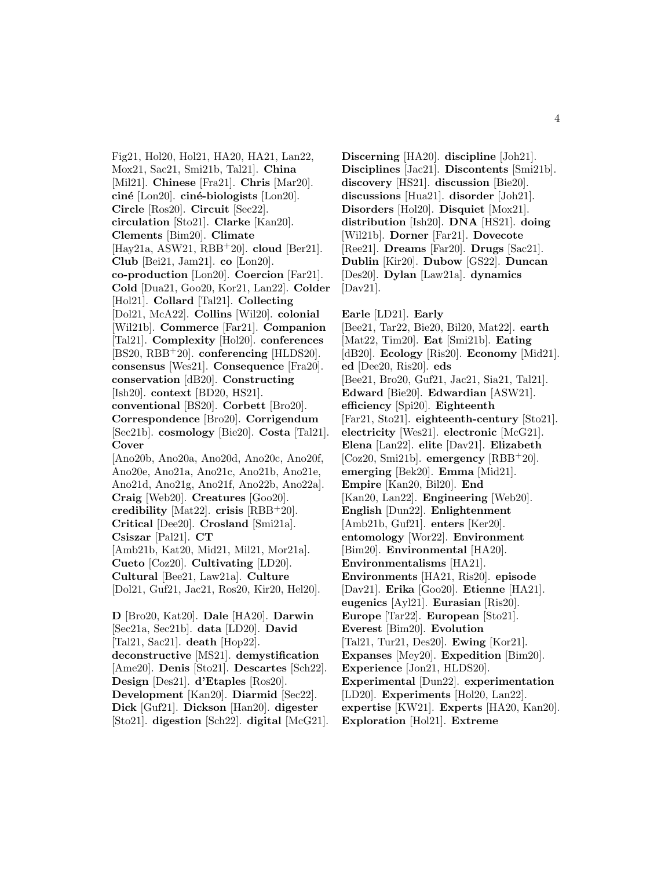Fig21, Hol20, Hol21, HA20, HA21, Lan22, Mox21, Sac21, Smi21b, Tal21]. **China** [Mil21]. **Chinese** [Fra21]. **Chris** [Mar20]. **cin´e** [Lon20]. **cin´e-biologists** [Lon20]. **Circle** [Ros20]. **Circuit** [Sec22]. **circulation** [Sto21]. **Clarke** [Kan20]. **Clements** [Bim20]. **Climate** [Hay21a, ASW21, RBB<sup>+</sup>20]. **cloud** [Ber21]. **Club** [Bei21, Jam21]. **co** [Lon20]. **co-production** [Lon20]. **Coercion** [Far21]. **Cold** [Dua21, Goo20, Kor21, Lan22]. **Colder** [Hol21]. **Collard** [Tal21]. **Collecting** [Dol21, McA22]. **Collins** [Wil20]. **colonial** [Wil21b]. **Commerce** [Far21]. **Companion** [Tal21]. **Complexity** [Hol20]. **conferences** [BS20, RBB<sup>+</sup>20]. **conferencing** [HLDS20]. **consensus** [Wes21]. **Consequence** [Fra20]. **conservation** [dB20]. **Constructing** [Ish20]. **context** [BD20, HS21]. **conventional** [BS20]. **Corbett** [Bro20]. **Correspondence** [Bro20]. **Corrigendum** [Sec21b]. **cosmology** [Bie20]. **Costa** [Tal21]. **Cover** [Ano20b, Ano20a, Ano20d, Ano20c, Ano20f, Ano20e, Ano21a, Ano21c, Ano21b, Ano21e, Ano21d, Ano21g, Ano21f, Ano22b, Ano22a]. **Craig** [Web20]. **Creatures** [Goo20]. **credibility** [Mat22]. **crisis** [RBB<sup>+</sup>20]. **Critical** [Dee20]. **Crosland** [Smi21a]. **Csiszar** [Pal21]. **CT** [Amb21b, Kat20, Mid21, Mil21, Mor21a]. **Cueto** [Coz20]. **Cultivating** [LD20]. **Cultural** [Bee21, Law21a]. **Culture** [Dol21, Guf21, Jac21, Ros20, Kir20, Hel20]. **D** [Bro20, Kat20]. **Dale** [HA20]. **Darwin** [Sec21a, Sec21b]. **data** [LD20]. **David** [Tal21, Sac21]. **death** [Hop22]. **deconstructive** [MS21]. **demystification** [Ame20]. **Denis** [Sto21]. **Descartes** [Sch22].

**Design** [Des21]. **d'Etaples** [Ros20]. **Development** [Kan20]. **Diarmid** [Sec22]. **Dick** [Guf21]. **Dickson** [Han20]. **digester** [Sto21]. **digestion** [Sch22]. **digital** [McG21].

**discussions** [Hua21]. **disorder** [Joh21]. **Disorders** [Hol20]. **Disquiet** [Mox21]. **distribution** [Ish20]. **DNA** [HS21]. **doing** [Wil21b]. **Dorner** [Far21]. **Dovecote** [Ree21]. **Dreams** [Far20]. **Drugs** [Sac21]. **Dublin** [Kir20]. **Dubow** [GS22]. **Duncan** [Des20]. **Dylan** [Law21a]. **dynamics** [Dav21]. **Earle** [LD21]. **Early** [Bee21, Tar22, Bie20, Bil20, Mat22]. **earth** [Mat22, Tim20]. **Eat** [Smi21b]. **Eating**

**Discerning** [HA20]. **discipline** [Joh21]. **Disciplines** [Jac21]. **Discontents** [Smi21b]. **discovery** [HS21]. **discussion** [Bie20].

[dB20]. **Ecology** [Ris20]. **Economy** [Mid21]. **ed** [Dee20, Ris20]. **eds** [Bee21, Bro20, Guf21, Jac21, Sia21, Tal21]. **Edward** [Bie20]. **Edwardian** [ASW21]. **efficiency** [Spi20]. **Eighteenth** [Far21, Sto21]. **eighteenth-century** [Sto21]. **electricity** [Wes21]. **electronic** [McG21]. **Elena** [Lan22]. **elite** [Dav21]. **Elizabeth** [Coz20, Smi21b]. **emergency** [RBB<sup>+</sup>20]. **emerging** [Bek20]. **Emma** [Mid21]. **Empire** [Kan20, Bil20]. **End** [Kan20, Lan22]. **Engineering** [Web20]. **English** [Dun22]. **Enlightenment** [Amb21b, Guf21]. **enters** [Ker20]. **entomology** [Wor22]. **Environment** [Bim20]. **Environmental** [HA20]. **Environmentalisms** [HA21]. **Environments** [HA21, Ris20]. **episode** [Dav21]. **Erika** [Goo20]. **Etienne** [HA21]. **eugenics** [Ayl21]. **Eurasian** [Ris20]. **Europe** [Tar22]. **European** [Sto21]. **Everest** [Bim20]. **Evolution** [Tal21, Tur21, Des20]. **Ewing** [Kor21]. **Expanses** [Mey20]. **Expedition** [Bim20]. **Experience** [Jon21, HLDS20]. **Experimental** [Dun22]. **experimentation** [LD20]. **Experiments** [Hol20, Lan22]. **expertise** [KW21]. **Experts** [HA20, Kan20]. **Exploration** [Hol21]. **Extreme**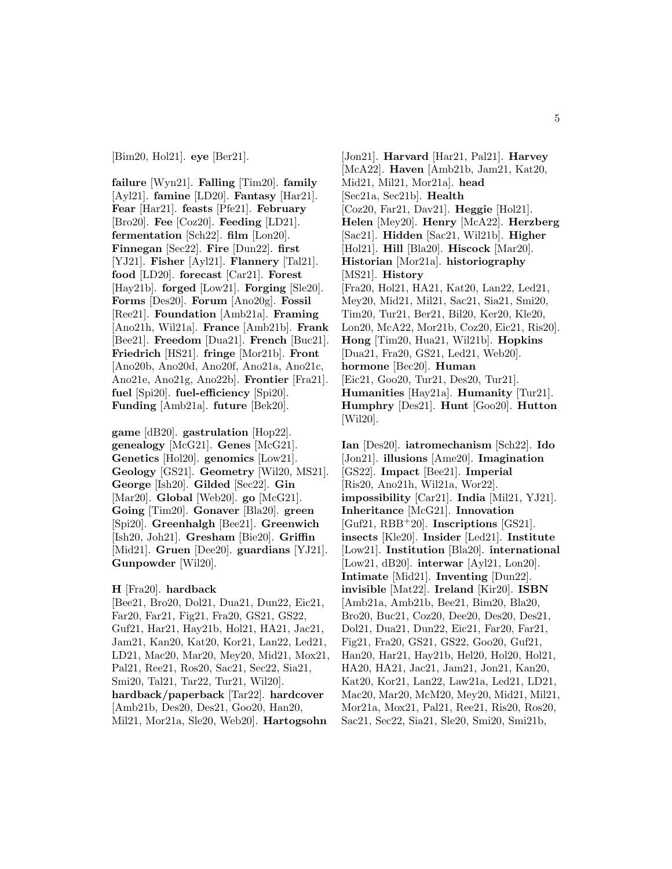[Bim20, Hol21]. **eye** [Ber21].

**failure** [Wyn21]. **Falling** [Tim20]. **family** [Ayl21]. **famine** [LD20]. **Fantasy** [Har21]. **Fear** [Har21]. **feasts** [Pfe21]. **February** [Bro20]. **Fee** [Coz20]. **Feeding** [LD21]. **fermentation** [Sch22]. **film** [Lon20]. **Finnegan** [Sec22]. **Fire** [Dun22]. **first** [YJ21]. **Fisher** [Ayl21]. **Flannery** [Tal21]. **food** [LD20]. **forecast** [Car21]. **Forest** [Hay21b]. **forged** [Low21]. **Forging** [Sle20]. **Forms** [Des20]. **Forum** [Ano20g]. **Fossil** [Ree21]. **Foundation** [Amb21a]. **Framing** [Ano21h, Wil21a]. **France** [Amb21b]. **Frank** [Bee21]. **Freedom** [Dua21]. **French** [Buc21]. **Friedrich** [HS21]. **fringe** [Mor21b]. **Front** [Ano20b, Ano20d, Ano20f, Ano21a, Ano21c, Ano21e, Ano21g, Ano22b]. **Frontier** [Fra21]. **fuel** [Spi20]. **fuel-efficiency** [Spi20]. **Funding** [Amb21a]. **future** [Bek20].

**game** [dB20]. **gastrulation** [Hop22]. **genealogy** [McG21]. **Genes** [McG21]. **Genetics** [Hol20]. **genomics** [Low21]. **Geology** [GS21]. **Geometry** [Wil20, MS21]. **George** [Ish20]. **Gilded** [Sec22]. **Gin** [Mar20]. **Global** [Web20]. **go** [McG21]. **Going** [Tim20]. **Gonaver** [Bla20]. **green** [Spi20]. **Greenhalgh** [Bee21]. **Greenwich** [Ish20, Joh21]. **Gresham** [Bie20]. **Griffin** [Mid21]. **Gruen** [Dee20]. **guardians** [YJ21]. **Gunpowder** [Wil20].

### **H** [Fra20]. **hardback**

[Bee21, Bro20, Dol21, Dua21, Dun22, Eic21, Far20, Far21, Fig21, Fra20, GS21, GS22, Guf21, Har21, Hay21b, Hol21, HA21, Jac21, Jam21, Kan20, Kat20, Kor21, Lan22, Led21, LD21, Mac20, Mar20, Mey20, Mid21, Mox21, Pal21, Ree21, Ros20, Sac21, Sec22, Sia21, Smi20, Tal21, Tar22, Tur21, Wil20]. **hardback/paperback** [Tar22]. **hardcover** [Amb21b, Des20, Des21, Goo20, Han20, Mil21, Mor21a, Sle20, Web20]. **Hartogsohn**

[Jon21]. **Harvard** [Har21, Pal21]. **Harvey** [McA22]. **Haven** [Amb21b, Jam21, Kat20, Mid21, Mil21, Mor21a]. **head** [Sec21a, Sec21b]. **Health** [Coz20, Far21, Dav21]. **Heggie** [Hol21]. **Helen** [Mey20]. **Henry** [McA22]. **Herzberg** [Sac21]. **Hidden** [Sac21, Wil21b]. **Higher** [Hol21]. **Hill** [Bla20]. **Hiscock** [Mar20]. **Historian** [Mor21a]. **historiography** [MS21]. **History** [Fra20, Hol21, HA21, Kat20, Lan22, Led21, Mey20, Mid21, Mil21, Sac21, Sia21, Smi20, Tim20, Tur21, Ber21, Bil20, Ker20, Kle20, Lon20, McA22, Mor21b, Coz20, Eic21, Ris20]. **Hong** [Tim20, Hua21, Wil21b]. **Hopkins** [Dua21, Fra20, GS21, Led21, Web20]. **hormone** [Bec20]. **Human** [Eic21, Goo20, Tur21, Des20, Tur21]. **Humanities** [Hay21a]. **Humanity** [Tur21]. **Humphry** [Des21]. **Hunt** [Goo20]. **Hutton** [Wil20].

**Ian** [Des20]. **iatromechanism** [Sch22]. **Ido** [Jon21]. **illusions** [Ame20]. **Imagination** [GS22]. **Impact** [Bee21]. **Imperial** [Ris20, Ano21h, Wil21a, Wor22]. **impossibility** [Car21]. **India** [Mil21, YJ21]. **Inheritance** [McG21]. **Innovation** [Guf21, RBB<sup>+</sup>20]. **Inscriptions** [GS21]. **insects** [Kle20]. **Insider** [Led21]. **Institute** [Low21]. **Institution** [Bla20]. **international** [Low21, dB20]. **interwar** [Ayl21, Lon20]. **Intimate** [Mid21]. **Inventing** [Dun22]. **invisible** [Mat22]. **Ireland** [Kir20]. **ISBN** [Amb21a, Amb21b, Bee21, Bim20, Bla20, Bro20, Buc21, Coz20, Dee20, Des20, Des21, Dol21, Dua21, Dun22, Eic21, Far20, Far21, Fig21, Fra20, GS21, GS22, Goo20, Guf21, Han20, Har21, Hay21b, Hel20, Hol20, Hol21, HA20, HA21, Jac21, Jam21, Jon21, Kan20, Kat20, Kor21, Lan22, Law21a, Led21, LD21, Mac20, Mar20, McM20, Mey20, Mid21, Mil21, Mor21a, Mox21, Pal21, Ree21, Ris20, Ros20, Sac21, Sec22, Sia21, Sle20, Smi20, Smi21b,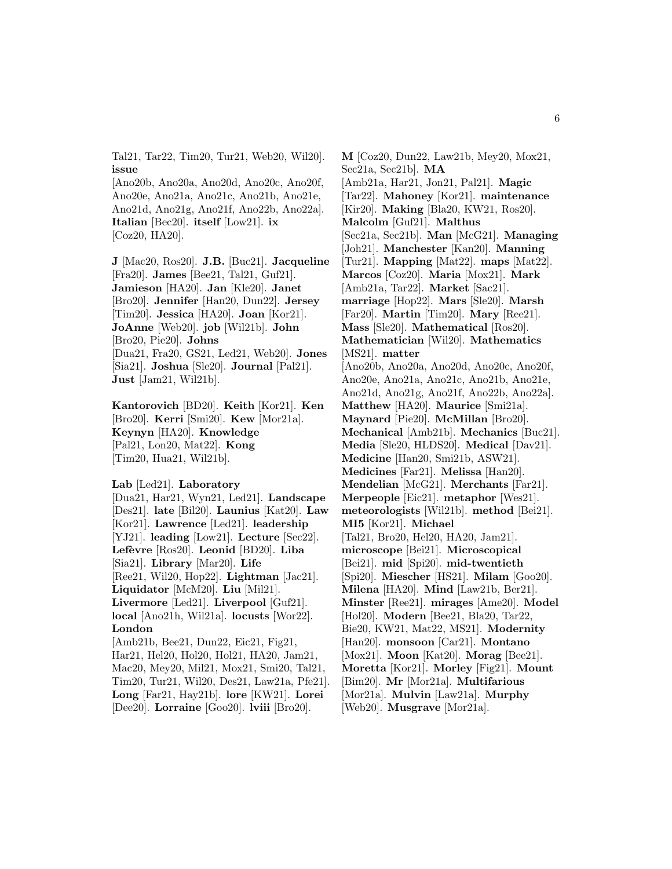Tal21, Tar22, Tim20, Tur21, Web20, Wil20]. **issue**

[Ano20b, Ano20a, Ano20d, Ano20c, Ano20f, Ano20e, Ano21a, Ano21c, Ano21b, Ano21e, Ano21d, Ano21g, Ano21f, Ano22b, Ano22a]. **Italian** [Bec20]. **itself** [Low21]. **ix** [Coz20, HA20].

**J** [Mac20, Ros20]. **J.B.** [Buc21]. **Jacqueline** [Fra20]. **James** [Bee21, Tal21, Guf21]. **Jamieson** [HA20]. **Jan** [Kle20]. **Janet** [Bro20]. **Jennifer** [Han20, Dun22]. **Jersey** [Tim20]. **Jessica** [HA20]. **Joan** [Kor21]. **JoAnne** [Web20]. **job** [Wil21b]. **John** [Bro20, Pie20]. **Johns** [Dua21, Fra20, GS21, Led21, Web20]. **Jones** [Sia21]. **Joshua** [Sle20]. **Journal** [Pal21]. **Just** [Jam21, Wil21b].

**Kantorovich** [BD20]. **Keith** [Kor21]. **Ken** [Bro20]. **Kerri** [Smi20]. **Kew** [Mor21a]. **Keynyn** [HA20]. **Knowledge** [Pal21, Lon20, Mat22]. **Kong** [Tim20, Hua21, Wil21b].

**Lab** [Led21]. **Laboratory**

[Dua21, Har21, Wyn21, Led21]. **Landscape** [Des21]. **late** [Bil20]. **Launius** [Kat20]. **Law** [Kor21]. **Lawrence** [Led21]. **leadership** [YJ21]. **leading** [Low21]. **Lecture** [Sec22]. **Lef`evre** [Ros20]. **Leonid** [BD20]. **Liba** [Sia21]. **Library** [Mar20]. **Life** [Ree21, Wil20, Hop22]. **Lightman** [Jac21]. **Liquidator** [McM20]. **Liu** [Mil21]. **Livermore** [Led21]. **Liverpool** [Guf21]. **local** [Ano21h, Wil21a]. **locusts** [Wor22]. **London** [Amb21b, Bee21, Dun22, Eic21, Fig21, Har21, Hel20, Hol20, Hol21, HA20, Jam21, Mac20, Mey20, Mil21, Mox21, Smi20, Tal21, Tim20, Tur21, Wil20, Des21, Law21a, Pfe21].

**Long** [Far21, Hay21b]. **lore** [KW21]. **Lorei** [Dee20]. **Lorraine** [Goo20]. **lviii** [Bro20].

**M** [Coz20, Dun22, Law21b, Mey20, Mox21, Sec21a, Sec21b]. **MA** [Amb21a, Har21, Jon21, Pal21]. **Magic** [Tar22]. **Mahoney** [Kor21]. **maintenance** [Kir20]. **Making** [Bla20, KW21, Ros20]. **Malcolm** [Guf21]. **Malthus** [Sec21a, Sec21b]. **Man** [McG21]. **Managing** [Joh21]. **Manchester** [Kan20]. **Manning** [Tur21]. **Mapping** [Mat22]. **maps** [Mat22]. **Marcos** [Coz20]. **Maria** [Mox21]. **Mark** [Amb21a, Tar22]. **Market** [Sac21]. **marriage** [Hop22]. **Mars** [Sle20]. **Marsh** [Far20]. **Martin** [Tim20]. **Mary** [Ree21]. **Mass** [Sle20]. **Mathematical** [Ros20]. **Mathematician** [Wil20]. **Mathematics** [MS21]. **matter** [Ano20b, Ano20a, Ano20d, Ano20c, Ano20f, Ano20e, Ano21a, Ano21c, Ano21b, Ano21e, Ano21d, Ano21g, Ano21f, Ano22b, Ano22a]. **Matthew** [HA20]. **Maurice** [Smi21a]. **Maynard** [Pie20]. **McMillan** [Bro20]. **Mechanical** [Amb21b]. **Mechanics** [Buc21]. **Media** [Sle20, HLDS20]. **Medical** [Dav21]. **Medicine** [Han20, Smi21b, ASW21]. **Medicines** [Far21]. **Melissa** [Han20]. **Mendelian** [McG21]. **Merchants** [Far21]. **Merpeople** [Eic21]. **metaphor** [Wes21]. **meteorologists** [Wil21b]. **method** [Bei21]. **MI5** [Kor21]. **Michael** [Tal21, Bro20, Hel20, HA20, Jam21]. **microscope** [Bei21]. **Microscopical** [Bei21]. **mid** [Spi20]. **mid-twentieth** [Spi20]. **Miescher** [HS21]. **Milam** [Goo20]. **Milena** [HA20]. **Mind** [Law21b, Ber21]. **Minster** [Ree21]. **mirages** [Ame20]. **Model** [Hol20]. **Modern** [Bee21, Bla20, Tar22, Bie20, KW21, Mat22, MS21]. **Modernity** [Han20]. **monsoon** [Car21]. **Montano** [Mox21]. **Moon** [Kat20]. **Morag** [Bee21]. **Moretta** [Kor21]. **Morley** [Fig21]. **Mount** [Bim20]. **Mr** [Mor21a]. **Multifarious** [Mor21a]. **Mulvin** [Law21a]. **Murphy** [Web20]. **Musgrave** [Mor21a].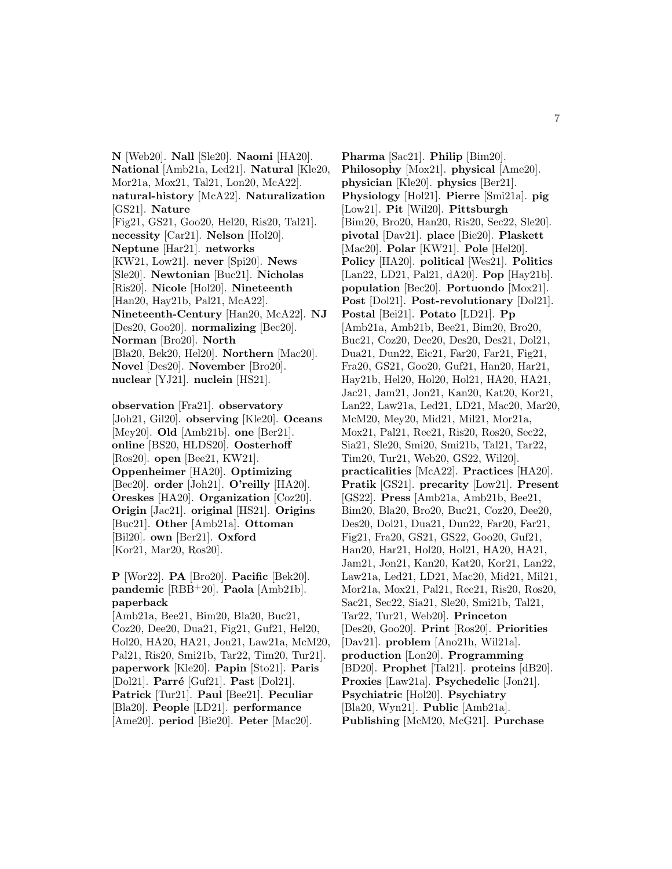**N** [Web20]. **Nall** [Sle20]. **Naomi** [HA20]. **National** [Amb21a, Led21]. **Natural** [Kle20, Mor21a, Mox21, Tal21, Lon20, McA22]. **natural-history** [McA22]. **Naturalization** [GS21]. **Nature** [Fig21, GS21, Goo20, Hel20, Ris20, Tal21]. **necessity** [Car21]. **Nelson** [Hol20]. **Neptune** [Har21]. **networks** [KW21, Low21]. **never** [Spi20]. **News** [Sle20]. **Newtonian** [Buc21]. **Nicholas** [Ris20]. **Nicole** [Hol20]. **Nineteenth** [Han20, Hay21b, Pal21, McA22]. **Nineteenth-Century** [Han20, McA22]. **NJ** [Des20, Goo20]. **normalizing** [Bec20]. **Norman** [Bro20]. **North** [Bla20, Bek20, Hel20]. **Northern** [Mac20]. **Novel** [Des20]. **November** [Bro20]. **nuclear** [YJ21]. **nuclein** [HS21].

**observation** [Fra21]. **observatory** [Joh21, Gil20]. **observing** [Kle20]. **Oceans** [Mey20]. **Old** [Amb21b]. **one** [Ber21]. **online** [BS20, HLDS20]. **Oosterhoff** [Ros20]. **open** [Bee21, KW21]. **Oppenheimer** [HA20]. **Optimizing** [Bec20]. **order** [Joh21]. **O'reilly** [HA20]. **Oreskes** [HA20]. **Organization** [Coz20]. **Origin** [Jac21]. **original** [HS21]. **Origins** [Buc21]. **Other** [Amb21a]. **Ottoman** [Bil20]. **own** [Ber21]. **Oxford** [Kor21, Mar20, Ros20].

**P** [Wor22]. **PA** [Bro20]. **Pacific** [Bek20]. **pandemic** [RBB<sup>+</sup>20]. **Paola** [Amb21b]. **paperback**

[Amb21a, Bee21, Bim20, Bla20, Buc21, Coz20, Dee20, Dua21, Fig21, Guf21, Hel20, Hol20, HA20, HA21, Jon21, Law21a, McM20, Pal21, Ris20, Smi21b, Tar22, Tim20, Tur21]. **paperwork** [Kle20]. **Papin** [Sto21]. **Paris** [Dol21]. **Parré** [Guf21]. **Past** [Dol21]. **Patrick** [Tur21]. **Paul** [Bee21]. **Peculiar** [Bla20]. **People** [LD21]. **performance** [Ame20]. **period** [Bie20]. **Peter** [Mac20].

**Pharma** [Sac21]. **Philip** [Bim20]. **Philosophy** [Mox21]. **physical** [Ame20]. **physician** [Kle20]. **physics** [Ber21]. **Physiology** [Hol21]. **Pierre** [Smi21a]. **pig** [Low21]. **Pit** [Wil20]. **Pittsburgh** [Bim20, Bro20, Han20, Ris20, Sec22, Sle20]. **pivotal** [Dav21]. **place** [Bie20]. **Plaskett** [Mac20]. **Polar** [KW21]. **Pole** [Hel20]. **Policy** [HA20]. **political** [Wes21]. **Politics** [Lan22, LD21, Pal21, dA20]. **Pop** [Hay21b]. **population** [Bec20]. **Portuondo** [Mox21]. **Post** [Dol21]. **Post-revolutionary** [Dol21]. **Postal** [Bei21]. **Potato** [LD21]. **Pp** [Amb21a, Amb21b, Bee21, Bim20, Bro20, Buc21, Coz20, Dee20, Des20, Des21, Dol21, Dua21, Dun22, Eic21, Far20, Far21, Fig21, Fra20, GS21, Goo20, Guf21, Han20, Har21, Hay21b, Hel20, Hol20, Hol21, HA20, HA21, Jac21, Jam21, Jon21, Kan20, Kat20, Kor21, Lan22, Law21a, Led21, LD21, Mac20, Mar20, McM20, Mey20, Mid21, Mil21, Mor21a, Mox21, Pal21, Ree21, Ris20, Ros20, Sec22, Sia21, Sle20, Smi20, Smi21b, Tal21, Tar22, Tim20, Tur21, Web20, GS22, Wil20]. **practicalities** [McA22]. **Practices** [HA20]. **Pratik** [GS21]. **precarity** [Low21]. **Present** [GS22]. **Press** [Amb21a, Amb21b, Bee21, Bim20, Bla20, Bro20, Buc21, Coz20, Dee20, Des20, Dol21, Dua21, Dun22, Far20, Far21, Fig21, Fra20, GS21, GS22, Goo20, Guf21, Han20, Har21, Hol20, Hol21, HA20, HA21, Jam21, Jon21, Kan20, Kat20, Kor21, Lan22, Law21a, Led21, LD21, Mac20, Mid21, Mil21, Mor21a, Mox21, Pal21, Ree21, Ris20, Ros20, Sac21, Sec22, Sia21, Sle20, Smi21b, Tal21, Tar22, Tur21, Web20]. **Princeton** [Des20, Goo20]. **Print** [Ros20]. **Priorities** [Dav21]. **problem** [Ano21h, Wil21a]. **production** [Lon20]. **Programming** [BD20]. **Prophet** [Tal21]. **proteins** [dB20]. **Proxies** [Law21a]. **Psychedelic** [Jon21]. **Psychiatric** [Hol20]. **Psychiatry** [Bla20, Wyn21]. **Public** [Amb21a]. **Publishing** [McM20, McG21]. **Purchase**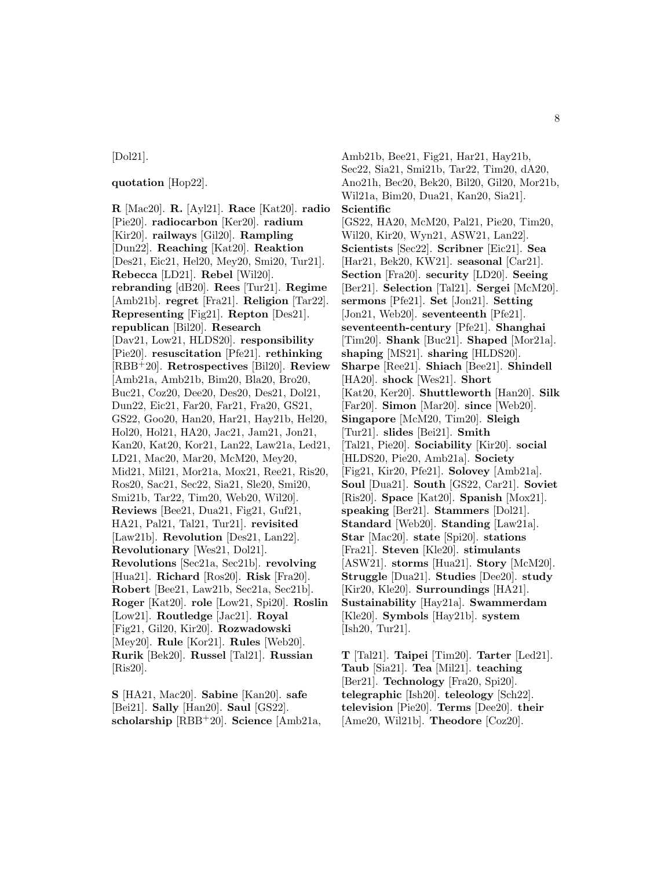# [Dol21].

### **quotation** [Hop22].

**R** [Mac20]. **R.** [Ayl21]. **Race** [Kat20]. **radio** [Pie20]. **radiocarbon** [Ker20]. **radium** [Kir20]. **railways** [Gil20]. **Rampling** [Dun22]. **Reaching** [Kat20]. **Reaktion** [Des21, Eic21, Hel20, Mey20, Smi20, Tur21]. **Rebecca** [LD21]. **Rebel** [Wil20]. **rebranding** [dB20]. **Rees** [Tur21]. **Regime** [Amb21b]. **regret** [Fra21]. **Religion** [Tar22]. **Representing** [Fig21]. **Repton** [Des21]. **republican** [Bil20]. **Research** [Dav21, Low21, HLDS20]. **responsibility** [Pie20]. **resuscitation** [Pfe21]. **rethinking** [RBB<sup>+</sup>20]. **Retrospectives** [Bil20]. **Review** [Amb21a, Amb21b, Bim20, Bla20, Bro20, Buc21, Coz20, Dee20, Des20, Des21, Dol21, Dun22, Eic21, Far20, Far21, Fra20, GS21, GS22, Goo20, Han20, Har21, Hay21b, Hel20, Hol20, Hol21, HA20, Jac21, Jam21, Jon21, Kan20, Kat20, Kor21, Lan22, Law21a, Led21, LD21, Mac20, Mar20, McM20, Mey20, Mid21, Mil21, Mor21a, Mox21, Ree21, Ris20, Ros20, Sac21, Sec22, Sia21, Sle20, Smi20, Smi21b, Tar22, Tim20, Web20, Wil20]. **Reviews** [Bee21, Dua21, Fig21, Guf21, HA21, Pal21, Tal21, Tur21]. **revisited** [Law21b]. **Revolution** [Des21, Lan22]. **Revolutionary** [Wes21, Dol21]. **Revolutions** [Sec21a, Sec21b]. **revolving** [Hua21]. **Richard** [Ros20]. **Risk** [Fra20]. **Robert** [Bee21, Law21b, Sec21a, Sec21b]. **Roger** [Kat20]. **role** [Low21, Spi20]. **Roslin** [Low21]. **Routledge** [Jac21]. **Royal** [Fig21, Gil20, Kir20]. **Rozwadowski** [Mey20]. **Rule** [Kor21]. **Rules** [Web20]. **Rurik** [Bek20]. **Russel** [Tal21]. **Russian** [Ris20].

**S** [HA21, Mac20]. **Sabine** [Kan20]. **safe** [Bei21]. **Sally** [Han20]. **Saul** [GS22]. **scholarship** [RBB<sup>+</sup>20]. **Science** [Amb21a,

Amb21b, Bee21, Fig21, Har21, Hay21b, Sec22, Sia21, Smi21b, Tar22, Tim20, dA20, Ano21h, Bec20, Bek20, Bil20, Gil20, Mor21b, Wil21a, Bim20, Dua21, Kan20, Sia21]. **Scientific** [GS22, HA20, McM20, Pal21, Pie20, Tim20, Wil20, Kir20, Wyn21, ASW21, Lan22]. **Scientists** [Sec22]. **Scribner** [Eic21]. **Sea** [Har21, Bek20, KW21]. **seasonal** [Car21]. **Section** [Fra20]. **security** [LD20]. **Seeing** [Ber21]. **Selection** [Tal21]. **Sergei** [McM20]. **sermons** [Pfe21]. **Set** [Jon21]. **Setting** [Jon21, Web20]. **seventeenth** [Pfe21]. **seventeenth-century** [Pfe21]. **Shanghai** [Tim20]. **Shank** [Buc21]. **Shaped** [Mor21a]. **shaping** [MS21]. **sharing** [HLDS20]. **Sharpe** [Ree21]. **Shiach** [Bee21]. **Shindell** [HA20]. **shock** [Wes21]. **Short** [Kat20, Ker20]. **Shuttleworth** [Han20]. **Silk** [Far20]. **Simon** [Mar20]. **since** [Web20]. **Singapore** [McM20, Tim20]. **Sleigh** [Tur21]. **slides** [Bei21]. **Smith** [Tal21, Pie20]. **Sociability** [Kir20]. **social** [HLDS20, Pie20, Amb21a]. **Society** [Fig21, Kir20, Pfe21]. **Solovey** [Amb21a]. **Soul** [Dua21]. **South** [GS22, Car21]. **Soviet** [Ris20]. **Space** [Kat20]. **Spanish** [Mox21]. **speaking** [Ber21]. **Stammers** [Dol21]. **Standard** [Web20]. **Standing** [Law21a]. **Star** [Mac20]. **state** [Spi20]. **stations** [Fra21]. **Steven** [Kle20]. **stimulants** [ASW21]. **storms** [Hua21]. **Story** [McM20]. **Struggle** [Dua21]. **Studies** [Dee20]. **study** [Kir20, Kle20]. **Surroundings** [HA21]. **Sustainability** [Hay21a]. **Swammerdam** [Kle20]. **Symbols** [Hay21b]. **system** [Ish20, Tur21].

**T** [Tal21]. **Taipei** [Tim20]. **Tarter** [Led21]. **Taub** [Sia21]. **Tea** [Mil21]. **teaching** [Ber21]. **Technology** [Fra20, Spi20]. **telegraphic** [Ish20]. **teleology** [Sch22]. **television** [Pie20]. **Terms** [Dee20]. **their** [Ame20, Wil21b]. **Theodore** [Coz20].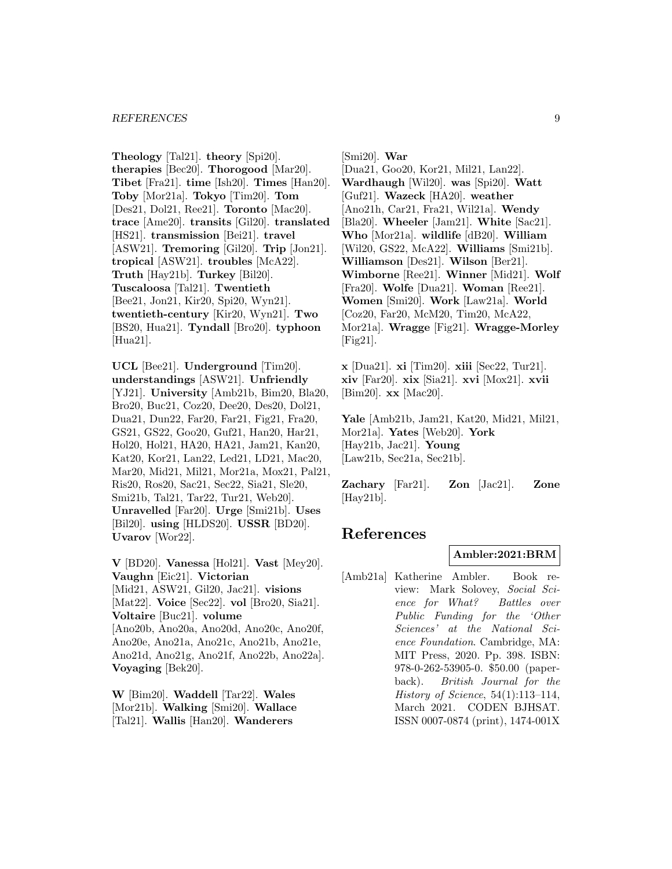#### *REFERENCES* 9

**Theology** [Tal21]. **theory** [Spi20]. **therapies** [Bec20]. **Thorogood** [Mar20]. **Tibet** [Fra21]. **time** [Ish20]. **Times** [Han20]. **Toby** [Mor21a]. **Tokyo** [Tim20]. **Tom** [Des21, Dol21, Ree21]. **Toronto** [Mac20]. **trace** [Ame20]. **transits** [Gil20]. **translated** [HS21]. **transmission** [Bei21]. **travel** [ASW21]. **Tremoring** [Gil20]. **Trip** [Jon21]. **tropical** [ASW21]. **troubles** [McA22]. **Truth** [Hay21b]. **Turkey** [Bil20]. **Tuscaloosa** [Tal21]. **Twentieth** [Bee21, Jon21, Kir20, Spi20, Wyn21]. **twentieth-century** [Kir20, Wyn21]. **Two** [BS20, Hua21]. **Tyndall** [Bro20]. **typhoon** [Hua21].

**UCL** [Bee21]. **Underground** [Tim20]. **understandings** [ASW21]. **Unfriendly** [YJ21]. **University** [Amb21b, Bim20, Bla20, Bro20, Buc21, Coz20, Dee20, Des20, Dol21, Dua21, Dun22, Far20, Far21, Fig21, Fra20, GS21, GS22, Goo20, Guf21, Han20, Har21, Hol20, Hol21, HA20, HA21, Jam21, Kan20, Kat20, Kor21, Lan22, Led21, LD21, Mac20, Mar20, Mid21, Mil21, Mor21a, Mox21, Pal21, Ris20, Ros20, Sac21, Sec22, Sia21, Sle20, Smi21b, Tal21, Tar22, Tur21, Web20]. **Unravelled** [Far20]. **Urge** [Smi21b]. **Uses** [Bil20]. **using** [HLDS20]. **USSR** [BD20]. **Uvarov** [Wor22].

**V** [BD20]. **Vanessa** [Hol21]. **Vast** [Mey20]. **Vaughn** [Eic21]. **Victorian** [Mid21, ASW21, Gil20, Jac21]. **visions** [Mat22]. **Voice** [Sec22]. **vol** [Bro20, Sia21]. **Voltaire** [Buc21]. **volume** [Ano20b, Ano20a, Ano20d, Ano20c, Ano20f, Ano20e, Ano21a, Ano21c, Ano21b, Ano21e, Ano21d, Ano21g, Ano21f, Ano22b, Ano22a]. **Voyaging** [Bek20].

**W** [Bim20]. **Waddell** [Tar22]. **Wales** [Mor21b]. **Walking** [Smi20]. **Wallace** [Tal21]. **Wallis** [Han20]. **Wanderers**

[Smi20]. **War**

[Dua21, Goo20, Kor21, Mil21, Lan22]. **Wardhaugh** [Wil20]. **was** [Spi20]. **Watt** [Guf21]. **Wazeck** [HA20]. **weather** [Ano21h, Car21, Fra21, Wil21a]. **Wendy** [Bla20]. **Wheeler** [Jam21]. **White** [Sac21]. **Who** [Mor21a]. **wildlife** [dB20]. **William** [Wil20, GS22, McA22]. **Williams** [Smi21b]. **Williamson** [Des21]. **Wilson** [Ber21]. **Wimborne** [Ree21]. **Winner** [Mid21]. **Wolf** [Fra20]. **Wolfe** [Dua21]. **Woman** [Ree21]. **Women** [Smi20]. **Work** [Law21a]. **World** [Coz20, Far20, McM20, Tim20, McA22, Mor21a]. **Wragge** [Fig21]. **Wragge-Morley**  $[Fig21]$ .

**x** [Dua21]. **xi** [Tim20]. **xiii** [Sec22, Tur21]. **xiv** [Far20]. **xix** [Sia21]. **xvi** [Mox21]. **xvii** [Bim20]. **xx** [Mac20].

**Yale** [Amb21b, Jam21, Kat20, Mid21, Mil21, Mor21a]. **Yates** [Web20]. **York** [Hay21b, Jac21]. **Young** [Law21b, Sec21a, Sec21b].

**Zachary** [Far21]. **Zon** [Jac21]. **Zone** [Hay21b].

# **References**

#### **Ambler:2021:BRM**

[Amb21a] Katherine Ambler. Book review: Mark Solovey, Social Science for What? Battles over Public Funding for the 'Other Sciences' at the National Science Foundation. Cambridge, MA: MIT Press, 2020. Pp. 398. ISBN: 978-0-262-53905-0. \$50.00 (paperback). British Journal for the History of Science, 54(1):113–114, March 2021. CODEN BJHSAT. ISSN 0007-0874 (print), 1474-001X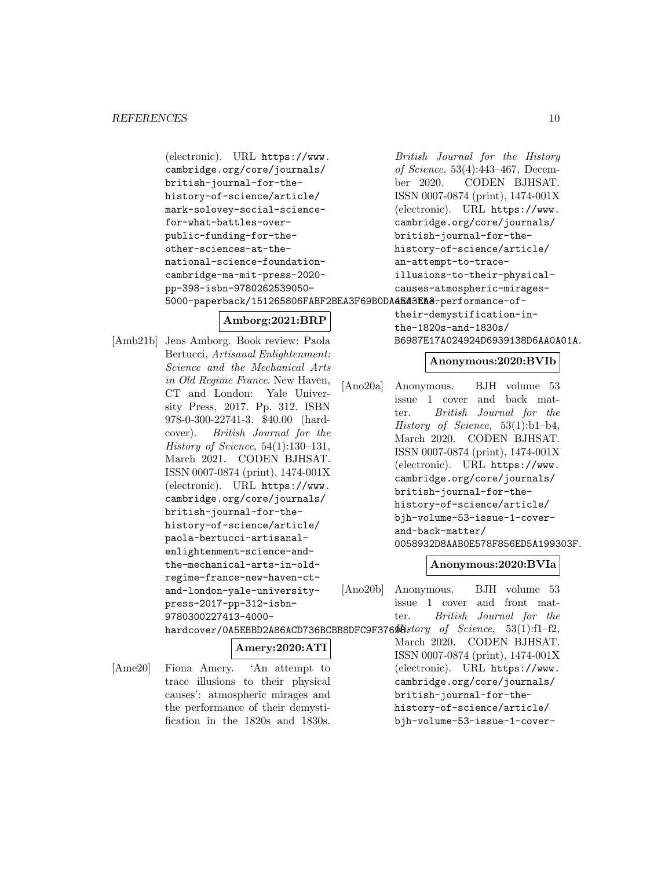(electronic). URL https://www. cambridge.org/core/journals/ british-journal-for-thehistory-of-science/article/ mark-solovey-social-sciencefor-what-battles-overpublic-funding-for-theother-sciences-at-thenational-science-foundationcambridge-ma-mit-press-2020 pp-398-isbn-9780262539050- 5000-paperback/151265806FABF2BEA3F69B0DA**4E43EA8**-performance-of-

# **Amborg:2021:BRP**

[Amb21b] Jens Amborg. Book review: Paola Bertucci, Artisanal Enlightenment: Science and the Mechanical Arts in Old Regime France. New Haven, CT and London: Yale University Press, 2017. Pp. 312. ISBN 978-0-300-22741-3. \$40.00 (hardcover). British Journal for the History of Science, 54(1):130–131, March 2021. CODEN BJHSAT. ISSN 0007-0874 (print), 1474-001X (electronic). URL https://www. cambridge.org/core/journals/ british-journal-for-thehistory-of-science/article/ paola-bertucci-artisanalenlightenment-science-andthe-mechanical-arts-in-oldregime-france-new-haven-ctand-london-yale-universitypress-2017-pp-312-isbn-9780300227413-4000 hardcover/0A5EBBD2A86A

 $[Ame20]$  Fiona Amery. 'An att

# British Journal for the History of Science, 53(4):443–467, December 2020. CODEN BJHSAT. ISSN 0007-0874 (print), 1474-001X (electronic). URL https://www. cambridge.org/core/journals/ british-journal-for-thehistory-of-science/article/ an-attempt-to-traceillusions-to-their-physicalcauses-atmospheric-mirages-

their-demystification-inthe-1820s-and-1830s/ B6987E17A024924D6939138D6AA0A01A.

# **Anonymous:2020:BVIb**

[Ano20a] Anonymous. BJH volume 53 issue 1 cover and back matter. British Journal for the History of Science, 53(1):b1–b4, March 2020. CODEN BJHSAT. ISSN 0007-0874 (print), 1474-001X (electronic). URL https://www. cambridge.org/core/journals/ british-journal-for-thehistory-of-science/article/ bjh-volume-53-issue-1-coverand-back-matter/ 0058932D8AAB0E578F856ED5A199303F.

[Ano20b] Anonymous. BJH volume 53

# **Anonymous:2020:BVIa**

| press-2017-pp-312-isbn-                                                  | issue 1 cover and front mat-      |
|--------------------------------------------------------------------------|-----------------------------------|
| 9780300227413-4000-                                                      | ter. British Journal for the      |
| hardcover/0A5EBBD2A86ACD736BCBB8DFC9F3769Bstory of Science, 53(1):f1-f2, |                                   |
| Amery:2020:ATI                                                           | March 2020. CODEN BJHSAT.         |
|                                                                          | ISSN 0007-0874 (print), 1474-001X |
| Fiona Amery. 'An attempt to                                              | (electronic). URL https://www.    |
| trace illusions to their physical                                        | cambridge.org/core/journals/      |
| causes': atmospheric mirages and                                         | british-journal-for-the-          |
| the performance of their demysti-                                        | history-of-science/article/       |
| fication in the 1820s and 1830s.                                         | bjh-volume-53-issue-1-cover-      |
|                                                                          |                                   |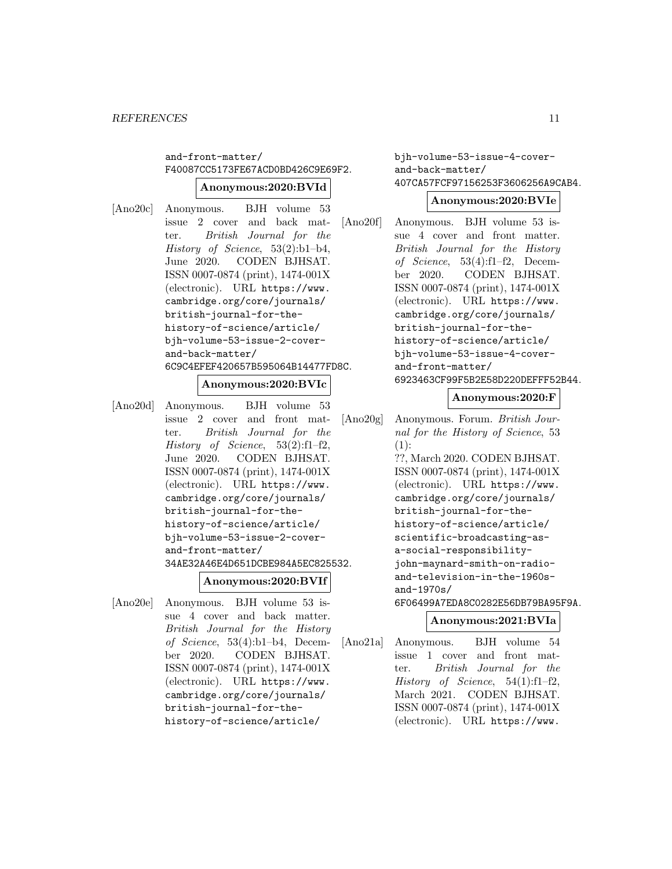# and-front-matter/ F40087CC5173FE67ACD0BD426C9E69F2.

### **Anonymous:2020:BVId**

[Ano20c] Anonymous. BJH volume 53 issue 2 cover and back matter. British Journal for the History of Science, 53(2):b1–b4, June 2020. CODEN BJHSAT. ISSN 0007-0874 (print), 1474-001X (electronic). URL https://www. cambridge.org/core/journals/ british-journal-for-thehistory-of-science/article/ bjh-volume-53-issue-2-coverand-back-matter/ 6C9C4EFEF420657B595064B14477FD8C.

### **Anonymous:2020:BVIc**

[Ano20d] Anonymous. BJH volume 53 issue 2 cover and front matter. British Journal for the History of Science, 53(2):f1–f2, June 2020. CODEN BJHSAT. ISSN 0007-0874 (print), 1474-001X (electronic). URL https://www. cambridge.org/core/journals/ british-journal-for-thehistory-of-science/article/ bjh-volume-53-issue-2-coverand-front-matter/ 34AE32A46E4D651DCBE984A5EC825532.

# **Anonymous:2020:BVIf**

[Ano20e] Anonymous. BJH volume 53 issue 4 cover and back matter. British Journal for the History of Science, 53(4):b1–b4, December 2020. CODEN BJHSAT. ISSN 0007-0874 (print), 1474-001X (electronic). URL https://www. cambridge.org/core/journals/ british-journal-for-thehistory-of-science/article/

bjh-volume-53-issue-4-coverand-back-matter/ 407CA57FCF97156253F3606256A9CAB4.

#### **Anonymous:2020:BVIe**

[Ano20f] Anonymous. BJH volume 53 issue 4 cover and front matter. British Journal for the History of Science, 53(4):f1–f2, December 2020. CODEN BJHSAT. ISSN 0007-0874 (print), 1474-001X (electronic). URL https://www. cambridge.org/core/journals/ british-journal-for-thehistory-of-science/article/ bjh-volume-53-issue-4-coverand-front-matter/ 6923463CF99F5B2E58D220DEFFF52B44.

**Anonymous:2020:F**

```
[Ano20g] Anonymous. Forum. British Jour-
         nal for the History of Science, 53
         (1):??, March 2020. CODEN BJHSAT.
         ISSN 0007-0874 (print), 1474-001X
         (electronic). URL https://www.
         cambridge.org/core/journals/
         british-journal-for-the-
         history-of-science/article/
         scientific-broadcasting-as-
         a-social-responsibility-
         john-maynard-smith-on-radio-
         and-television-in-the-1960s-
         and-1970s/
         6F06499A7EDA8C0282E56DB79BA95F9A.
```
# **Anonymous:2021:BVIa**

[Ano21a] Anonymous. BJH volume 54 issue 1 cover and front matter. British Journal for the History of Science, 54(1):f1–f2, March 2021. CODEN BJHSAT. ISSN 0007-0874 (print), 1474-001X (electronic). URL https://www.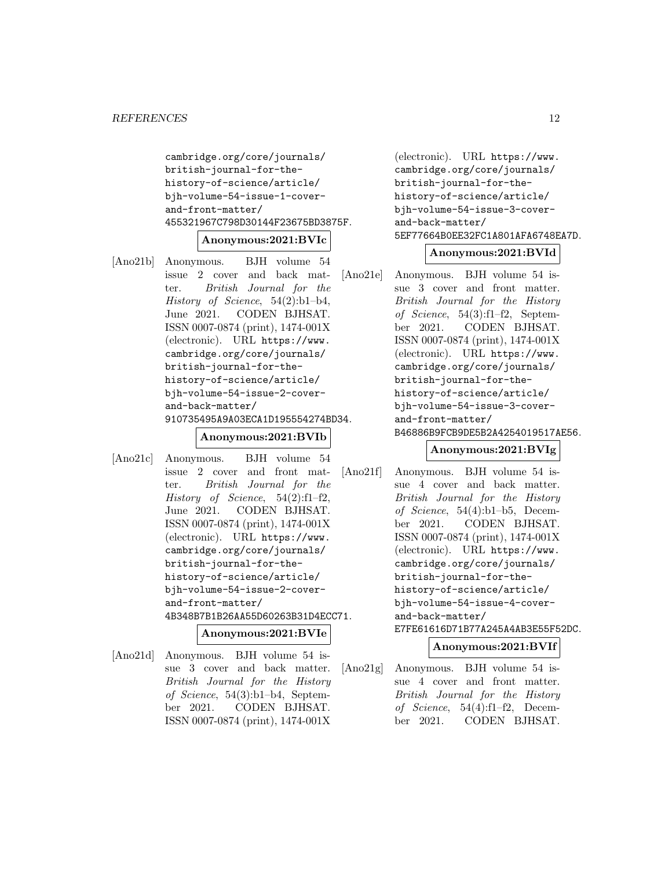```
cambridge.org/core/journals/
british-journal-for-the-
history-of-science/article/
bjh-volume-54-issue-1-cover-
and-front-matter/
455321967C798D30144F23675BD3875F.
```
### **Anonymous:2021:BVIc**

[Ano21b] Anonymous. BJH volume 54 issue 2 cover and back matter. British Journal for the History of Science, 54(2):b1–b4, June 2021. CODEN BJHSAT. ISSN 0007-0874 (print), 1474-001X (electronic). URL https://www. cambridge.org/core/journals/ british-journal-for-thehistory-of-science/article/ bjh-volume-54-issue-2-coverand-back-matter/ 910735495A9A03ECA1D195554274BD34.

# **Anonymous:2021:BVIb**

[Ano21c] Anonymous. BJH volume 54 issue 2 cover and front matter. British Journal for the History of Science,  $54(2):f1-f2$ , June 2021. CODEN BJHSAT. ISSN 0007-0874 (print), 1474-001X (electronic). URL https://www. cambridge.org/core/journals/ british-journal-for-thehistory-of-science/article/ bjh-volume-54-issue-2-coverand-front-matter/ 4B348B7B1B26AA55D60263B31D4ECC71.

### **Anonymous:2021:BVIe**

[Ano21d] Anonymous. BJH volume 54 issue 3 cover and back matter. British Journal for the History of Science, 54(3):b1–b4, September 2021. CODEN BJHSAT. ISSN 0007-0874 (print), 1474-001X

(electronic). URL https://www. cambridge.org/core/journals/ british-journal-for-thehistory-of-science/article/ bjh-volume-54-issue-3-coverand-back-matter/ 5EF77664B0EE32FC1A801AFA6748EA7D.

# **Anonymous:2021:BVId**

[Ano21e] Anonymous. BJH volume 54 issue 3 cover and front matter. British Journal for the History of Science, 54(3):f1–f2, September 2021. CODEN BJHSAT. ISSN 0007-0874 (print), 1474-001X (electronic). URL https://www. cambridge.org/core/journals/ british-journal-for-thehistory-of-science/article/ bjh-volume-54-issue-3-coverand-front-matter/ B46886B9FCB9DE5B2A4254019517AE56.

# **Anonymous:2021:BVIg**

[Ano21f] Anonymous. BJH volume 54 issue 4 cover and back matter. British Journal for the History of Science, 54(4):b1–b5, December 2021. CODEN BJHSAT. ISSN 0007-0874 (print), 1474-001X (electronic). URL https://www. cambridge.org/core/journals/ british-journal-for-thehistory-of-science/article/ bjh-volume-54-issue-4-coverand-back-matter/ E7FE61616D71B77A245A4AB3E55F52DC.

# **Anonymous:2021:BVIf**

[Ano21g] Anonymous. BJH volume 54 issue 4 cover and front matter. British Journal for the History of Science, 54(4):f1–f2, December 2021. CODEN BJHSAT.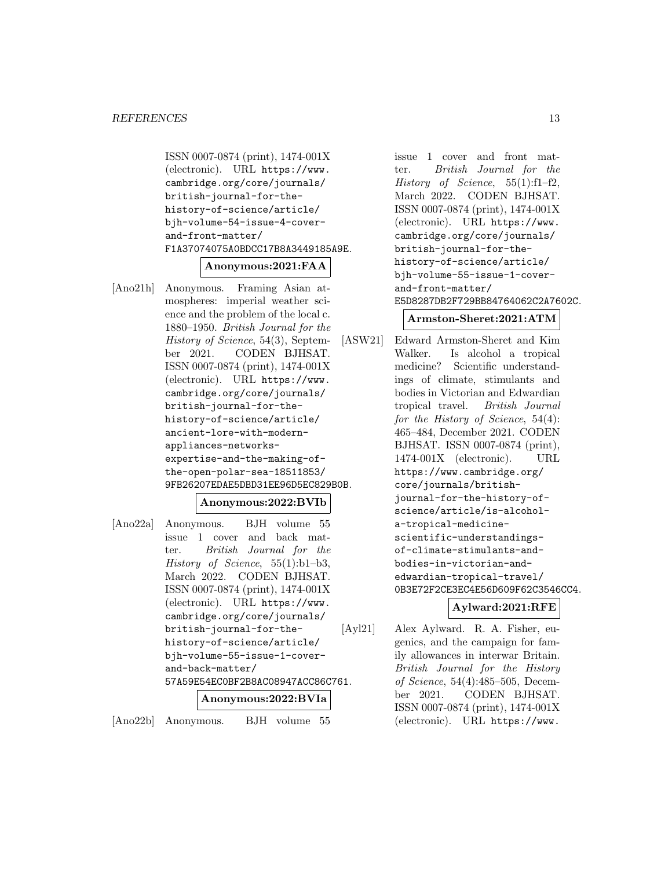```
ISSN 0007-0874 (print), 1474-001X
(electronic). URL https://www.
cambridge.org/core/journals/
british-journal-for-the-
history-of-science/article/
bjh-volume-54-issue-4-cover-
and-front-matter/
F1A37074075A0BDCC17B8A3449185A9E.
```
#### **Anonymous:2021:FAA**

[Ano21h] Anonymous. Framing Asian atmospheres: imperial weather science and the problem of the local c. 1880–1950. British Journal for the History of Science, 54(3), September 2021. CODEN BJHSAT. ISSN 0007-0874 (print), 1474-001X (electronic). URL https://www. cambridge.org/core/journals/ british-journal-for-thehistory-of-science/article/ ancient-lore-with-modernappliances-networksexpertise-and-the-making-ofthe-open-polar-sea-18511853/ 9FB26207EDAE5DBD31EE96D5EC829B0B.

# **Anonymous:2022:BVIb**

[Ano22a] Anonymous. BJH volume 55 issue 1 cover and back matter. British Journal for the History of Science,  $55(1):b1-b3$ , March 2022. CODEN BJHSAT. ISSN 0007-0874 (print), 1474-001X (electronic). URL https://www. cambridge.org/core/journals/ british-journal-for-thehistory-of-science/article/ bjh-volume-55-issue-1-coverand-back-matter/ 57A59E54EC0BF2B8AC08947ACC86C761. **Anonymous:2022:BVIa**

[Ano22b] Anonymous. BJH volume 55

issue 1 cover and front matter. British Journal for the History of Science, 55(1):f1–f2, March 2022. CODEN BJHSAT. ISSN 0007-0874 (print), 1474-001X (electronic). URL https://www. cambridge.org/core/journals/ british-journal-for-thehistory-of-science/article/ bjh-volume-55-issue-1-coverand-front-matter/ E5D8287DB2F729BB84764062C2A7602C.

#### **Armston-Sheret:2021:ATM**

[ASW21] Edward Armston-Sheret and Kim Walker. Is alcohol a tropical medicine? Scientific understandings of climate, stimulants and bodies in Victorian and Edwardian tropical travel. British Journal for the History of Science, 54(4): 465–484, December 2021. CODEN BJHSAT. ISSN 0007-0874 (print), 1474-001X (electronic). URL https://www.cambridge.org/ core/journals/britishjournal-for-the-history-ofscience/article/is-alcohola-tropical-medicinescientific-understandingsof-climate-stimulants-andbodies-in-victorian-andedwardian-tropical-travel/ 0B3E72F2CE3EC4E56D609F62C3546CC4.

# **Aylward:2021:RFE**

[Ayl21] Alex Aylward. R. A. Fisher, eugenics, and the campaign for family allowances in interwar Britain. British Journal for the History of Science, 54(4):485–505, December 2021. CODEN BJHSAT. ISSN 0007-0874 (print), 1474-001X (electronic). URL https://www.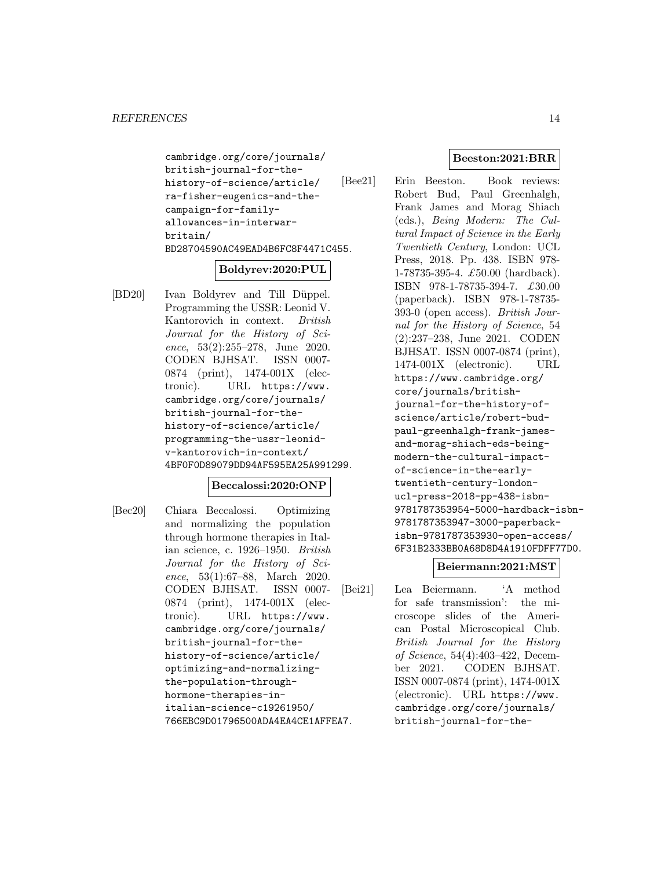```
cambridge.org/core/journals/
british-journal-for-the-
history-of-science/article/
ra-fisher-eugenics-and-the-
campaign-for-family-
allowances-in-interwar-
britain/
BD28704590AC49EAD4B6FC8F4471C455.
```
# **Boldyrev:2020:PUL**

[BD20] Ivan Boldyrev and Till Düppel. Programming the USSR: Leonid V. Kantorovich in context. British Journal for the History of Science,  $53(2):255-278$ , June 2020. CODEN BJHSAT. ISSN 0007- 0874 (print), 1474-001X (electronic). URL https://www. cambridge.org/core/journals/ british-journal-for-thehistory-of-science/article/ programming-the-ussr-leonidv-kantorovich-in-context/ 4BF0F0D89079DD94AF595EA25A991299.

# **Beccalossi:2020:ONP**

[Bec20] Chiara Beccalossi. Optimizing and normalizing the population through hormone therapies in Italian science, c. 1926–1950. British Journal for the History of Science, 53(1):67–88, March 2020. CODEN BJHSAT. ISSN 0007- 0874 (print), 1474-001X (electronic). URL https://www. cambridge.org/core/journals/ british-journal-for-thehistory-of-science/article/ optimizing-and-normalizingthe-population-throughhormone-therapies-initalian-science-c19261950/ 766EBC9D01796500ADA4EA4CE1AFFEA7.

# **Beeston:2021:BRR**

[Bee21] Erin Beeston. Book reviews: Robert Bud, Paul Greenhalgh, Frank James and Morag Shiach (eds.), Being Modern: The Cultural Impact of Science in the Early Twentieth Century, London: UCL Press, 2018. Pp. 438. ISBN 978- 1-78735-395-4. £50.00 (hardback). ISBN 978-1-78735-394-7. £30.00 (paperback). ISBN 978-1-78735- 393-0 (open access). British Journal for the History of Science, 54 (2):237–238, June 2021. CODEN BJHSAT. ISSN 0007-0874 (print), 1474-001X (electronic). URL https://www.cambridge.org/ core/journals/britishjournal-for-the-history-ofscience/article/robert-budpaul-greenhalgh-frank-jamesand-morag-shiach-eds-beingmodern-the-cultural-impactof-science-in-the-earlytwentieth-century-londonucl-press-2018-pp-438-isbn-9781787353954-5000-hardback-isbn-9781787353947-3000-paperbackisbn-9781787353930-open-access/ 6F31B2333BB0A68D8D4A1910FDFF77D0.

# **Beiermann:2021:MST**

[Bei21] Lea Beiermann. 'A method for safe transmission': the microscope slides of the American Postal Microscopical Club. British Journal for the History of Science, 54(4):403–422, December 2021. CODEN BJHSAT. ISSN 0007-0874 (print), 1474-001X (electronic). URL https://www. cambridge.org/core/journals/ british-journal-for-the-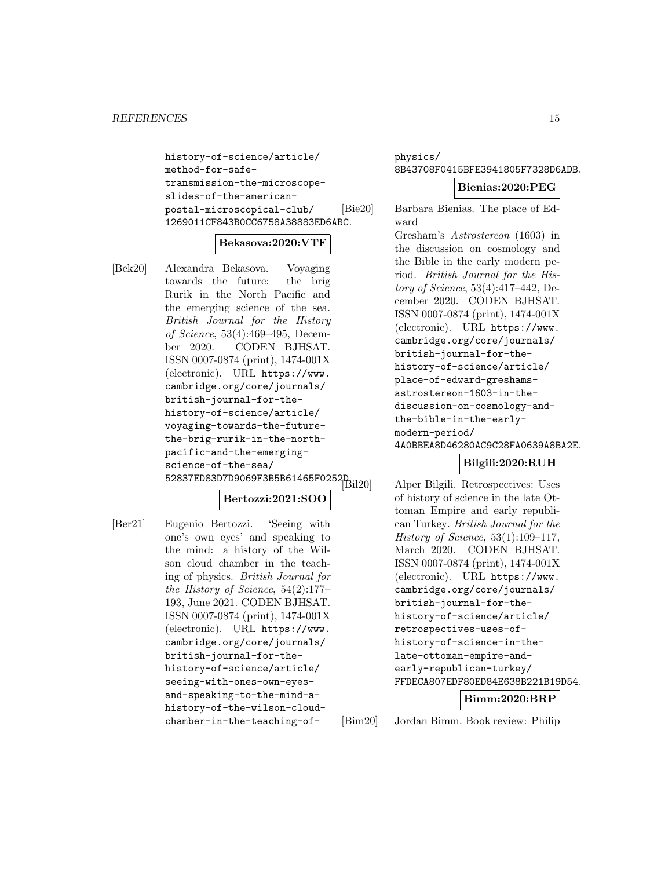```
history-of-science/article/
method-for-safe-
transmission-the-microscope-
slides-of-the-american-
postal-microscopical-club/
1269011CF843B0CC6758A38883ED6ABC.
```
#### **Bekasova:2020:VTF**

[Bek20] Alexandra Bekasova. Voyaging towards the future: the brig Rurik in the North Pacific and the emerging science of the sea. British Journal for the History of Science, 53(4):469–495, December 2020. CODEN BJHSAT. ISSN 0007-0874 (print), 1474-001X (electronic). URL https://www. cambridge.org/core/journals/ british-journal-for-thehistory-of-science/article/ voyaging-towards-the-futurethe-brig-rurik-in-the-northpacific-and-the-emergingscience-of-the-sea/ SCIENCC 01 CILC<br>52837ED83D7D9069F3B5B61465F0252D.

# **Bertozzi:2021:SOO**

[Ber21] Eugenio Bertozzi. 'Seeing with one's own eyes' and speaking to the mind: a history of the Wilson cloud chamber in the teaching of physics. British Journal for the History of Science, 54(2):177– 193, June 2021. CODEN BJHSAT. ISSN 0007-0874 (print), 1474-001X (electronic). URL https://www. cambridge.org/core/journals/ british-journal-for-thehistory-of-science/article/ seeing-with-ones-own-eyesand-speaking-to-the-mind-ahistory-of-the-wilson-cloudchamber-in-the-teaching-ofphysics/ 8B43708F0415BFE3941805F7328D6ADB.

### **Bienias:2020:PEG**

[Bie20] Barbara Bienias. The place of Edward

> Gresham's Astrostereon (1603) in the discussion on cosmology and the Bible in the early modern period. British Journal for the History of Science, 53(4):417–442, December 2020. CODEN BJHSAT. ISSN 0007-0874 (print), 1474-001X (electronic). URL https://www. cambridge.org/core/journals/ british-journal-for-thehistory-of-science/article/ place-of-edward-greshamsastrostereon-1603-in-thediscussion-on-cosmology-andthe-bible-in-the-earlymodern-period/ 4A0BBEA8D46280AC9C28FA0639A8BA2E.

# **Bilgili:2020:RUH**

Alper Bilgili. Retrospectives: Uses of history of science in the late Ottoman Empire and early republican Turkey. British Journal for the History of Science, 53(1):109–117, March 2020. CODEN BJHSAT. ISSN 0007-0874 (print), 1474-001X (electronic). URL https://www. cambridge.org/core/journals/ british-journal-for-thehistory-of-science/article/ retrospectives-uses-ofhistory-of-science-in-thelate-ottoman-empire-andearly-republican-turkey/ FFDECA807EDF80ED84E638B221B19D54.

#### **Bimm:2020:BRP**

[Bim20] Jordan Bimm. Book review: Philip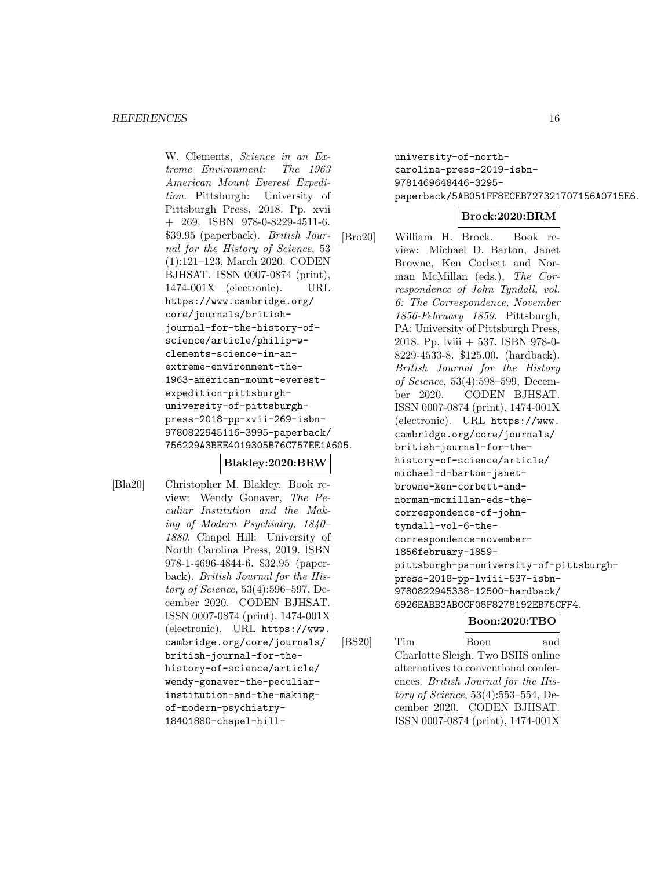W. Clements, Science in an Extreme Environment: The 1963 American Mount Everest Expedition. Pittsburgh: University of Pittsburgh Press, 2018. Pp. xvii + 269. ISBN 978-0-8229-4511-6. \$39.95 (paperback). British Journal for the History of Science, 53 (1):121–123, March 2020. CODEN BJHSAT. ISSN 0007-0874 (print), 1474-001X (electronic). URL https://www.cambridge.org/ core/journals/britishjournal-for-the-history-ofscience/article/philip-wclements-science-in-anextreme-environment-the-1963-american-mount-everestexpedition-pittsburghuniversity-of-pittsburghpress-2018-pp-xvii-269-isbn-9780822945116-3995-paperback/ 756229A3BEE4019305B76C757EE1A605.

# **Blakley:2020:BRW**

- 
- [Bla20] Christopher M. Blakley. Book review: Wendy Gonaver, The Peculiar Institution and the Making of Modern Psychiatry, 1840– 1880. Chapel Hill: University of North Carolina Press, 2019. ISBN 978-1-4696-4844-6. \$32.95 (paperback). British Journal for the History of Science, 53(4):596–597, December 2020. CODEN BJHSAT. ISSN 0007-0874 (print), 1474-001X (electronic). URL https://www. cambridge.org/core/journals/ british-journal-for-thehistory-of-science/article/ wendy-gonaver-the-peculiarinstitution-and-the-makingof-modern-psychiatry-18401880-chapel-hill-

university-of-northcarolina-press-2019-isbn-9781469648446-3295 paperback/5AB051FF8ECEB727321707156A0715E6.

# **Brock:2020:BRM**

[Bro20] William H. Brock. Book review: Michael D. Barton, Janet Browne, Ken Corbett and Norman McMillan (eds.), The Correspondence of John Tyndall, vol. 6: The Correspondence, November 1856-February 1859. Pittsburgh, PA: University of Pittsburgh Press, 2018. Pp. lviii + 537. ISBN 978-0- 8229-4533-8. \$125.00. (hardback). British Journal for the History of Science, 53(4):598–599, December 2020. CODEN BJHSAT. ISSN 0007-0874 (print), 1474-001X (electronic). URL https://www. cambridge.org/core/journals/ british-journal-for-thehistory-of-science/article/ michael-d-barton-janetbrowne-ken-corbett-andnorman-mcmillan-eds-thecorrespondence-of-johntyndall-vol-6-thecorrespondence-november-1856february-1859 pittsburgh-pa-university-of-pittsburghpress-2018-pp-lviii-537-isbn-9780822945338-12500-hardback/ 6926EABB3ABCCF08F8278192EB75CFF4.

# **Boon:2020:TBO**

[BS20] Tim Boon and Charlotte Sleigh. Two BSHS online alternatives to conventional conferences. British Journal for the History of Science, 53(4):553–554, December 2020. CODEN BJHSAT. ISSN 0007-0874 (print), 1474-001X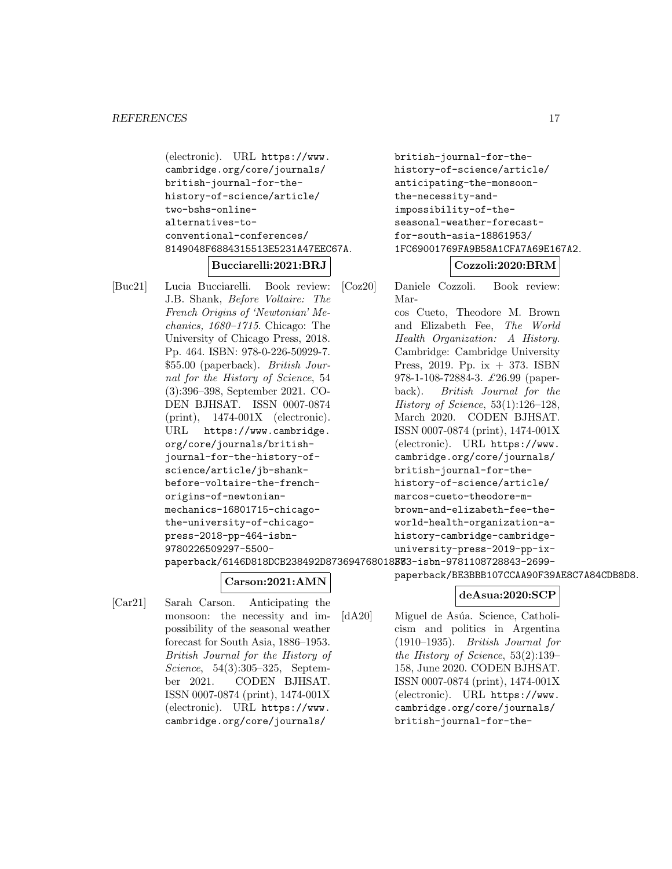```
(electronic). URL https://www.
cambridge.org/core/journals/
british-journal-for-the-
history-of-science/article/
two-bshs-online-
alternatives-to-
conventional-conferences/
8149048F6884315513E5231A47EEC67A.
        Bucciarelli:2021:BRJ
```
[Buc21] Lucia Bucciarelli. Book review: J.B. Shank, Before Voltaire: The French Origins of 'Newtonian' Mechanics, 1680–1715. Chicago: The University of Chicago Press, 2018. Pp. 464. ISBN: 978-0-226-50929-7. \$55.00 (paperback). British Journal for the History of Science, 54 (3):396–398, September 2021. CO-DEN BJHSAT. ISSN 0007-0874 (print), 1474-001X (electronic). URL https://www.cambridge. org/core/journals/britishjournal-for-the-history-ofscience/article/jb-shankbefore-voltaire-the-frenchorigins-of-newtonianmechanics-16801715-chicagothe-university-of-chicagopress-2018-pp-464-isbn-9780226509297-5500-

```
british-journal-for-the-
history-of-science/article/
anticipating-the-monsoon-
the-necessity-and-
impossibility-of-the-
seasonal-weather-forecast-
for-south-asia-18861953/
1FC69001769FA9B58A1CFA7A69E167A2.
```
# **Cozzoli:2020:BRM**

[Coz20] Daniele Cozzoli. Book review: Marcos Cueto, Theodore M. Brown and Elizabeth Fee, The World Health Organization: A History. Cambridge: Cambridge University Press, 2019. Pp. ix  $+373$ . ISBN 978-1-108-72884-3. £26.99 (paperback). British Journal for the History of Science, 53(1):126–128, March 2020. CODEN BJHSAT. ISSN 0007-0874 (print), 1474-001X (electronic). URL https://www. cambridge.org/core/journals/ british-journal-for-thehistory-of-science/article/ marcos-cueto-theodore-mbrown-and-elizabeth-fee-theworld-health-organization-ahistory-cambridge-cambridgeuniversity-press-2019-pp-ix-

paperback/6146D818DCB238492D873694768018**B7**83-isbn-9781108728843-2699-

# **Carson:2021:AMN**

[Car21] Sarah Carson. Anticipating the monsoon: the necessity and impossibility of the seasonal weather forecast for South Asia, 1886–1953. British Journal for the History of Science, 54(3):305–325, September 2021. CODEN BJHSAT. ISSN 0007-0874 (print), 1474-001X (electronic). URL https://www. cambridge.org/core/journals/

# **deAsua:2020:SCP**

paperback/BE3BBB107CCAA90F39AE8C7A84CDB8D8.

[dA20] Miguel de Asúa. Science, Catholicism and politics in Argentina (1910–1935). British Journal for the History of Science, 53(2):139– 158, June 2020. CODEN BJHSAT. ISSN 0007-0874 (print), 1474-001X (electronic). URL https://www. cambridge.org/core/journals/ british-journal-for-the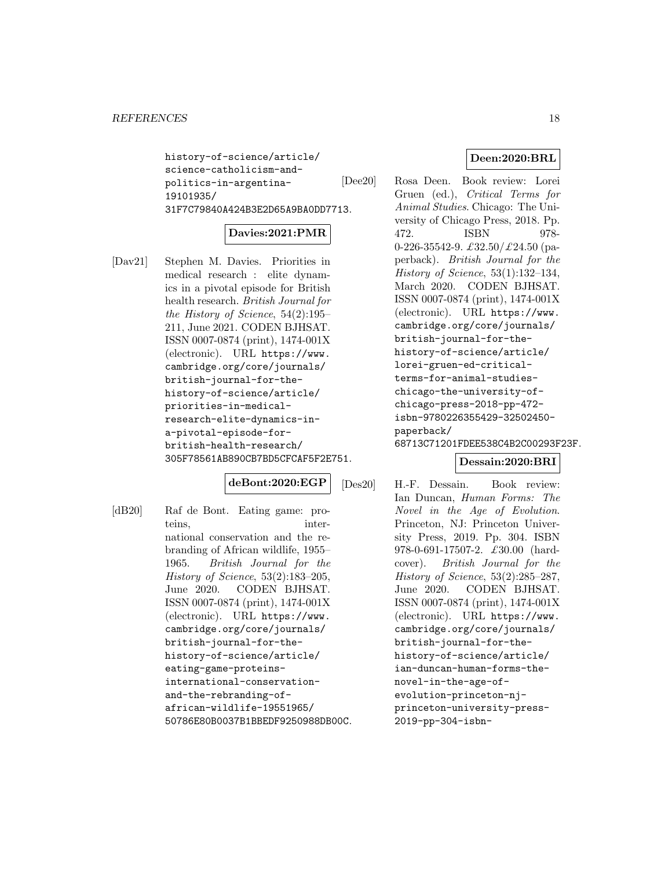history-of-science/article/ science-catholicism-andpolitics-in-argentina-19101935/ 31F7C79840A424B3E2D65A9BA0DD7713.

# **Davies:2021:PMR**

[Dav21] Stephen M. Davies. Priorities in medical research : elite dynamics in a pivotal episode for British health research. British Journal for the History of Science, 54(2):195– 211, June 2021. CODEN BJHSAT. ISSN 0007-0874 (print), 1474-001X (electronic). URL https://www. cambridge.org/core/journals/ british-journal-for-thehistory-of-science/article/ priorities-in-medicalresearch-elite-dynamics-ina-pivotal-episode-forbritish-health-research/ 305F78561AB890CB7BD5CFCAF5F2E751.

# **deBont:2020:EGP**

[dB20] Raf de Bont. Eating game: proteins, international conservation and the rebranding of African wildlife, 1955– 1965. British Journal for the History of Science, 53(2):183–205, June 2020. CODEN BJHSAT. ISSN 0007-0874 (print), 1474-001X (electronic). URL https://www. cambridge.org/core/journals/ british-journal-for-thehistory-of-science/article/ eating-game-proteinsinternational-conservationand-the-rebranding-ofafrican-wildlife-19551965/ 50786E80B0037B1BBEDF9250988DB00C.

# **Deen:2020:BRL**

[Dee20] Rosa Deen. Book review: Lorei Gruen (ed.), Critical Terms for Animal Studies. Chicago: The University of Chicago Press, 2018. Pp. 472. ISBN 978- 0-226-35542-9.  $\pounds 32.50 / \pounds 24.50$  (paperback). British Journal for the History of Science, 53(1):132–134, March 2020. CODEN BJHSAT. ISSN 0007-0874 (print), 1474-001X (electronic). URL https://www. cambridge.org/core/journals/ british-journal-for-thehistory-of-science/article/ lorei-gruen-ed-criticalterms-for-animal-studieschicago-the-university-ofchicago-press-2018-pp-472 isbn-9780226355429-32502450 paperback/ 68713C71201FDEE538C4B2C00293F23F.

# **Dessain:2020:BRI**

[Des20] H.-F. Dessain. Book review: Ian Duncan, Human Forms: The Novel in the Age of Evolution. Princeton, NJ: Princeton University Press, 2019. Pp. 304. ISBN 978-0-691-17507-2. £30.00 (hardcover). British Journal for the History of Science, 53(2):285–287, June 2020. CODEN BJHSAT. ISSN 0007-0874 (print), 1474-001X (electronic). URL https://www. cambridge.org/core/journals/ british-journal-for-thehistory-of-science/article/ ian-duncan-human-forms-thenovel-in-the-age-ofevolution-princeton-njprinceton-university-press-2019-pp-304-isbn-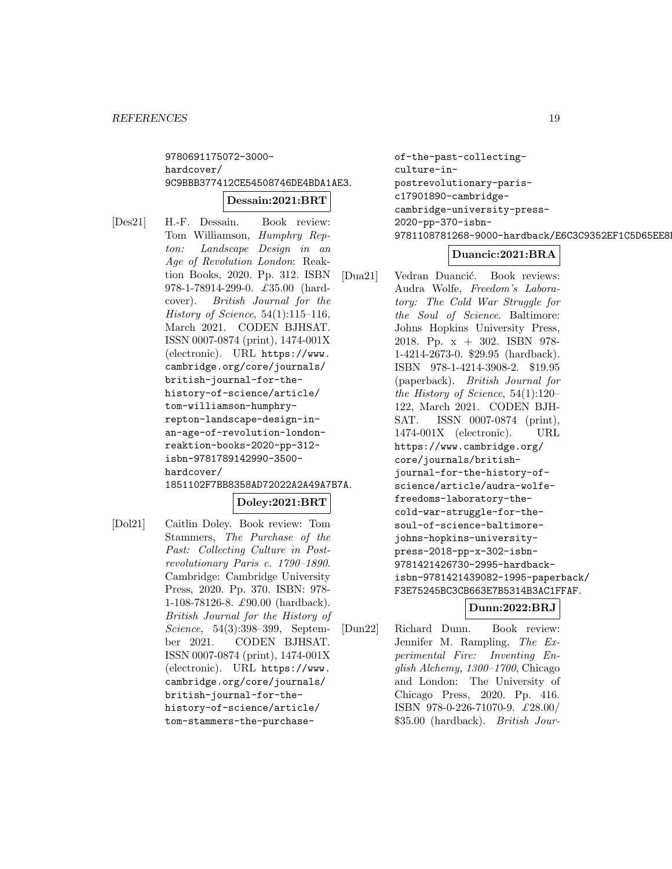9780691175072-3000 hardcover/ 9C9BBB377412CE54508746DE4BDA1AE3.

#### **Dessain:2021:BRT**

[Des21] H.-F. Dessain. Book review: Tom Williamson, Humphry Repton: Landscape Design in an Age of Revolution London: Reaktion Books, 2020. Pp. 312. ISBN 978-1-78914-299-0. £35.00 (hardcover). British Journal for the History of Science, 54(1):115–116, March 2021. CODEN BJHSAT. ISSN 0007-0874 (print), 1474-001X (electronic). URL https://www. cambridge.org/core/journals/ british-journal-for-thehistory-of-science/article/ tom-williamson-humphryrepton-landscape-design-inan-age-of-revolution-londonreaktion-books-2020-pp-312 isbn-9781789142990-3500 hardcover/ 1851102F7BB8358AD72022A2A49A7B7A.

# **Doley:2021:BRT**

[Dol21] Caitlin Doley. Book review: Tom Stammers, The Purchase of the Past: Collecting Culture in Postrevolutionary Paris c. 1790–1890. Cambridge: Cambridge University Press, 2020. Pp. 370. ISBN: 978- 1-108-78126-8. £90.00 (hardback). British Journal for the History of Science, 54(3):398–399, September 2021. CODEN BJHSAT. ISSN 0007-0874 (print), 1474-001X (electronic). URL https://www. cambridge.org/core/journals/ british-journal-for-thehistory-of-science/article/ tom-stammers-the-purchaseof-the-past-collectingculture-inpostrevolutionary-parisc17901890-cambridgecambridge-university-press-2020-pp-370-isbn-9781108781268-9000-hardback/E6C3C9352EF1C5D65EE8F

# **Duancic:2021:BRA**

[Dua21] Vedran Duancić. Book reviews: Audra Wolfe, Freedom's Laboratory: The Cold War Struggle for the Soul of Science. Baltimore: Johns Hopkins University Press, 2018. Pp. x + 302. ISBN 978- 1-4214-2673-0. \$29.95 (hardback). ISBN 978-1-4214-3908-2. \$19.95 (paperback). British Journal for the History of Science, 54(1):120– 122, March 2021. CODEN BJH-SAT. ISSN 0007-0874 (print), 1474-001X (electronic). URL https://www.cambridge.org/ core/journals/britishjournal-for-the-history-ofscience/article/audra-wolfefreedoms-laboratory-thecold-war-struggle-for-thesoul-of-science-baltimorejohns-hopkins-universitypress-2018-pp-x-302-isbn-9781421426730-2995-hardbackisbn-9781421439082-1995-paperback/ F3E75245BC3CB663E7B5314B3AC1FFAF.

# **Dunn:2022:BRJ**

[Dun22] Richard Dunn. Book review: Jennifer M. Rampling, The Experimental Fire: Inventing English Alchemy, 1300–1700, Chicago and London: The University of Chicago Press, 2020. Pp. 416. ISBN 978-0-226-71070-9. £28.00/ \$35.00 (hardback). British Jour-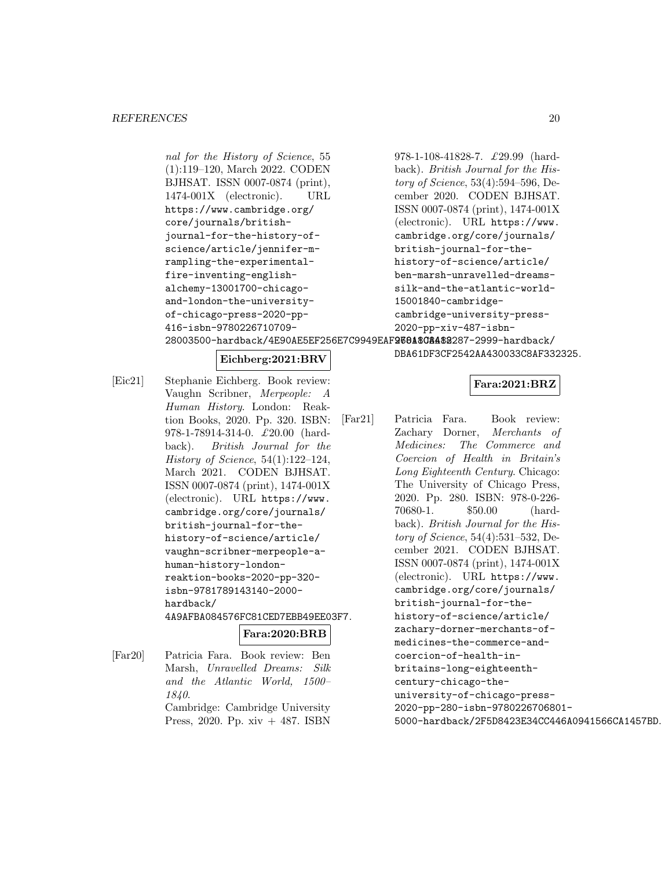nal for the History of Science, 55 (1):119–120, March 2022. CODEN BJHSAT. ISSN 0007-0874 (print), 1474-001X (electronic). URL https://www.cambridge.org/ core/journals/britishjournal-for-the-history-ofscience/article/jennifer-mrampling-the-experimentalfire-inventing-englishalchemy-13001700-chicagoand-london-the-universityof-chicago-press-2020-pp-416-isbn-9780226710709978-1-108-41828-7. £29.99 (hardback). British Journal for the History of Science, 53(4):594–596, December 2020. CODEN BJHSAT. ISSN 0007-0874 (print), 1474-001X (electronic). URL https://www. cambridge.org/core/journals/ british-journal-for-thehistory-of-science/article/ ben-marsh-unravelled-dreamssilk-and-the-atlantic-world-15001840-cambridgecambridge-university-press-2020-pp-xiv-487-isbn-

28003500-hardback/4E90AE5EF256E7C9949EAF<mark>2601808482</mark>287-2999-hardback/

# **Eichberg:2021:BRV**

[Eic21] Stephanie Eichberg. Book review: Vaughn Scribner, Merpeople: A Human History. London: Reaktion Books, 2020. Pp. 320. ISBN: 978-1-78914-314-0. £20.00 (hardback). British Journal for the History of Science, 54(1):122–124, March 2021. CODEN BJHSAT. ISSN 0007-0874 (print), 1474-001X (electronic). URL https://www. cambridge.org/core/journals/ british-journal-for-thehistory-of-science/article/ vaughn-scribner-merpeople-ahuman-history-londonreaktion-books-2020-pp-320 isbn-9781789143140-2000 hardback/ 4A9AFBA084576FC81CED7EBB49EE03F7. **Fara:2020:BRB**

[Far20] Patricia Fara. Book review: Ben Marsh, Unravelled Dreams: Silk and the Atlantic World, 1500– 1840. Cambridge: Cambridge University Press, 2020. Pp. xiv + 487. ISBN

# **Fara:2021:BRZ**

DBA61DF3CF2542AA430033C8AF332325.

[Far21] Patricia Fara. Book review: Zachary Dorner, Merchants of Medicines: The Commerce and Coercion of Health in Britain's Long Eighteenth Century. Chicago: The University of Chicago Press, 2020. Pp. 280. ISBN: 978-0-226- 70680-1. \$50.00 (hardback). British Journal for the History of Science, 54(4):531–532, December 2021. CODEN BJHSAT. ISSN 0007-0874 (print), 1474-001X (electronic). URL https://www. cambridge.org/core/journals/ british-journal-for-thehistory-of-science/article/ zachary-dorner-merchants-ofmedicines-the-commerce-andcoercion-of-health-inbritains-long-eighteenthcentury-chicago-theuniversity-of-chicago-press-2020-pp-280-isbn-9780226706801- 5000-hardback/2F5D8423E34CC446A0941566CA1457BD.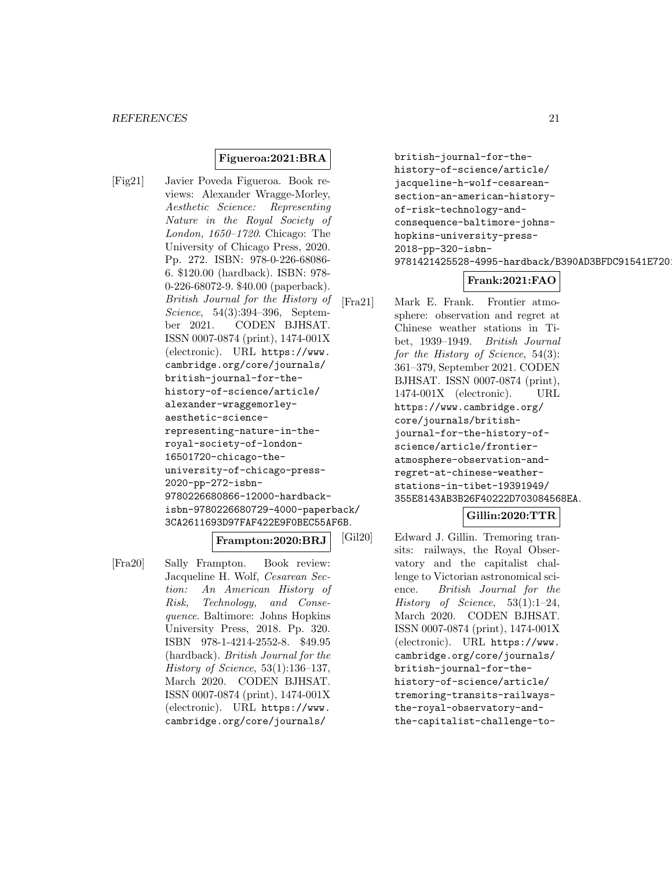# **Figueroa:2021:BRA**

[Fig21] Javier Poveda Figueroa. Book reviews: Alexander Wragge-Morley, Aesthetic Science: Representing Nature in the Royal Society of London, 1650–1720. Chicago: The University of Chicago Press, 2020. Pp. 272. ISBN: 978-0-226-68086- 6. \$120.00 (hardback). ISBN: 978- 0-226-68072-9. \$40.00 (paperback). British Journal for the History of Science, 54(3):394–396, September 2021. CODEN BJHSAT. ISSN 0007-0874 (print), 1474-001X (electronic). URL https://www. cambridge.org/core/journals/ british-journal-for-thehistory-of-science/article/ alexander-wraggemorleyaesthetic-sciencerepresenting-nature-in-theroyal-society-of-london-16501720-chicago-theuniversity-of-chicago-press-2020-pp-272-isbn-9780226680866-12000-hardbackisbn-9780226680729-4000-paperback/ 3CA2611693D97FAF422E9F0BEC55AF6B.

#### **Frampton:2020:BRJ**

[Fra20] Sally Frampton. Book review: Jacqueline H. Wolf, Cesarean Section: An American History of Risk, Technology, and Consequence. Baltimore: Johns Hopkins University Press, 2018. Pp. 320. ISBN 978-1-4214-2552-8. \$49.95 (hardback). British Journal for the History of Science, 53(1):136–137, March 2020. CODEN BJHSAT. ISSN 0007-0874 (print), 1474-001X (electronic). URL https://www. cambridge.org/core/journals/

british-journal-for-thehistory-of-science/article/ jacqueline-h-wolf-cesareansection-an-american-historyof-risk-technology-andconsequence-baltimore-johnshopkins-university-press-2018-pp-320-isbn-9781421425528-4995-hardback/B390AD3BFDC91541E7201

# **Frank:2021:FAO**

[Fra21] Mark E. Frank. Frontier atmosphere: observation and regret at Chinese weather stations in Tibet, 1939–1949. British Journal for the History of Science, 54(3): 361–379, September 2021. CODEN BJHSAT. ISSN 0007-0874 (print), 1474-001X (electronic). URL https://www.cambridge.org/ core/journals/britishjournal-for-the-history-ofscience/article/frontieratmosphere-observation-andregret-at-chinese-weatherstations-in-tibet-19391949/ 355E8143AB3B26F40222D703084568EA.

# **Gillin:2020:TTR**

[Gil20] Edward J. Gillin. Tremoring transits: railways, the Royal Observatory and the capitalist challenge to Victorian astronomical science. British Journal for the History of Science, 53(1):1–24, March 2020. CODEN BJHSAT. ISSN 0007-0874 (print), 1474-001X (electronic). URL https://www. cambridge.org/core/journals/ british-journal-for-thehistory-of-science/article/ tremoring-transits-railwaysthe-royal-observatory-andthe-capitalist-challenge-to-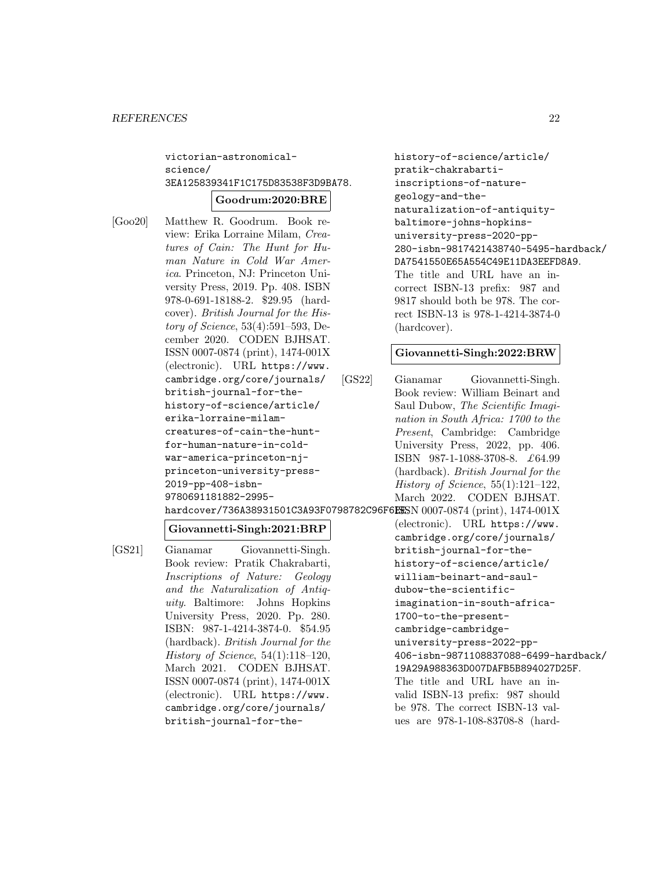# victorian-astronomicalscience/ 3EA125839341F1C175D83538F3D9BA78.

#### **Goodrum:2020:BRE**

[Goo20] Matthew R. Goodrum. Book review: Erika Lorraine Milam, Creatures of Cain: The Hunt for Human Nature in Cold War America. Princeton, NJ: Princeton University Press, 2019. Pp. 408. ISBN 978-0-691-18188-2. \$29.95 (hardcover). British Journal for the History of Science, 53(4):591–593, December 2020. CODEN BJHSAT. ISSN 0007-0874 (print), 1474-001X (electronic). URL https://www. cambridge.org/core/journals/ british-journal-for-thehistory-of-science/article/ erika-lorraine-milamcreatures-of-cain-the-huntfor-human-nature-in-coldwar-america-princeton-njprinceton-university-press-2019-pp-408-isbn-9780691181882-2995-

# **Giovannetti-Singh:2021:BRP**

[GS21] Gianamar Giovannetti-Singh. Book review: Pratik Chakrabarti, Inscriptions of Nature: Geology and the Naturalization of Antiquity. Baltimore: Johns Hopkins University Press, 2020. Pp. 280. ISBN: 987-1-4214-3874-0. \$54.95 (hardback). British Journal for the History of Science, 54(1):118–120, March 2021. CODEN BJHSAT. ISSN 0007-0874 (print), 1474-001X (electronic). URL https://www. cambridge.org/core/journals/ british-journal-for-the-

history-of-science/article/ pratik-chakrabartiinscriptions-of-naturegeology-and-thenaturalization-of-antiquitybaltimore-johns-hopkinsuniversity-press-2020-pp-280-isbn-9817421438740-5495-hardback/ DA7541550E65A554C49E11DA3EEFD8A9. The title and URL have an incorrect ISBN-13 prefix: 987 and 9817 should both be 978. The correct ISBN-13 is 978-1-4214-3874-0 (hardcover).

#### **Giovannetti-Singh:2022:BRW**

[GS22] Gianamar Giovannetti-Singh. Book review: William Beinart and Saul Dubow, The Scientific Imagination in South Africa: 1700 to the Present, Cambridge: Cambridge University Press, 2022, pp. 406. ISBN 987-1-1088-3708-8. £64.99 (hardback). British Journal for the History of Science, 55(1):121–122, March 2022. CODEN BJHSAT.

hardcover/736A38931501C3A93F0798782C96F6ESSN 0007-0874 (print), 1474-001X (electronic). URL https://www. cambridge.org/core/journals/ british-journal-for-thehistory-of-science/article/ william-beinart-and-sauldubow-the-scientificimagination-in-south-africa-1700-to-the-presentcambridge-cambridgeuniversity-press-2022-pp-406-isbn-9871108837088-6499-hardback/ 19A29A988363D007DAFB5B894027D25F. The title and URL have an invalid ISBN-13 prefix: 987 should be 978. The correct ISBN-13 values are 978-1-108-83708-8 (hard-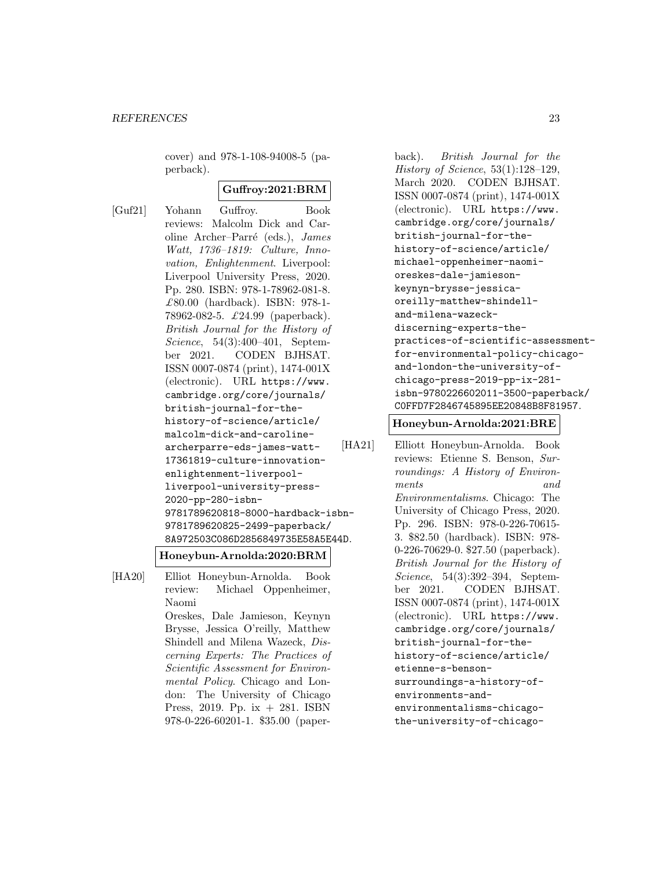cover) and 978-1-108-94008-5 (paperback).

# **Guffroy:2021:BRM**

[Guf21] Yohann Guffroy. Book reviews: Malcolm Dick and Caroline Archer–Parré (eds.), James Watt, 1736–1819: Culture, Innovation, Enlightenment. Liverpool: Liverpool University Press, 2020. Pp. 280. ISBN: 978-1-78962-081-8. £80.00 (hardback). ISBN: 978-1- 78962-082-5. £24.99 (paperback). British Journal for the History of Science, 54(3):400–401, September 2021. CODEN BJHSAT. ISSN 0007-0874 (print), 1474-001X (electronic). URL https://www. cambridge.org/core/journals/ british-journal-for-thehistory-of-science/article/ malcolm-dick-and-carolinearcherparre-eds-james-watt-17361819-culture-innovationenlightenment-liverpoolliverpool-university-press-2020-pp-280-isbn-9781789620818-8000-hardback-isbn-9781789620825-2499-paperback/ 8A972503C086D2856849735E58A5E44D.

**Honeybun-Arnolda:2020:BRM**

[HA20] Elliot Honeybun-Arnolda. Book review: Michael Oppenheimer, Naomi Oreskes, Dale Jamieson, Keynyn Brysse, Jessica O'reilly, Matthew Shindell and Milena Wazeck, Discerning Experts: The Practices of Scientific Assessment for Environmental Policy. Chicago and London: The University of Chicago Press, 2019. Pp. ix + 281. ISBN 978-0-226-60201-1. \$35.00 (paperback). British Journal for the History of Science, 53(1):128–129, March 2020. CODEN BJHSAT. ISSN 0007-0874 (print), 1474-001X (electronic). URL https://www. cambridge.org/core/journals/ british-journal-for-thehistory-of-science/article/ michael-oppenheimer-naomioreskes-dale-jamiesonkeynyn-brysse-jessicaoreilly-matthew-shindelland-milena-wazeckdiscerning-experts-thepractices-of-scientific-assessmentfor-environmental-policy-chicagoand-london-the-university-ofchicago-press-2019-pp-ix-281 isbn-9780226602011-3500-paperback/ C0FFD7F2846745895EE20848B8F81957.

# **Honeybun-Arnolda:2021:BRE**

```
[HA21] Elliott Honeybun-Arnolda. Book
         reviews: Etienne S. Benson, Sur-
         roundings: A History of Environ-
         ments and
         Environmentalisms. Chicago: The
         University of Chicago Press, 2020.
         Pp. 296. ISBN: 978-0-226-70615-
         3. $82.50 (hardback). ISBN: 978-
         0-226-70629-0. $27.50 (paperback).
         British Journal for the History of
         Science, 54(3):392–394, Septem-
         ber 2021. CODEN BJHSAT.
         ISSN 0007-0874 (print), 1474-001X
         (electronic). URL https://www.
         cambridge.org/core/journals/
         british-journal-for-the-
         history-of-science/article/
         etienne-s-benson-
         surroundings-a-history-of-
         environments-and-
         environmentalisms-chicago-
         the-university-of-chicago-
```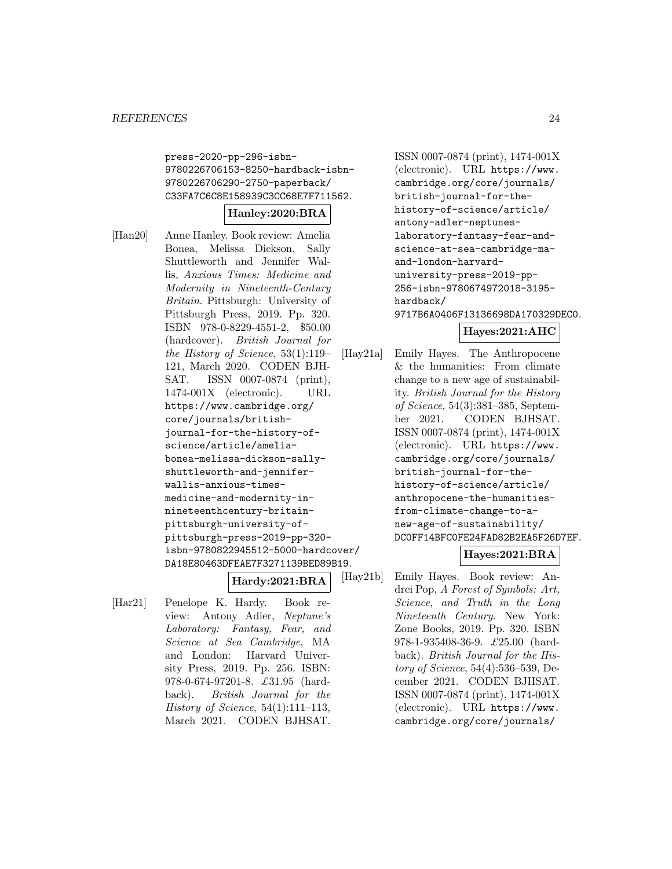press-2020-pp-296-isbn-9780226706153-8250-hardback-isbn-9780226706290-2750-paperback/ C33FA7C6C8E158939C3CC68E7F711562.

# **Hanley:2020:BRA**

[Han20] Anne Hanley. Book review: Amelia Bonea, Melissa Dickson, Sally Shuttleworth and Jennifer Wallis, Anxious Times: Medicine and Modernity in Nineteenth-Century Britain. Pittsburgh: University of Pittsburgh Press, 2019. Pp. 320. ISBN 978-0-8229-4551-2, \$50.00 (hardcover). British Journal for the History of Science, 53(1):119– 121, March 2020. CODEN BJH-SAT. ISSN 0007-0874 (print), 1474-001X (electronic). URL https://www.cambridge.org/ core/journals/britishjournal-for-the-history-ofscience/article/ameliabonea-melissa-dickson-sallyshuttleworth-and-jenniferwallis-anxious-timesmedicine-and-modernity-innineteenthcentury-britainpittsburgh-university-ofpittsburgh-press-2019-pp-320 isbn-9780822945512-5000-hardcover/ DA18E80463DFEAE7F3271139BED89B19.

**Hardy:2021:BRA**

[Har21] Penelope K. Hardy. Book review: Antony Adler, Neptune's Laboratory: Fantasy, Fear, and Science at Sea Cambridge, MA and London: Harvard University Press, 2019. Pp. 256. ISBN: 978-0-674-97201-8. £31.95 (hardback). British Journal for the History of Science,  $54(1):111-113$ , March 2021. CODEN BJHSAT.

ISSN 0007-0874 (print), 1474-001X (electronic). URL https://www. cambridge.org/core/journals/ british-journal-for-thehistory-of-science/article/ antony-adler-neptuneslaboratory-fantasy-fear-andscience-at-sea-cambridge-maand-london-harvarduniversity-press-2019-pp-256-isbn-9780674972018-3195 hardback/ 9717B6A0406F13136698DA170329DEC0.

# **Hayes:2021:AHC**

[Hay21a] Emily Hayes. The Anthropocene & the humanities: From climate change to a new age of sustainability. British Journal for the History of Science, 54(3):381–385, September 2021. CODEN BJHSAT. ISSN 0007-0874 (print), 1474-001X (electronic). URL https://www. cambridge.org/core/journals/ british-journal-for-thehistory-of-science/article/ anthropocene-the-humanitiesfrom-climate-change-to-anew-age-of-sustainability/ DC0FF14BFC0FE24FAD82B2EA5F26D7EF.

# **Hayes:2021:BRA**

[Hay21b] Emily Hayes. Book review: Andrei Pop, A Forest of Symbols: Art, Science, and Truth in the Long Nineteenth Century. New York: Zone Books, 2019. Pp. 320. ISBN 978-1-935408-36-9. £25.00 (hardback). British Journal for the History of Science, 54(4):536–539, December 2021. CODEN BJHSAT. ISSN 0007-0874 (print), 1474-001X (electronic). URL https://www. cambridge.org/core/journals/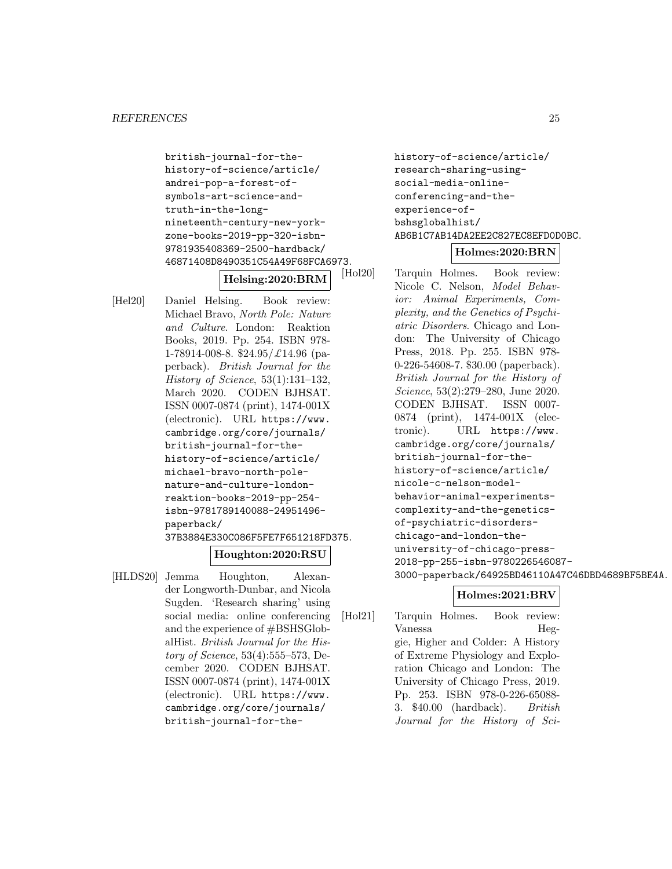```
british-journal-for-the-
history-of-science/article/
andrei-pop-a-forest-of-
symbols-art-science-and-
truth-in-the-long-
nineteenth-century-new-york-
zone-books-2019-pp-320-isbn-
9781935408369-2500-hardback/
46871408D8490351C54A49F68FCA6973.
```
# **Helsing:2020:BRM**

[Hel20] Daniel Helsing. Book review: Michael Bravo, North Pole: Nature and Culture. London: Reaktion Books, 2019. Pp. 254. ISBN 978- 1-78914-008-8.  $$24.95/\pounds14.96$  (paperback). British Journal for the History of Science, 53(1):131–132, March 2020. CODEN BJHSAT. ISSN 0007-0874 (print), 1474-001X (electronic). URL https://www. cambridge.org/core/journals/ british-journal-for-thehistory-of-science/article/ michael-bravo-north-polenature-and-culture-londonreaktion-books-2019-pp-254 isbn-9781789140088-24951496 paperback/ 37B3884E330C086F5FE7F651218FD375.

# **Houghton:2020:RSU**

[HLDS20] Jemma Houghton, Alexander Longworth-Dunbar, and Nicola Sugden. 'Research sharing' using social media: online conferencing and the experience of #BSHSGlobalHist. British Journal for the History of Science, 53(4):555–573, December 2020. CODEN BJHSAT. ISSN 0007-0874 (print), 1474-001X (electronic). URL https://www. cambridge.org/core/journals/ british-journal-for-thehistory-of-science/article/ research-sharing-usingsocial-media-onlineconferencing-and-theexperience-ofbshsglobalhist/ AB6B1C7AB14DA2EE2C827EC8EFD0D0BC.

# **Holmes:2020:BRN**

Tarquin Holmes. Book review: Nicole C. Nelson, Model Behavior: Animal Experiments, Complexity, and the Genetics of Psychiatric Disorders. Chicago and London: The University of Chicago Press, 2018. Pp. 255. ISBN 978- 0-226-54608-7. \$30.00 (paperback). British Journal for the History of Science, 53(2):279–280, June 2020. CODEN BJHSAT. ISSN 0007- 0874 (print), 1474-001X (electronic). URL https://www. cambridge.org/core/journals/ british-journal-for-thehistory-of-science/article/ nicole-c-nelson-modelbehavior-animal-experimentscomplexity-and-the-geneticsof-psychiatric-disorderschicago-and-london-theuniversity-of-chicago-press-2018-pp-255-isbn-9780226546087- 3000-paperback/64925BD46110A47C46DBD4689BF5BE4A.

# **Holmes:2021:BRV**

[Hol21] Tarquin Holmes. Book review: Vanessa Heggie, Higher and Colder: A History of Extreme Physiology and Exploration Chicago and London: The University of Chicago Press, 2019. Pp. 253. ISBN 978-0-226-65088- 3. \$40.00 (hardback). British Journal for the History of Sci-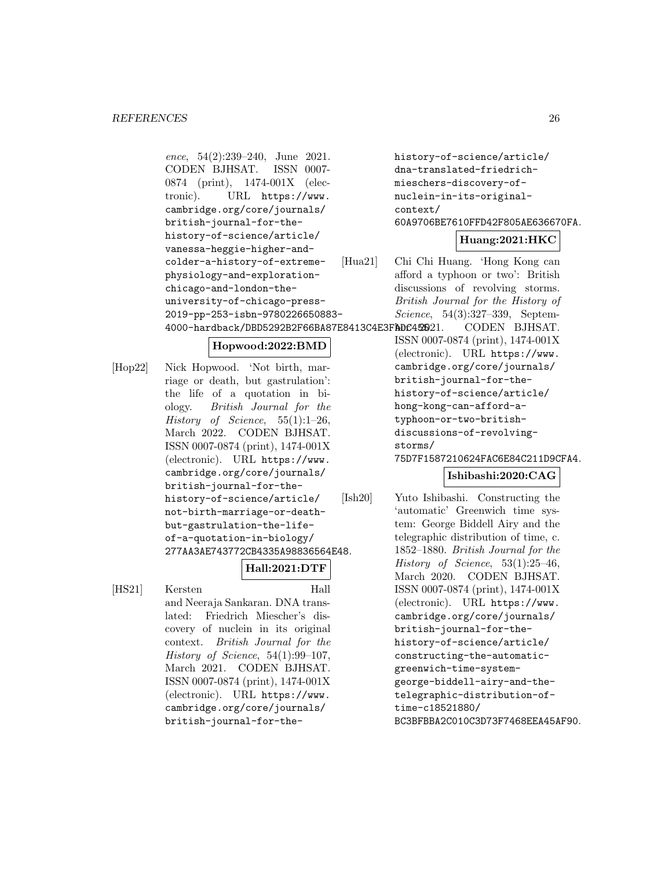ence, 54(2):239–240, June 2021. CODEN BJHSAT. ISSN 0007- 0874 (print), 1474-001X (electronic). URL https://www. cambridge.org/core/journals/ british-journal-for-thehistory-of-science/article/ vanessa-heggie-higher-andcolder-a-history-of-extremephysiology-and-explorationchicago-and-london-theuniversity-of-chicago-press-2019-pp-253-isbn-9780226650883- 4000-hardback/DBD5292B2F66BA87E8413C4E3FADC42021.

# **Hopwood:2022:BMD**

[Hop22] Nick Hopwood. 'Not birth, marriage or death, but gastrulation': the life of a quotation in biology. British Journal for the History of Science,  $55(1):1-26$ , March 2022. CODEN BJHSAT. ISSN 0007-0874 (print), 1474-001X (electronic). URL https://www. cambridge.org/core/journals/ british-journal-for-thehistory-of-science/article/ not-birth-marriage-or-deathbut-gastrulation-the-lifeof-a-quotation-in-biology/ 277AA3AE743772CB4335A98836564E48.

**Hall:2021:DTF**

[HS21] Kersten Hall and Neeraja Sankaran. DNA translated: Friedrich Miescher's discovery of nuclein in its original context. British Journal for the History of Science, 54(1):99–107, March 2021. CODEN BJHSAT. ISSN 0007-0874 (print), 1474-001X (electronic). URL https://www. cambridge.org/core/journals/ british-journal-for-thehistory-of-science/article/ dna-translated-friedrichmieschers-discovery-ofnuclein-in-its-originalcontext/ 60A9706BE7610FFD42F805AE636670FA.

# **Huang:2021:HKC**

```
[Hua21] Chi Chi Huang. 'Hong Kong can
          afford a typhoon or two': British
          discussions of revolving storms.
          British Journal for the History of
          Science, 54(3):327–339, Septem-
```
CODEN BJHSAT. ISSN 0007-0874 (print), 1474-001X (electronic). URL https://www. cambridge.org/core/journals/ british-journal-for-thehistory-of-science/article/ hong-kong-can-afford-atyphoon-or-two-britishdiscussions-of-revolvingstorms/

75D7F1587210624FAC6E84C211D9CFA4.

# **Ishibashi:2020:CAG**

[Ish20] Yuto Ishibashi. Constructing the 'automatic' Greenwich time system: George Biddell Airy and the telegraphic distribution of time, c. 1852–1880. British Journal for the History of Science,  $53(1):25-46$ , March 2020. CODEN BJHSAT. ISSN 0007-0874 (print), 1474-001X (electronic). URL https://www. cambridge.org/core/journals/ british-journal-for-thehistory-of-science/article/ constructing-the-automaticgreenwich-time-systemgeorge-biddell-airy-and-thetelegraphic-distribution-oftime-c18521880/ BC3BFBBA2C010C3D73F7468EEA45AF90.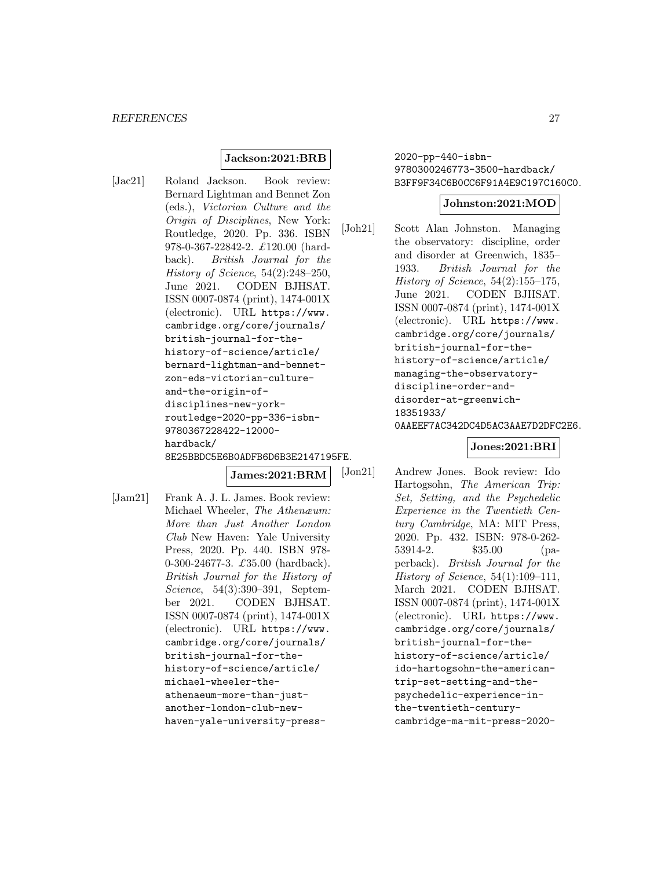### **Jackson:2021:BRB**

[Jac21] Roland Jackson. Book review: Bernard Lightman and Bennet Zon (eds.), Victorian Culture and the Origin of Disciplines, New York: Routledge, 2020. Pp. 336. ISBN 978-0-367-22842-2. £120.00 (hardback). British Journal for the History of Science, 54(2):248–250, June 2021. CODEN BJHSAT. ISSN 0007-0874 (print), 1474-001X (electronic). URL https://www. cambridge.org/core/journals/ british-journal-for-thehistory-of-science/article/ bernard-lightman-and-bennetzon-eds-victorian-cultureand-the-origin-ofdisciplines-new-yorkroutledge-2020-pp-336-isbn-9780367228422-12000 hardback/ 8E25BBDC5E6B0ADFB6D6B3E2147195FE.

**James:2021:BRM**

[Jam21] Frank A. J. L. James. Book review: Michael Wheeler, The Athenæum: More than Just Another London Club New Haven: Yale University Press, 2020. Pp. 440. ISBN 978- 0-300-24677-3. £35.00 (hardback). British Journal for the History of Science, 54(3):390–391, September 2021. CODEN BJHSAT. ISSN 0007-0874 (print), 1474-001X (electronic). URL https://www. cambridge.org/core/journals/ british-journal-for-thehistory-of-science/article/ michael-wheeler-theathenaeum-more-than-justanother-london-club-newhaven-yale-university-press2020-pp-440-isbn-9780300246773-3500-hardback/ B3FF9F34C6B0CC6F91A4E9C197C160C0.

#### **Johnston:2021:MOD**

[Joh21] Scott Alan Johnston. Managing the observatory: discipline, order and disorder at Greenwich, 1835– 1933. British Journal for the History of Science,  $54(2):155-175$ , June 2021. CODEN BJHSAT. ISSN 0007-0874 (print), 1474-001X (electronic). URL https://www. cambridge.org/core/journals/ british-journal-for-thehistory-of-science/article/ managing-the-observatorydiscipline-order-anddisorder-at-greenwich-18351933/ 0AAEEF7AC342DC4D5AC3AAE7D2DFC2E6.

### **Jones:2021:BRI**

[Jon21] Andrew Jones. Book review: Ido Hartogsohn, The American Trip: Set, Setting, and the Psychedelic Experience in the Twentieth Century Cambridge, MA: MIT Press, 2020. Pp. 432. ISBN: 978-0-262- 53914-2. \$35.00 (paperback). British Journal for the History of Science,  $54(1):109-111$ , March 2021. CODEN BJHSAT. ISSN 0007-0874 (print), 1474-001X (electronic). URL https://www. cambridge.org/core/journals/ british-journal-for-thehistory-of-science/article/ ido-hartogsohn-the-americantrip-set-setting-and-thepsychedelic-experience-inthe-twentieth-centurycambridge-ma-mit-press-2020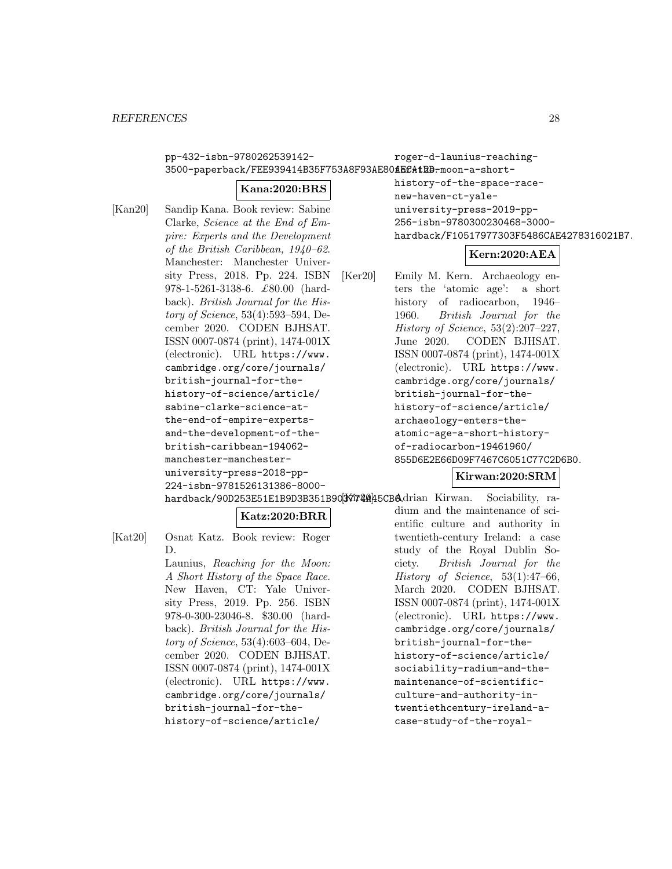pp-432-isbn-9780262539142-

roger-d-launius-reaching-

# 3500-paperback/FEE939414B35F753A8F93AE80**fECAtRB**-moon-a-short-

# **Kana:2020:BRS**

[Kan20] Sandip Kana. Book review: Sabine Clarke, Science at the End of Empire: Experts and the Development of the British Caribbean, 1940–62. Manchester: Manchester University Press, 2018. Pp. 224. ISBN 978-1-5261-3138-6. £80.00 (hardback). British Journal for the History of Science, 53(4):593–594, December 2020. CODEN BJHSAT. ISSN 0007-0874 (print), 1474-001X (electronic). URL https://www. cambridge.org/core/journals/ british-journal-for-thehistory-of-science/article/ sabine-clarke-science-atthe-end-of-empire-expertsand-the-development-of-thebritish-caribbean-194062 manchester-manchesteruniversity-press-2018-pp-224-isbn-9781526131386-8000history-of-the-space-racenew-haven-ct-yaleuniversity-press-2019-pp-256-isbn-9780300230468-3000 hardback/F10517977303F5486CAE4278316021B7.

# **Kern:2020:AEA**

[Ker20] Emily M. Kern. Archaeology enters the 'atomic age': a short history of radiocarbon, 1946– 1960. British Journal for the History of Science, 53(2):207–227, June 2020. CODEN BJHSAT. ISSN 0007-0874 (print), 1474-001X (electronic). URL https://www. cambridge.org/core/journals/ british-journal-for-thehistory-of-science/article/ archaeology-enters-theatomic-age-a-short-historyof-radiocarbon-19461960/ 855D6E2E66D09F7467C6051C77C2D6B0.

# **Kirwan:2020:SRM**

hardback/90D253E51E1B9D3B351B90<sup>3</sup>377740445CB6drian Kirwan. Sociability, ra-

**Katz:2020:BRR**

- [Kat20] Osnat Katz. Book review: Roger D.
	- Launius, Reaching for the Moon: A Short History of the Space Race. New Haven, CT: Yale University Press, 2019. Pp. 256. ISBN 978-0-300-23046-8. \$30.00 (hardback). British Journal for the History of Science, 53(4):603–604, December 2020. CODEN BJHSAT. ISSN 0007-0874 (print), 1474-001X (electronic). URL https://www. cambridge.org/core/journals/ british-journal-for-thehistory-of-science/article/

dium and the maintenance of scientific culture and authority in twentieth-century Ireland: a case study of the Royal Dublin Society. British Journal for the History of Science, 53(1):47–66, March 2020. CODEN BJHSAT. ISSN 0007-0874 (print), 1474-001X (electronic). URL https://www. cambridge.org/core/journals/ british-journal-for-thehistory-of-science/article/ sociability-radium-and-themaintenance-of-scientificculture-and-authority-intwentiethcentury-ireland-acase-study-of-the-royal-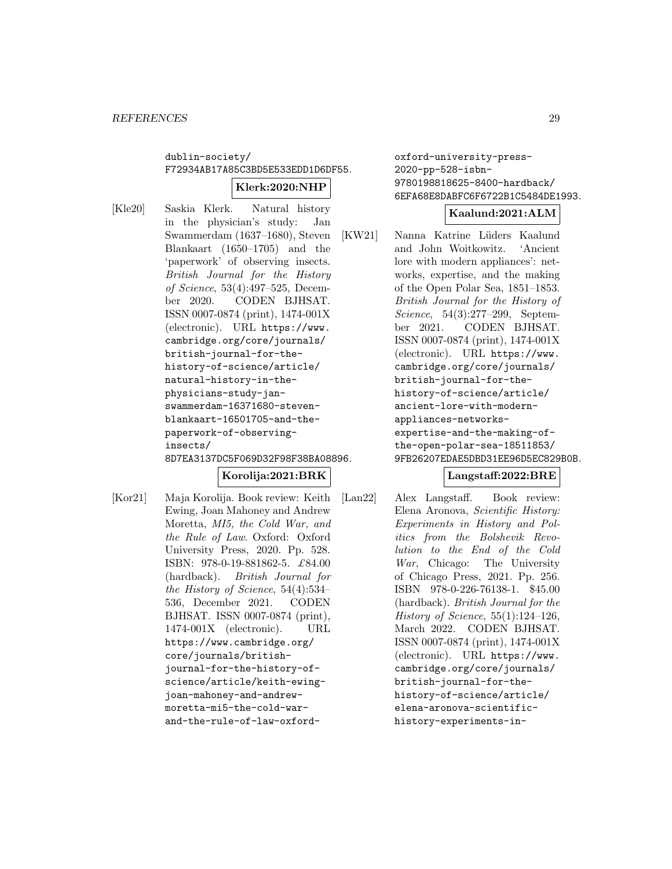# dublin-society/ F72934AB17A85C3BD5E533EDD1D6DF55. **Klerk:2020:NHP**

[Kle20] Saskia Klerk. Natural history in the physician's study: Jan Swammerdam (1637–1680), Steven Blankaart (1650–1705) and the 'paperwork' of observing insects. British Journal for the History of Science, 53(4):497–525, December 2020. CODEN BJHSAT. ISSN 0007-0874 (print), 1474-001X (electronic). URL https://www. cambridge.org/core/journals/ british-journal-for-thehistory-of-science/article/ natural-history-in-thephysicians-study-janswammerdam-16371680-stevenblankaart-16501705-and-thepaperwork-of-observinginsects/ 8D7EA3137DC5F069D32F98F38BA08896.

# **Korolija:2021:BRK**

[Kor21] Maja Korolija. Book review: Keith Ewing, Joan Mahoney and Andrew Moretta, MI5, the Cold War, and the Rule of Law. Oxford: Oxford University Press, 2020. Pp. 528. ISBN: 978-0-19-881862-5. £84.00 (hardback). British Journal for the History of Science, 54(4):534– 536, December 2021. CODEN BJHSAT. ISSN 0007-0874 (print), 1474-001X (electronic). URL https://www.cambridge.org/ core/journals/britishjournal-for-the-history-ofscience/article/keith-ewingjoan-mahoney-and-andrewmoretta-mi5-the-cold-warand-the-rule-of-law-oxfordoxford-university-press-2020-pp-528-isbn-9780198818625-8400-hardback/ 6EFA68E8DABFC6F6722B1C5484DE1993.

### **Kaalund:2021:ALM**

[KW21] Nanna Katrine Lüders Kaalund and John Woitkowitz. 'Ancient lore with modern appliances': networks, expertise, and the making of the Open Polar Sea, 1851–1853. British Journal for the History of Science, 54(3):277–299, September 2021. CODEN BJHSAT. ISSN 0007-0874 (print), 1474-001X (electronic). URL https://www. cambridge.org/core/journals/ british-journal-for-thehistory-of-science/article/ ancient-lore-with-modernappliances-networksexpertise-and-the-making-ofthe-open-polar-sea-18511853/ 9FB26207EDAE5DBD31EE96D5EC829B0B.

# **Langstaff:2022:BRE**

[Lan22] Alex Langstaff. Book review: Elena Aronova, Scientific History: Experiments in History and Politics from the Bolshevik Revolution to the End of the Cold War, Chicago: The University of Chicago Press, 2021. Pp. 256. ISBN 978-0-226-76138-1. \$45.00 (hardback). British Journal for the History of Science,  $55(1):124-126$ , March 2022. CODEN BJHSAT. ISSN 0007-0874 (print), 1474-001X (electronic). URL https://www. cambridge.org/core/journals/ british-journal-for-thehistory-of-science/article/ elena-aronova-scientifichistory-experiments-in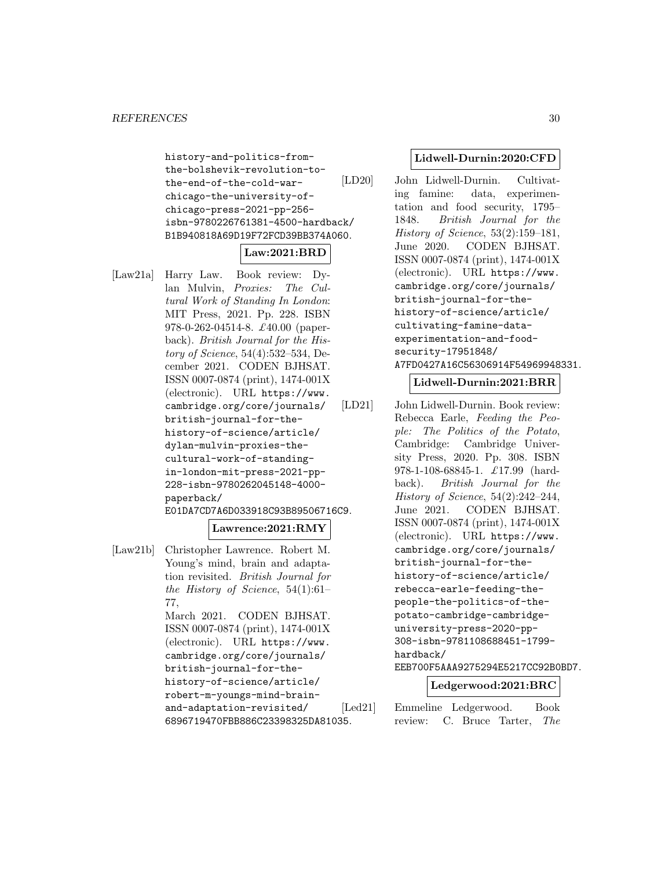history-and-politics-fromthe-bolshevik-revolution-tothe-end-of-the-cold-warchicago-the-university-ofchicago-press-2021-pp-256 isbn-9780226761381-4500-hardback/ B1B940818A69D19F72FCD39BB374A060.

# **Law:2021:BRD**

[Law21a] Harry Law. Book review: Dylan Mulvin, Proxies: The Cultural Work of Standing In London: MIT Press, 2021. Pp. 228. ISBN 978-0-262-04514-8. £40.00 (paperback). British Journal for the History of Science, 54(4):532–534, December 2021. CODEN BJHSAT. ISSN 0007-0874 (print), 1474-001X (electronic). URL https://www. cambridge.org/core/journals/ british-journal-for-thehistory-of-science/article/ dylan-mulvin-proxies-thecultural-work-of-standingin-london-mit-press-2021-pp-228-isbn-9780262045148-4000 paperback/ E01DA7CD7A6D033918C93B89506716C9.

# **Lawrence:2021:RMY**

[Law21b] Christopher Lawrence. Robert M. Young's mind, brain and adaptation revisited. British Journal for the History of Science, 54(1):61– 77, March 2021. CODEN BJHSAT. ISSN 0007-0874 (print), 1474-001X (electronic). URL https://www. cambridge.org/core/journals/ british-journal-for-thehistory-of-science/article/ robert-m-youngs-mind-brainand-adaptation-revisited/ 6896719470FBB886C23398325DA81035.

# **Lidwell-Durnin:2020:CFD**

[LD20] John Lidwell-Durnin. Cultivating famine: data, experimentation and food security, 1795– 1848. British Journal for the History of Science, 53(2):159–181, June 2020. CODEN BJHSAT. ISSN 0007-0874 (print), 1474-001X (electronic). URL https://www. cambridge.org/core/journals/ british-journal-for-thehistory-of-science/article/ cultivating-famine-dataexperimentation-and-foodsecurity-17951848/ A7FD0427A16C56306914F54969948331.

# **Lidwell-Durnin:2021:BRR**

[LD21] John Lidwell-Durnin. Book review: Rebecca Earle, Feeding the People: The Politics of the Potato, Cambridge: Cambridge University Press, 2020. Pp. 308. ISBN 978-1-108-68845-1. £17.99 (hardback). British Journal for the History of Science, 54(2):242–244, June 2021. CODEN BJHSAT. ISSN 0007-0874 (print), 1474-001X (electronic). URL https://www. cambridge.org/core/journals/ british-journal-for-thehistory-of-science/article/ rebecca-earle-feeding-thepeople-the-politics-of-thepotato-cambridge-cambridgeuniversity-press-2020-pp-308-isbn-9781108688451-1799 hardback/ EEB700F5AAA9275294E5217CC92B0BD7.

# **Ledgerwood:2021:BRC**

[Led21] Emmeline Ledgerwood. Book review: C. Bruce Tarter, The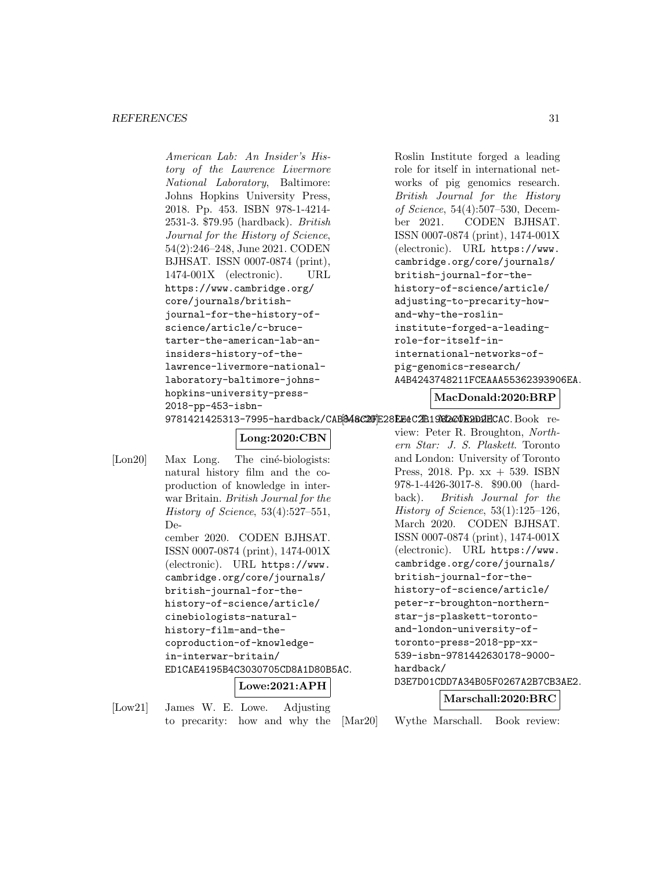#### *REFERENCES* 31

American Lab: An Insider's History of the Lawrence Livermore National Laboratory, Baltimore: Johns Hopkins University Press, 2018. Pp. 453. ISBN 978-1-4214- 2531-3. \$79.95 (hardback). British Journal for the History of Science, 54(2):246–248, June 2021. CODEN BJHSAT. ISSN 0007-0874 (print), 1474-001X (electronic). URL https://www.cambridge.org/ core/journals/britishjournal-for-the-history-ofscience/article/c-brucetarter-the-american-lab-aninsiders-history-of-thelawrence-livermore-nationallaboratory-baltimore-johnshopkins-university-press-2018-pp-453-isbn-

```
Roslin Institute forged a leading
role for itself in international net-
works of pig genomics research.
British Journal for the History
of Science, 54(4):507–530, Decem-
ber 2021. CODEN BJHSAT.
ISSN 0007-0874 (print), 1474-001X
(electronic). URL https://www.
cambridge.org/core/journals/
british-journal-for-the-
history-of-science/article/
adjusting-to-precarity-how-
and-why-the-roslin-
institute-forged-a-leading-
role-for-itself-in-
international-networks-of-
pig-genomics-research/
A4B4243748211FCEAAA55362393906EA.
```
**MacDonald:2020:BRP**

9781421425313-7995-hardback/CAB<mark>&48C2DjE28EE4C2B1982c0E2D2E</mark>CAC.Book re-

# **Long:2020:CBN**

```
[Lon20] Max Long. The ciné-biologists:
         natural history film and the co-
         production of knowledge in inter-
         war Britain. British Journal for the
         History of Science, 53(4):527–551,
         De-
         cember 2020. CODEN BJHSAT.
         ISSN 0007-0874 (print), 1474-001X
         (electronic). URL https://www.
         cambridge.org/core/journals/
         british-journal-for-the-
         history-of-science/article/
         cinebiologists-natural-
         history-film-and-the-
         coproduction-of-knowledge-
         in-interwar-britain/
         ED1CAE4195B4C3030705CD8A1D80B5AC.
                       Lowe:2021:APH
```
[Low21] James W. E. Lowe. Adjusting to precarity: how and why the view: Peter R. Broughton, Northern Star: J. S. Plaskett. Toronto and London: University of Toronto Press, 2018. Pp. xx + 539. ISBN 978-1-4426-3017-8. \$90.00 (hardback). British Journal for the History of Science,  $53(1):125-126$ , March 2020. CODEN BJHSAT. ISSN 0007-0874 (print), 1474-001X (electronic). URL https://www. cambridge.org/core/journals/ british-journal-for-thehistory-of-science/article/ peter-r-broughton-northernstar-js-plaskett-torontoand-london-university-oftoronto-press-2018-pp-xx-539-isbn-9781442630178-9000 hardback/ D3E7D01CDD7A34B05F0267A2B7CB3AE2.

#### **Marschall:2020:BRC**

[Mar20] Wythe Marschall. Book review: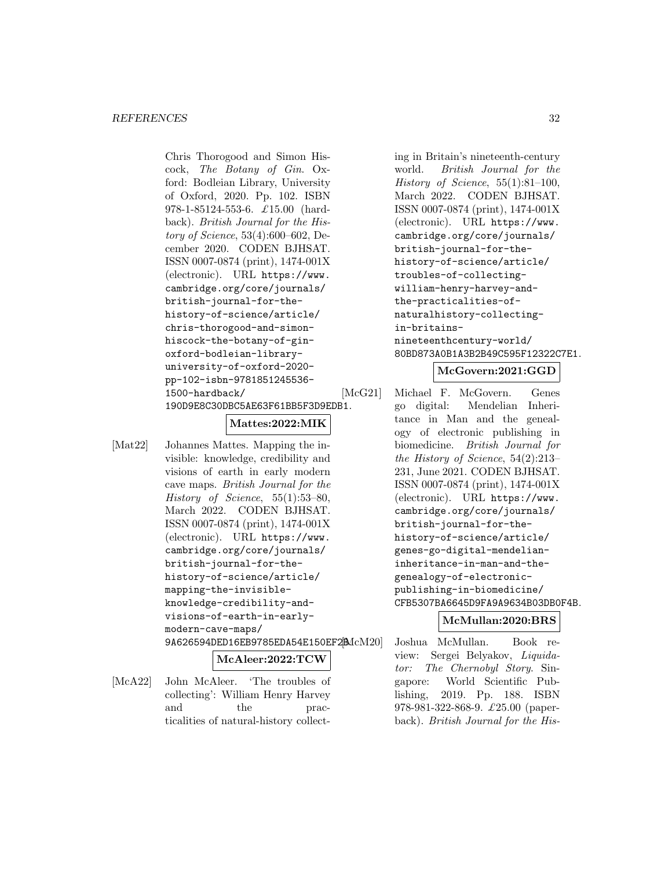#### *REFERENCES* 32

Chris Thorogood and Simon Hiscock, The Botany of Gin. Oxford: Bodleian Library, University of Oxford, 2020. Pp. 102. ISBN 978-1-85124-553-6. £15.00 (hardback). British Journal for the History of Science, 53(4):600–602, December 2020. CODEN BJHSAT. ISSN 0007-0874 (print), 1474-001X (electronic). URL https://www. cambridge.org/core/journals/ british-journal-for-thehistory-of-science/article/ chris-thorogood-and-simonhiscock-the-botany-of-ginoxford-bodleian-libraryuniversity-of-oxford-2020 pp-102-isbn-9781851245536- 1500-hardback/ 190D9E8C30DBC5AE63F61BB5F3D9EDB1.

### **Mattes:2022:MIK**

[Mat22] Johannes Mattes. Mapping the invisible: knowledge, credibility and visions of earth in early modern cave maps. British Journal for the History of Science,  $55(1):53-80$ , March 2022. CODEN BJHSAT. ISSN 0007-0874 (print), 1474-001X (electronic). URL https://www. cambridge.org/core/journals/ british-journal-for-thehistory-of-science/article/ mapping-the-invisibleknowledge-credibility-andvisions-of-earth-in-earlymodern-cave-maps/ 9A626594DED16EB9785EDA54E150EF2 $McM20$ 

#### **McAleer:2022:TCW**

[McA22] John McAleer. 'The troubles of collecting': William Henry Harvey and the practicalities of natural-history collecting in Britain's nineteenth-century world. British Journal for the History of Science,  $55(1):81-100$ , March 2022. CODEN BJHSAT. ISSN 0007-0874 (print), 1474-001X (electronic). URL https://www. cambridge.org/core/journals/ british-journal-for-thehistory-of-science/article/ troubles-of-collectingwilliam-henry-harvey-andthe-practicalities-ofnaturalhistory-collectingin-britainsnineteenthcentury-world/ 80BD873A0B1A3B2B49C595F12322C7E1.

# **McGovern:2021:GGD**

[McG21] Michael F. McGovern. Genes go digital: Mendelian Inheritance in Man and the genealogy of electronic publishing in biomedicine. British Journal for the History of Science, 54(2):213– 231, June 2021. CODEN BJHSAT. ISSN 0007-0874 (print), 1474-001X (electronic). URL https://www. cambridge.org/core/journals/ british-journal-for-thehistory-of-science/article/ genes-go-digital-mendelianinheritance-in-man-and-thegenealogy-of-electronicpublishing-in-biomedicine/ CFB5307BA6645D9FA9A9634B03DB0F4B.

#### **McMullan:2020:BRS**

[McM20] Joshua McMullan. Book review: Sergei Belyakov, Liquidator: The Chernobyl Story. Singapore: World Scientific Publishing, 2019. Pp. 188. ISBN 978-981-322-868-9. £25.00 (paperback). British Journal for the His-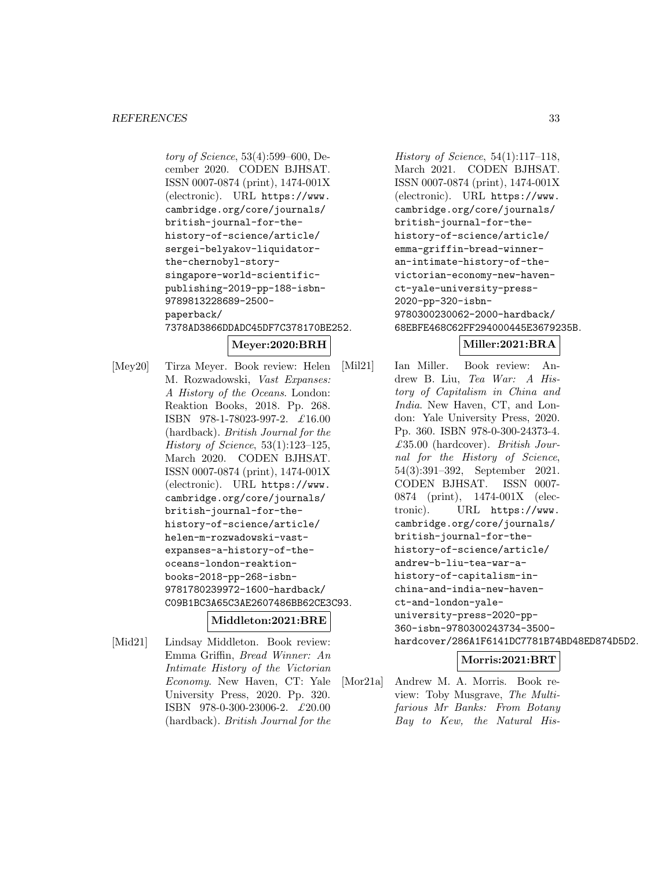tory of Science, 53(4):599–600, December 2020. CODEN BJHSAT. ISSN 0007-0874 (print), 1474-001X (electronic). URL https://www. cambridge.org/core/journals/ british-journal-for-thehistory-of-science/article/ sergei-belyakov-liquidatorthe-chernobyl-storysingapore-world-scientificpublishing-2019-pp-188-isbn-9789813228689-2500 paperback/ 7378AD3866DDADC45DF7C378170BE252.

# **Meyer:2020:BRH**

[Mey20] Tirza Meyer. Book review: Helen M. Rozwadowski, Vast Expanses: A History of the Oceans. London: Reaktion Books, 2018. Pp. 268. ISBN 978-1-78023-997-2. £16.00 (hardback). British Journal for the History of Science, 53(1):123–125, March 2020. CODEN BJHSAT. ISSN 0007-0874 (print), 1474-001X (electronic). URL https://www. cambridge.org/core/journals/ british-journal-for-thehistory-of-science/article/ helen-m-rozwadowski-vastexpanses-a-history-of-theoceans-london-reaktionbooks-2018-pp-268-isbn-9781780239972-1600-hardback/ C09B1BC3A65C3AE2607486BB62CE3C93.

#### **Middleton:2021:BRE**

[Mid21] Lindsay Middleton. Book review: Emma Griffin, Bread Winner: An Intimate History of the Victorian Economy. New Haven, CT: Yale University Press, 2020. Pp. 320. ISBN 978-0-300-23006-2. £20.00 (hardback). British Journal for the History of Science, 54(1):117–118, March 2021. CODEN BJHSAT. ISSN 0007-0874 (print), 1474-001X (electronic). URL https://www. cambridge.org/core/journals/ british-journal-for-thehistory-of-science/article/ emma-griffin-bread-winneran-intimate-history-of-thevictorian-economy-new-havenct-yale-university-press-2020-pp-320-isbn-9780300230062-2000-hardback/ 68EBFE468C62FF294000445E3679235B.

### **Miller:2021:BRA**

[Mil21] Ian Miller. Book review: Andrew B. Liu, Tea War: A History of Capitalism in China and India. New Haven, CT, and London: Yale University Press, 2020. Pp. 360. ISBN 978-0-300-24373-4. £35.00 (hardcover). British Journal for the History of Science, 54(3):391–392, September 2021. CODEN BJHSAT. ISSN 0007- 0874 (print), 1474-001X (electronic). URL https://www. cambridge.org/core/journals/ british-journal-for-thehistory-of-science/article/ andrew-b-liu-tea-war-ahistory-of-capitalism-inchina-and-india-new-havenct-and-london-yaleuniversity-press-2020-pp-360-isbn-9780300243734-3500 hardcover/286A1F6141DC7781B74BD48ED874D5D2.

### **Morris:2021:BRT**

[Mor21a] Andrew M. A. Morris. Book review: Toby Musgrave, The Multifarious Mr Banks: From Botany Bay to Kew, the Natural His-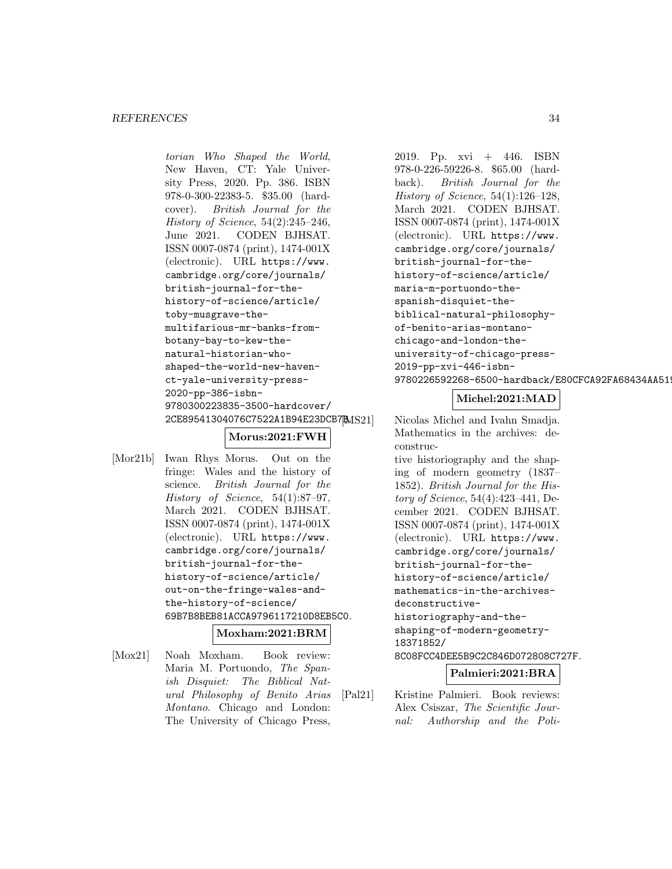#### *REFERENCES* 34

torian Who Shaped the World, New Haven, CT: Yale University Press, 2020. Pp. 386. ISBN 978-0-300-22383-5. \$35.00 (hardcover). British Journal for the History of Science,  $54(2):245-246$ , June 2021. CODEN BJHSAT. ISSN 0007-0874 (print), 1474-001X (electronic). URL https://www. cambridge.org/core/journals/ british-journal-for-thehistory-of-science/article/ toby-musgrave-themultifarious-mr-banks-frombotany-bay-to-kew-thenatural-historian-whoshaped-the-world-new-havenct-yale-university-press-2020-pp-386-isbn-9780300223835-3500-hardcover/ 2CE89541304076C7522A1B94E23DCB7 $MSS1$ 

# **Morus:2021:FWH**

[Mor21b] Iwan Rhys Morus. Out on the fringe: Wales and the history of science. British Journal for the History of Science, 54(1):87–97, March 2021. CODEN BJHSAT. ISSN 0007-0874 (print), 1474-001X (electronic). URL https://www. cambridge.org/core/journals/ british-journal-for-thehistory-of-science/article/ out-on-the-fringe-wales-andthe-history-of-science/ 69B7B8BEB81ACCA9796117210D8EB5C0.

# **Moxham:2021:BRM**

[Mox21] Noah Moxham. Book review: Maria M. Portuondo, The Spanish Disquiet: The Biblical Natural Philosophy of Benito Arias Montano. Chicago and London: The University of Chicago Press,

2019. Pp. xvi + 446. ISBN 978-0-226-59226-8. \$65.00 (hardback). British Journal for the History of Science, 54(1):126–128, March 2021. CODEN BJHSAT. ISSN 0007-0874 (print), 1474-001X (electronic). URL https://www. cambridge.org/core/journals/ british-journal-for-thehistory-of-science/article/ maria-m-portuondo-thespanish-disquiet-thebiblical-natural-philosophyof-benito-arias-montanochicago-and-london-theuniversity-of-chicago-press-2019-pp-xvi-446-isbn-9780226592268-6500-hardback/E80CFCA92FA68434AA519

# **Michel:2021:MAD**

Nicolas Michel and Ivahn Smadja. Mathematics in the archives: deconstructive historiography and the shaping of modern geometry (1837– 1852). British Journal for the History of Science, 54(4):423–441, December 2021. CODEN BJHSAT. ISSN 0007-0874 (print), 1474-001X (electronic). URL https://www. cambridge.org/core/journals/ british-journal-for-thehistory-of-science/article/ mathematics-in-the-archivesdeconstructivehistoriography-and-theshaping-of-modern-geometry-18371852/ 8C08FCC4DEE5B9C2C846D072808C727F. **Palmieri:2021:BRA**

- [Pal21] Kristine Palmieri. Book reviews:
	- Alex Csiszar, The Scientific Journal: Authorship and the Poli-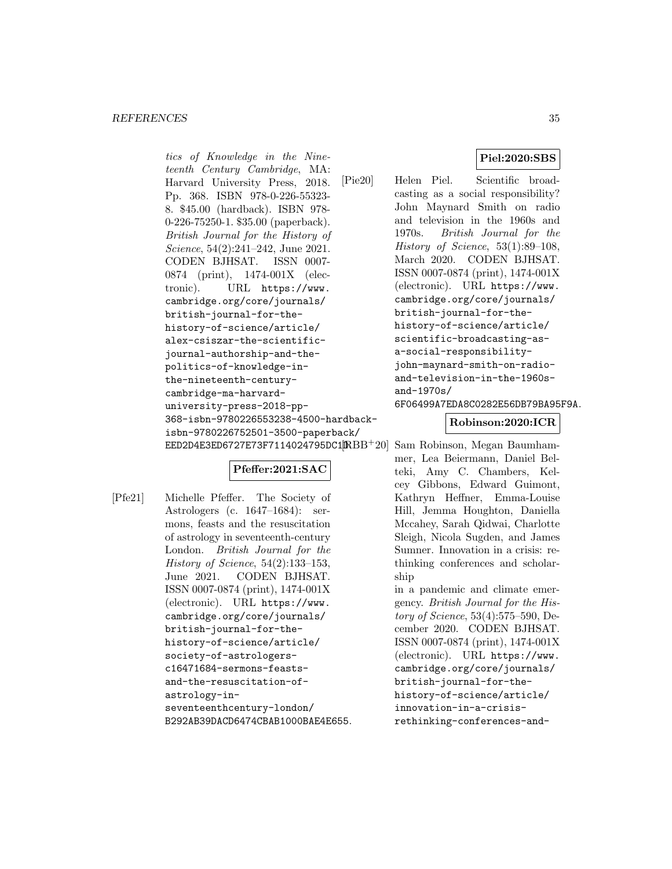#### *REFERENCES* 35

tics of Knowledge in the Nineteenth Century Cambridge, MA: Harvard University Press, 2018. Pp. 368. ISBN 978-0-226-55323- 8. \$45.00 (hardback). ISBN 978- 0-226-75250-1. \$35.00 (paperback). British Journal for the History of Science, 54(2):241–242, June 2021. CODEN BJHSAT. ISSN 0007- 0874 (print), 1474-001X (electronic). URL https://www. cambridge.org/core/journals/ british-journal-for-thehistory-of-science/article/ alex-csiszar-the-scientificjournal-authorship-and-thepolitics-of-knowledge-inthe-nineteenth-centurycambridge-ma-harvarduniversity-press-2018-pp-368-isbn-9780226553238-4500-hardbackisbn-9780226752501-3500-paperback/ EED2D4E3ED6727E73F7114024795DC1 $[{\rm I\!R} {\rm B} {\rm B}^{+} 20]$ 

# **Pfeffer:2021:SAC**

[Pfe21] Michelle Pfeffer. The Society of Astrologers (c. 1647–1684): sermons, feasts and the resuscitation of astrology in seventeenth-century London. British Journal for the History of Science, 54(2):133–153, June 2021. CODEN BJHSAT. ISSN 0007-0874 (print), 1474-001X (electronic). URL https://www. cambridge.org/core/journals/ british-journal-for-thehistory-of-science/article/ society-of-astrologersc16471684-sermons-feastsand-the-resuscitation-ofastrology-inseventeenthcentury-london/ B292AB39DACD6474CBAB1000BAE4E655.

# **Piel:2020:SBS**

[Pie20] Helen Piel. Scientific broadcasting as a social responsibility? John Maynard Smith on radio and television in the 1960s and 1970s. British Journal for the History of Science, 53(1):89–108, March 2020. CODEN BJHSAT. ISSN 0007-0874 (print), 1474-001X (electronic). URL https://www. cambridge.org/core/journals/ british-journal-for-thehistory-of-science/article/ scientific-broadcasting-asa-social-responsibilityjohn-maynard-smith-on-radioand-television-in-the-1960sand-1970s/ 6F06499A7EDA8C0282E56DB79BA95F9A.

#### **Robinson:2020:ICR**

Sam Robinson, Megan Baumhammer, Lea Beiermann, Daniel Belteki, Amy C. Chambers, Kelcey Gibbons, Edward Guimont, Kathryn Heffner, Emma-Louise Hill, Jemma Houghton, Daniella Mccahey, Sarah Qidwai, Charlotte Sleigh, Nicola Sugden, and James Sumner. Innovation in a crisis: rethinking conferences and scholarship

in a pandemic and climate emergency. British Journal for the History of Science, 53(4):575–590, December 2020. CODEN BJHSAT. ISSN 0007-0874 (print), 1474-001X (electronic). URL https://www. cambridge.org/core/journals/ british-journal-for-thehistory-of-science/article/ innovation-in-a-crisisrethinking-conferences-and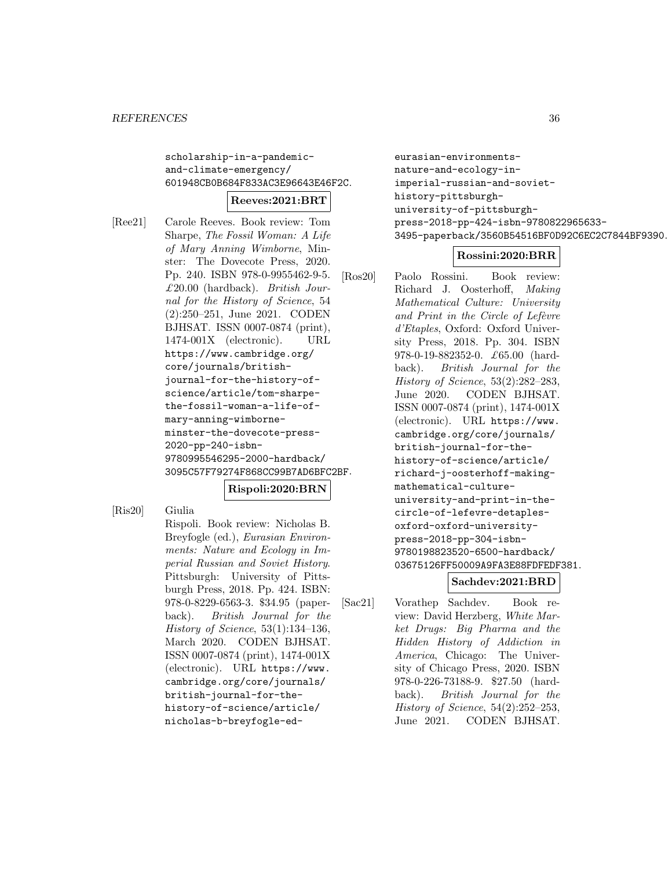scholarship-in-a-pandemicand-climate-emergency/ 601948CB0B684F833AC3E96643E46F2C.

# **Reeves:2021:BRT**

[Ree21] Carole Reeves. Book review: Tom Sharpe, The Fossil Woman: A Life of Mary Anning Wimborne, Minster: The Dovecote Press, 2020. Pp. 240. ISBN 978-0-9955462-9-5.  $£20.00$  (hardback). British Journal for the History of Science, 54 (2):250–251, June 2021. CODEN BJHSAT. ISSN 0007-0874 (print), 1474-001X (electronic). URL https://www.cambridge.org/ core/journals/britishjournal-for-the-history-ofscience/article/tom-sharpethe-fossil-woman-a-life-ofmary-anning-wimborneminster-the-dovecote-press-2020-pp-240-isbn-9780995546295-2000-hardback/ 3095C57F79274F868CC99B7AD6BFC2BF.

# **Rispoli:2020:BRN**

[Ris20] Giulia Rispoli. Book review: Nicholas B. Breyfogle (ed.), Eurasian Environments: Nature and Ecology in Imperial Russian and Soviet History. Pittsburgh: University of Pittsburgh Press, 2018. Pp. 424. ISBN: 978-0-8229-6563-3. \$34.95 (paperback). British Journal for the History of Science, 53(1):134–136, March 2020. CODEN BJHSAT. ISSN 0007-0874 (print), 1474-001X (electronic). URL https://www. cambridge.org/core/journals/ british-journal-for-thehistory-of-science/article/ nicholas-b-breyfogle-edeurasian-environmentsnature-and-ecology-inimperial-russian-and-soviethistory-pittsburghuniversity-of-pittsburghpress-2018-pp-424-isbn-9780822965633- 3495-paperback/3560B54516BF0D92C6EC2C7844BF9390.

# **Rossini:2020:BRR**

[Ros20] Paolo Rossini. Book review: Richard J. Oosterhoff, Making Mathematical Culture: University and Print in the Circle of Lefèvre d'Etaples, Oxford: Oxford University Press, 2018. Pp. 304. ISBN 978-0-19-882352-0. £65.00 (hardback). British Journal for the History of Science, 53(2):282–283, June 2020. CODEN BJHSAT. ISSN 0007-0874 (print), 1474-001X (electronic). URL https://www. cambridge.org/core/journals/ british-journal-for-thehistory-of-science/article/ richard-j-oosterhoff-makingmathematical-cultureuniversity-and-print-in-thecircle-of-lefevre-detaplesoxford-oxford-universitypress-2018-pp-304-isbn-9780198823520-6500-hardback/ 03675126FF50009A9FA3E88FDFEDF381.

# **Sachdev:2021:BRD**

[Sac21] Vorathep Sachdev. Book review: David Herzberg, White Market Drugs: Big Pharma and the Hidden History of Addiction in America, Chicago: The University of Chicago Press, 2020. ISBN 978-0-226-73188-9. \$27.50 (hardback). British Journal for the History of Science, 54(2):252–253, June 2021. CODEN BJHSAT.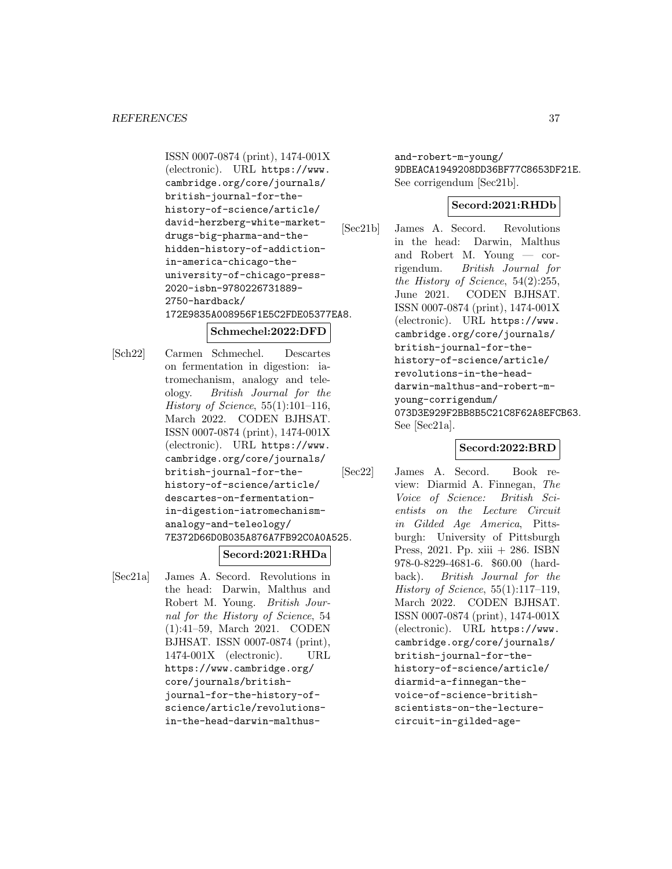ISSN 0007-0874 (print), 1474-001X (electronic). URL https://www. cambridge.org/core/journals/ british-journal-for-thehistory-of-science/article/ david-herzberg-white-marketdrugs-big-pharma-and-thehidden-history-of-addictionin-america-chicago-theuniversity-of-chicago-press-2020-isbn-9780226731889- 2750-hardback/ 172E9835A008956F1E5C2FDE05377EA8.

# **Schmechel:2022:DFD**

[Sch22] Carmen Schmechel. Descartes on fermentation in digestion: iatromechanism, analogy and teleology. British Journal for the History of Science,  $55(1):101-116$ , March 2022. CODEN BJHSAT. ISSN 0007-0874 (print), 1474-001X (electronic). URL https://www. cambridge.org/core/journals/ british-journal-for-thehistory-of-science/article/ descartes-on-fermentationin-digestion-iatromechanismanalogy-and-teleology/ 7E372D66D0B035A876A7FB92C0A0A525.

# **Secord:2021:RHDa**

[Sec21a] James A. Secord. Revolutions in the head: Darwin, Malthus and Robert M. Young. British Journal for the History of Science, 54 (1):41–59, March 2021. CODEN BJHSAT. ISSN 0007-0874 (print), 1474-001X (electronic). URL https://www.cambridge.org/ core/journals/britishjournal-for-the-history-ofscience/article/revolutionsin-the-head-darwin-malthusand-robert-m-young/ 9DBEACA1949208DD36BF77C8653DF21E. See corrigendum [Sec21b].

# **Secord:2021:RHDb**

[Sec21b] James A. Secord. Revolutions in the head: Darwin, Malthus and Robert M. Young — corrigendum. British Journal for the History of Science, 54(2):255, June 2021. CODEN BJHSAT. ISSN 0007-0874 (print), 1474-001X (electronic). URL https://www. cambridge.org/core/journals/ british-journal-for-thehistory-of-science/article/ revolutions-in-the-headdarwin-malthus-and-robert-myoung-corrigendum/ 073D3E929F2BB8B5C21C8F62A8EFCB63. See [Sec21a].

# **Secord:2022:BRD**

[Sec22] James A. Secord. Book review: Diarmid A. Finnegan, The Voice of Science: British Scientists on the Lecture Circuit in Gilded Age America, Pittsburgh: University of Pittsburgh Press, 2021. Pp. xiii + 286. ISBN 978-0-8229-4681-6. \$60.00 (hardback). British Journal for the History of Science, 55(1):117–119, March 2022. CODEN BJHSAT. ISSN 0007-0874 (print), 1474-001X (electronic). URL https://www. cambridge.org/core/journals/ british-journal-for-thehistory-of-science/article/ diarmid-a-finnegan-thevoice-of-science-britishscientists-on-the-lecturecircuit-in-gilded-age-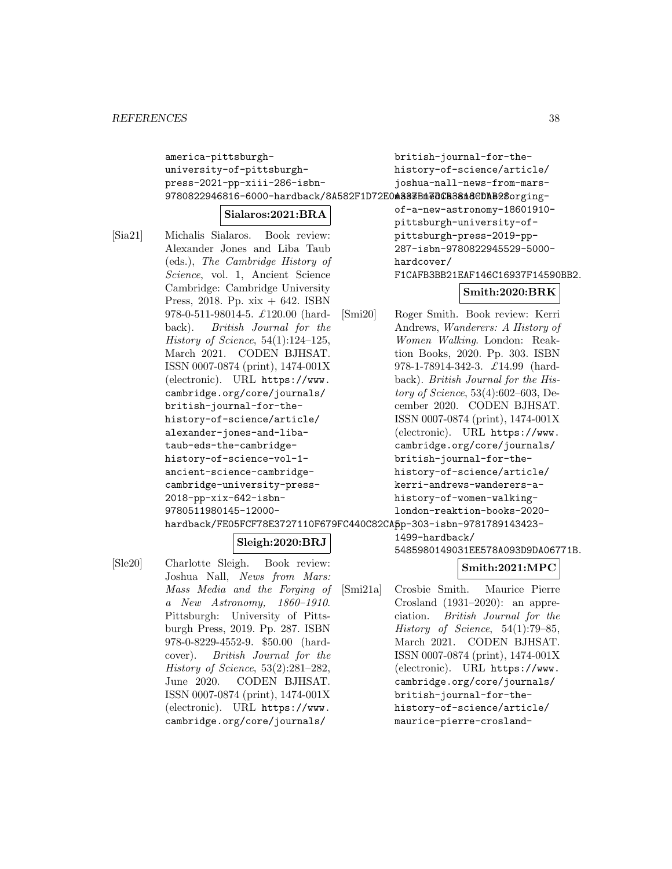america-pittsburghuniversity-of-pittsburghpress-2021-pp-xiii-286-isbn-9780822946816-6000-hardback/8A582F1D72E0**m333Bm@DCB38m8CDAB2\$**orgingbritish-journal-for-thehistory-of-science/article/ joshua-nall-news-from-mars-

# **Sialaros:2021:BRA**

- [Sia21] Michalis Sialaros. Book review: Alexander Jones and Liba Taub (eds.), The Cambridge History of Science, vol. 1, Ancient Science Cambridge: Cambridge University Press, 2018. Pp.  $x\dot{x} + 642$ . ISBN 978-0-511-98014-5. £120.00 (hardback). British Journal for the History of Science,  $54(1):124-125$ , March 2021. CODEN BJHSAT. ISSN 0007-0874 (print), 1474-001X (electronic). URL https://www. cambridge.org/core/journals/ british-journal-for-thehistory-of-science/article/ alexander-jones-and-libataub-eds-the-cambridgehistory-of-science-vol-1 ancient-science-cambridgecambridge-university-press-2018-pp-xix-642-isbn-9780511980145-12000-
- of-a-new-astronomy-18601910 pittsburgh-university-ofpittsburgh-press-2019-pp-287-isbn-9780822945529-5000 hardcover/ F1CAFB3BB21EAF146C16937F14590BB2.

# **Smith:2020:BRK**

hardback/FE05FCF78E3727110F679FC440C82CA<mark>5</mark>p-303-isbn-9781789143423-[Smi20] Roger Smith. Book review: Kerri Andrews, Wanderers: A History of Women Walking. London: Reaktion Books, 2020. Pp. 303. ISBN 978-1-78914-342-3. £14.99 (hardback). British Journal for the History of Science, 53(4):602–603, December 2020. CODEN BJHSAT. ISSN 0007-0874 (print), 1474-001X (electronic). URL https://www. cambridge.org/core/journals/ british-journal-for-thehistory-of-science/article/ kerri-andrews-wanderers-ahistory-of-women-walkinglondon-reaktion-books-2020-

# **Sleigh:2020:BRJ**

[Sle20] Charlotte Sleigh. Book review: Joshua Nall, News from Mars: Mass Media and the Forging of a New Astronomy, 1860–1910. Pittsburgh: University of Pittsburgh Press, 2019. Pp. 287. ISBN 978-0-8229-4552-9. \$50.00 (hardcover). British Journal for the History of Science, 53(2):281–282, June 2020. CODEN BJHSAT. ISSN 0007-0874 (print), 1474-001X (electronic). URL https://www. cambridge.org/core/journals/

1499-hardback/

5485980149031EE578A093D9DA06771B.

# **Smith:2021:MPC**

[Smi21a] Crosbie Smith. Maurice Pierre Crosland (1931–2020): an appreciation. British Journal for the History of Science, 54(1):79–85, March 2021. CODEN BJHSAT. ISSN 0007-0874 (print), 1474-001X (electronic). URL https://www. cambridge.org/core/journals/ british-journal-for-thehistory-of-science/article/ maurice-pierre-crosland-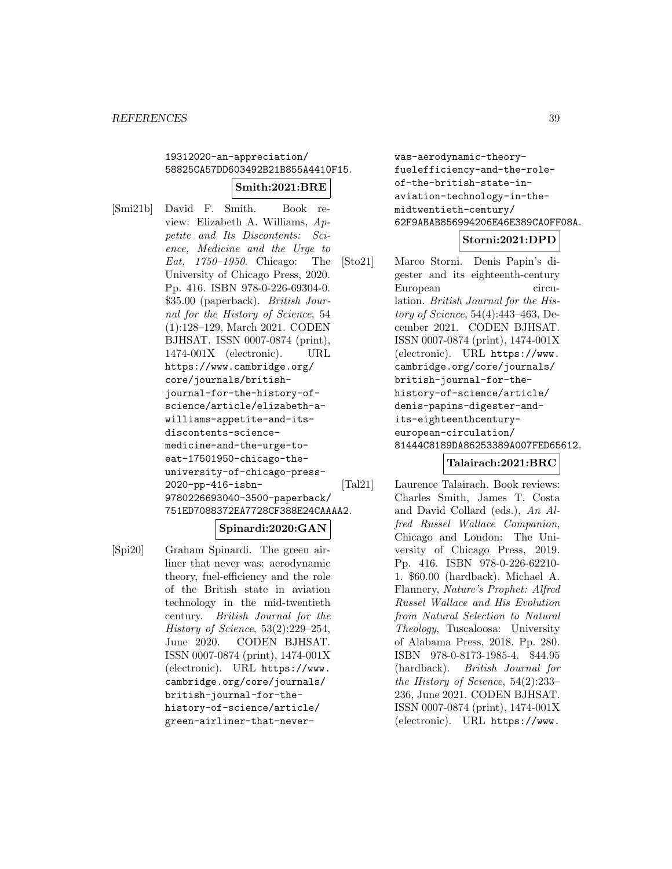# 19312020-an-appreciation/ 58825CA57DD603492B21B855A4410F15.

### **Smith:2021:BRE**

[Smi21b] David F. Smith. Book review: Elizabeth A. Williams, Appetite and Its Discontents: Science, Medicine and the Urge to Eat, 1750–1950. Chicago: The University of Chicago Press, 2020. Pp. 416. ISBN 978-0-226-69304-0. \$35.00 (paperback). British Journal for the History of Science, 54 (1):128–129, March 2021. CODEN BJHSAT. ISSN 0007-0874 (print), 1474-001X (electronic). URL https://www.cambridge.org/ core/journals/britishjournal-for-the-history-ofscience/article/elizabeth-awilliams-appetite-and-itsdiscontents-sciencemedicine-and-the-urge-toeat-17501950-chicago-theuniversity-of-chicago-press-2020-pp-416-isbn-9780226693040-3500-paperback/ 751ED7088372EA7728CF388E24CAAAA2.

# **Spinardi:2020:GAN**

[Spi20] Graham Spinardi. The green airliner that never was: aerodynamic theory, fuel-efficiency and the role of the British state in aviation technology in the mid-twentieth century. British Journal for the History of Science, 53(2):229–254, June 2020. CODEN BJHSAT. ISSN 0007-0874 (print), 1474-001X (electronic). URL https://www. cambridge.org/core/journals/ british-journal-for-thehistory-of-science/article/ green-airliner-that-neverwas-aerodynamic-theoryfuelefficiency-and-the-roleof-the-british-state-inaviation-technology-in-themidtwentieth-century/ 62F9ABAB856994206E46E389CA0FF08A.

### **Storni:2021:DPD**

[Sto21] Marco Storni. Denis Papin's digester and its eighteenth-century European circulation. British Journal for the History of Science, 54(4):443–463, December 2021. CODEN BJHSAT. ISSN 0007-0874 (print), 1474-001X (electronic). URL https://www. cambridge.org/core/journals/ british-journal-for-thehistory-of-science/article/ denis-papins-digester-andits-eighteenthcenturyeuropean-circulation/ 81444C8189DA86253389A007FED65612.

# **Talairach:2021:BRC**

[Tal21] Laurence Talairach. Book reviews: Charles Smith, James T. Costa and David Collard (eds.), An Alfred Russel Wallace Companion, Chicago and London: The University of Chicago Press, 2019. Pp. 416. ISBN 978-0-226-62210- 1. \$60.00 (hardback). Michael A. Flannery, Nature's Prophet: Alfred Russel Wallace and His Evolution from Natural Selection to Natural Theology, Tuscaloosa: University of Alabama Press, 2018. Pp. 280. ISBN 978-0-8173-1985-4. \$44.95 (hardback). British Journal for the History of Science, 54(2):233– 236, June 2021. CODEN BJHSAT. ISSN 0007-0874 (print), 1474-001X (electronic). URL https://www.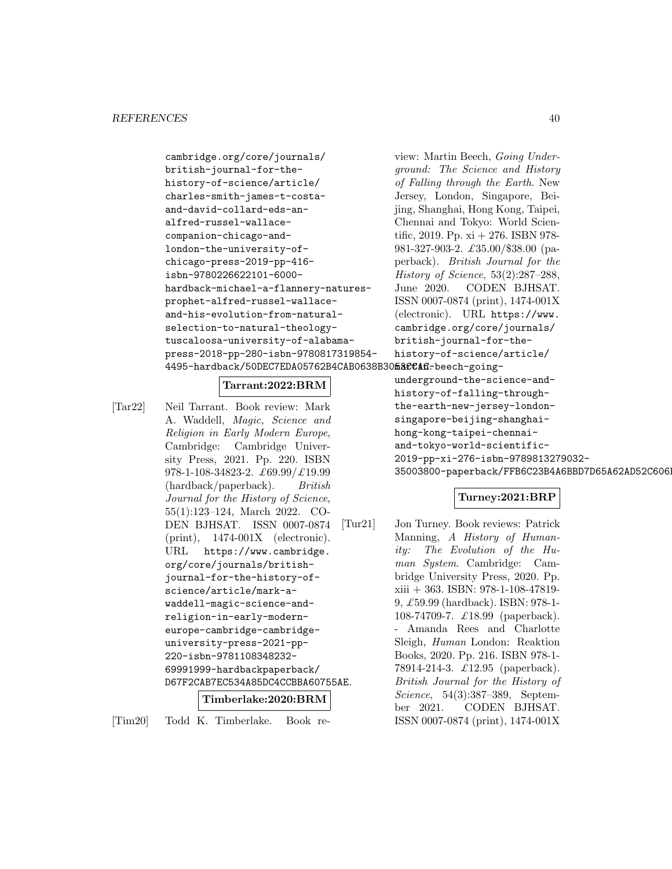```
cambridge.org/core/journals/
british-journal-for-the-
history-of-science/article/
charles-smith-james-t-costa-
and-david-collard-eds-an-
alfred-russel-wallace-
companion-chicago-and-
london-the-university-of-
chicago-press-2019-pp-416-
isbn-9780226622101-6000-
hardback-michael-a-flannery-natures-
prophet-alfred-russel-wallace-
and-his-evolution-from-natural-
selection-to-natural-theology-
tuscaloosa-university-of-alabama-
press-2018-pp-280-isbn-9780817319854-
4495-hardback/50DEC7EDA05762B4CAB0638B30<mark>fiaCCAfi</mark>-beech-going-
```
### **Tarrant:2022:BRM**

[Tar22] Neil Tarrant. Book review: Mark A. Waddell, Magic, Science and Religion in Early Modern Europe, Cambridge: Cambridge University Press, 2021. Pp. 220. ISBN 978-1-108-34823-2. £69.99/£19.99 (hardback/paperback). British Journal for the History of Science, 55(1):123–124, March 2022. CO-DEN BJHSAT. ISSN 0007-0874 (print), 1474-001X (electronic). URL https://www.cambridge. org/core/journals/britishjournal-for-the-history-ofscience/article/mark-awaddell-magic-science-andreligion-in-early-moderneurope-cambridge-cambridgeuniversity-press-2021-pp-220-isbn-9781108348232- 69991999-hardbackpaperback/ D67F2CAB7EC534A85DC4CCBBA60755AE. **Timberlake:2020:BRM**

[Tim20] Todd K. Timberlake. Book re-

view: Martin Beech, Going Underground: The Science and History of Falling through the Earth. New Jersey, London, Singapore, Beijing, Shanghai, Hong Kong, Taipei, Chennai and Tokyo: World Scientific, 2019. Pp. xi + 276. ISBN 978- 981-327-903-2. £35.00/\$38.00 (paperback). British Journal for the History of Science, 53(2):287–288, June 2020. CODEN BJHSAT. ISSN 0007-0874 (print), 1474-001X (electronic). URL https://www. cambridge.org/core/journals/ british-journal-for-thehistory-of-science/article/

underground-the-science-andhistory-of-falling-throughthe-earth-new-jersey-londonsingapore-beijing-shanghaihong-kong-taipei-chennaiand-tokyo-world-scientific-2019-pp-xi-276-isbn-9789813279032- 35003800-paperback/FFB6C23B4A6BBD7D65A62AD52C606F

# **Turney:2021:BRP**

[Tur21] Jon Turney. Book reviews: Patrick Manning, A History of Humanity: The Evolution of the Human System. Cambridge: Cambridge University Press, 2020. Pp. xiii + 363. ISBN: 978-1-108-47819- 9, £59.99 (hardback). ISBN: 978-1- 108-74709-7. £18.99 (paperback). - Amanda Rees and Charlotte Sleigh, Human London: Reaktion Books, 2020. Pp. 216. ISBN 978-1- 78914-214-3. £12.95 (paperback). British Journal for the History of Science, 54(3):387–389, September 2021. CODEN BJHSAT. ISSN 0007-0874 (print), 1474-001X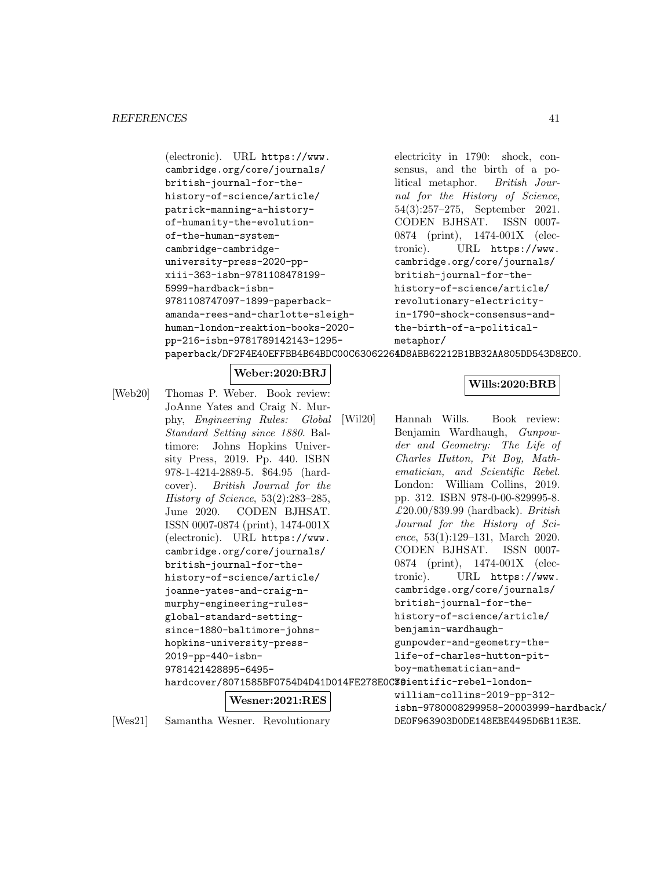| electricity in 1790: shock, con-                                          |
|---------------------------------------------------------------------------|
| sensus, and the birth of a po-                                            |
| litical metaphor. British Jour-                                           |
| nal for the History of Science,                                           |
| $54(3):257-275$ , September 2021.                                         |
| CODEN BJHSAT. ISSN 0007-                                                  |
| 0874 (print), 1474-001X (elec-                                            |
| tronic). URL https://www.                                                 |
| cambridge.org/core/journals/                                              |
| british-journal-for-the-                                                  |
| history-of-science/article/                                               |
| revolutionary-electricity-                                                |
| in-1790-shock-consensus-and-                                              |
| the-birth-of-a-political-                                                 |
| metaphor/                                                                 |
| paperback/DF2F4E40EFFBB4B64BDC00C63062264D8ABB62212B1BB32AA805DD543D8EC0. |
|                                                                           |

# **Weber:2020:BRJ**

[Web20] Thomas P. Weber. Book review: JoAnne Yates and Craig N. Murphy, Engineering Rules: Global Standard Setting since 1880. Baltimore: Johns Hopkins University Press, 2019. Pp. 440. ISBN 978-1-4214-2889-5. \$64.95 (hardcover). British Journal for the History of Science, 53(2):283–285, June 2020. CODEN BJHSAT. ISSN 0007-0874 (print), 1474-001X (electronic). URL https://www. cambridge.org/core/journals/ british-journal-for-thehistory-of-science/article/ joanne-yates-and-craig-nmurphy-engineering-rulesglobal-standard-settingsince-1880-baltimore-johnshopkins-university-press-2019-pp-440-isbn-9781421428895-6495 hardcover/8071585BF0754D4D41D014FE278E0C3@ientific-rebel-london-**Wesner:2021:RES**

[Wes21] Samantha Wesner. Revolutionary

### **Wills:2020:BRB**

[Wil20] Hannah Wills. Book review: Benjamin Wardhaugh, Gunpowder and Geometry: The Life of Charles Hutton, Pit Boy, Mathematician, and Scientific Rebel. London: William Collins, 2019. pp. 312. ISBN 978-0-00-829995-8.  $£20.00$ /\$39.99 (hardback). British Journal for the History of Science, 53(1):129–131, March 2020. CODEN BJHSAT. ISSN 0007- 0874 (print), 1474-001X (electronic). URL https://www. cambridge.org/core/journals/ british-journal-for-thehistory-of-science/article/ benjamin-wardhaughgunpowder-and-geometry-thelife-of-charles-hutton-pitboy-mathematician-and-

> william-collins-2019-pp-312 isbn-9780008299958-20003999-hardback/ DE0F963903D0DE148EBE4495D6B11E3E.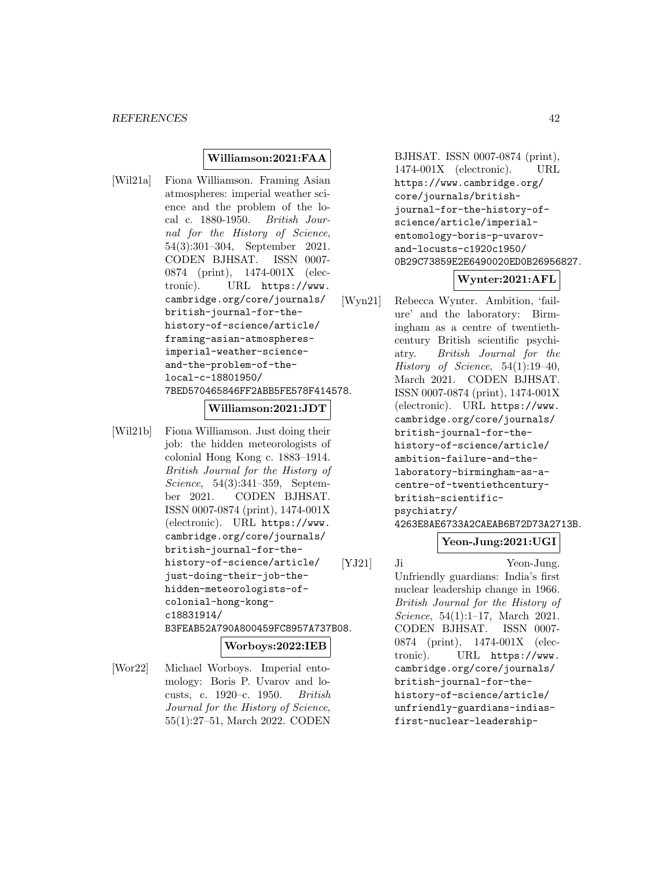# **Williamson:2021:FAA**

[Wil21a] Fiona Williamson. Framing Asian atmospheres: imperial weather science and the problem of the local c. 1880-1950. British Journal for the History of Science, 54(3):301–304, September 2021. CODEN BJHSAT. ISSN 0007- 0874 (print), 1474-001X (electronic). URL https://www. cambridge.org/core/journals/ british-journal-for-thehistory-of-science/article/ framing-asian-atmospheresimperial-weather-scienceand-the-problem-of-thelocal-c-18801950/ 7BED570465846FF2ABB5FE578F414578.

### **Williamson:2021:JDT**

[Wil21b] Fiona Williamson. Just doing their job: the hidden meteorologists of colonial Hong Kong c. 1883–1914. British Journal for the History of Science, 54(3):341–359, September 2021. CODEN BJHSAT. ISSN 0007-0874 (print), 1474-001X (electronic). URL https://www. cambridge.org/core/journals/ british-journal-for-thehistory-of-science/article/ just-doing-their-job-thehidden-meteorologists-ofcolonial-hong-kongc18831914/ B3FEAB52A790A800459FC8957A737B08.

# **Worboys:2022:IEB**

[Wor22] Michael Worboys. Imperial entomology: Boris P. Uvarov and locusts, c. 1920–c. 1950. British Journal for the History of Science, 55(1):27–51, March 2022. CODEN

BJHSAT. ISSN 0007-0874 (print), 1474-001X (electronic). URL https://www.cambridge.org/ core/journals/britishjournal-for-the-history-ofscience/article/imperialentomology-boris-p-uvarovand-locusts-c1920c1950/ 0B29C73859E2E6490020ED0B26956827.

# **Wynter:2021:AFL**

[Wyn21] Rebecca Wynter. Ambition, 'failure' and the laboratory: Birmingham as a centre of twentiethcentury British scientific psychiatry. British Journal for the History of Science,  $54(1):19-40$ , March 2021. CODEN BJHSAT. ISSN 0007-0874 (print), 1474-001X (electronic). URL https://www. cambridge.org/core/journals/ british-journal-for-thehistory-of-science/article/ ambition-failure-and-thelaboratory-birmingham-as-acentre-of-twentiethcenturybritish-scientificpsychiatry/ 4263E8AE6733A2CAEAB6B72D73A2713B.

# **Yeon-Jung:2021:UGI**

[YJ21] Ji Yeon-Jung. Unfriendly guardians: India's first nuclear leadership change in 1966. British Journal for the History of Science, 54(1):1–17, March 2021. CODEN BJHSAT. ISSN 0007- 0874 (print), 1474-001X (electronic). URL https://www. cambridge.org/core/journals/ british-journal-for-thehistory-of-science/article/ unfriendly-guardians-indiasfirst-nuclear-leadership-